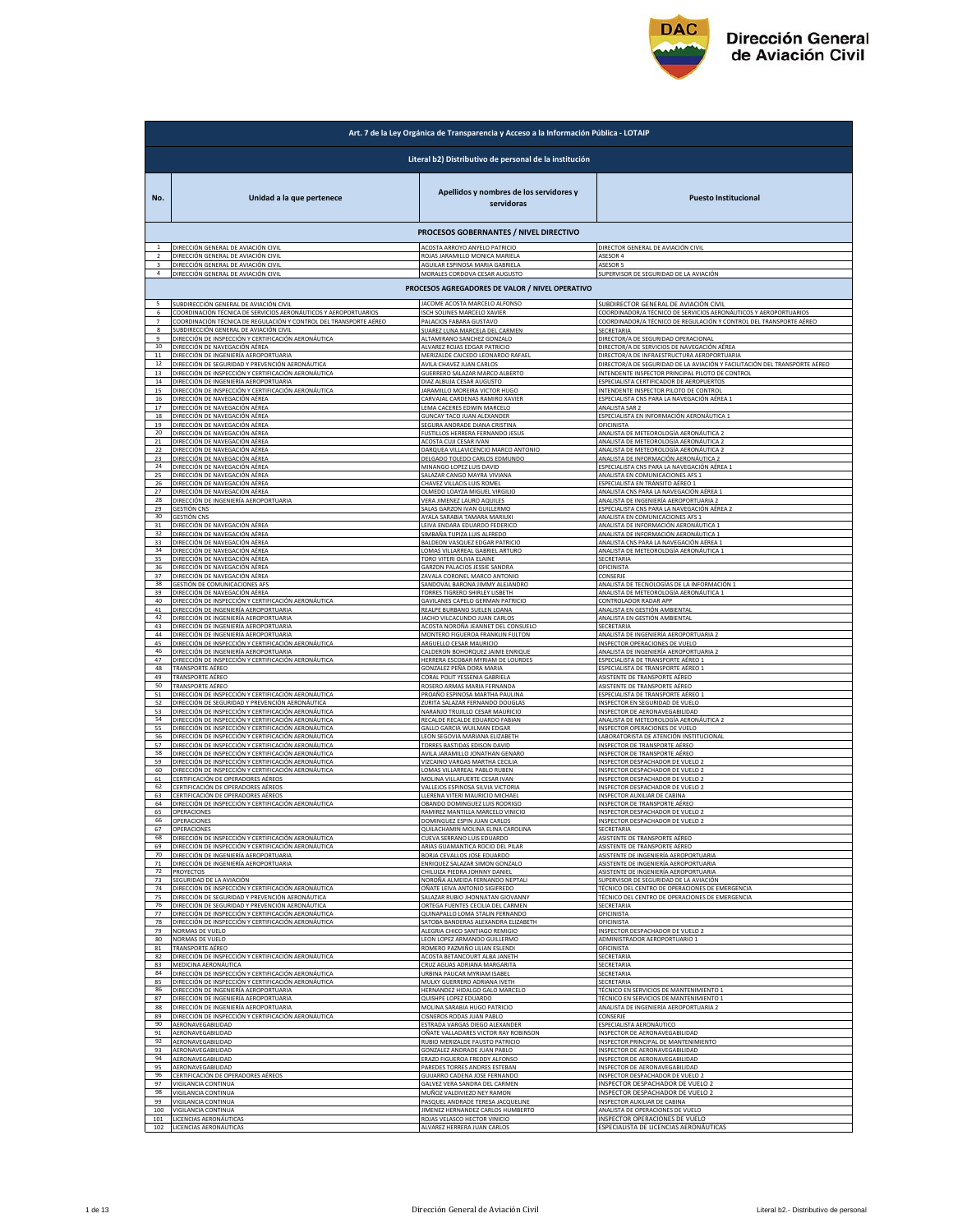

|          | Art. 7 de la Ley Orgánica de Transparencia y Acceso a la Información Pública - LOTAIP                      |                                                       |                                                                                |  |
|----------|------------------------------------------------------------------------------------------------------------|-------------------------------------------------------|--------------------------------------------------------------------------------|--|
|          | Literal b2) Distributivo de personal de la institución                                                     |                                                       |                                                                                |  |
| No.      | Unidad a la que pertenece                                                                                  | Apellidos y nombres de los servidores y<br>servidoras | <b>Puesto Institucional</b>                                                    |  |
|          |                                                                                                            | PROCESOS GOBERNANTES / NIVEL DIRECTIVO                |                                                                                |  |
|          | DIRECCIÓN GENERAL DE AVIACIÓN CIVIL                                                                        | ACOSTA ARROYO ANYELO PATRICIO                         | DIRECTOR GENERAL DE AVIACIÓN CIVIL                                             |  |
|          | DIRECCIÓN GENERAL DE AVIACIÓN CIVIL                                                                        | ROJAS JARAMILLO MONICA MARIELA                        | ASESOR 4                                                                       |  |
| 4        | DIRECCIÓN GENERAL DE AVIACIÓN CIVIL                                                                        | AGUILAR ESPINOSA MARIA GABRIELA                       | <b>ASESOR 5</b>                                                                |  |
|          | DIRECCIÓN GENERAL DE AVIACIÓN CIVIL                                                                        | MORALES CORDOVA CESAR AUGUSTO                         | SUPERVISOR DE SEGURIDAD DE LA AVIACIÓN                                         |  |
|          |                                                                                                            | PROCESOS AGREGADORES DE VALOR / NIVEL OPERATIVO       |                                                                                |  |
| 5        | SUBDIRECCIÓN GENERAL DE AVIACIÓN CIVIL                                                                     | JACOME ACOSTA MARCELO ALFONSO                         | SUBDIRECTOR GENERAL DE AVIACIÓN CIVIL                                          |  |
| 6        | COORDINACIÓN TÉCNICA DE SERVICIOS AERONÁUTICOS Y AEROPORTUARIOS                                            | ISCH SOLINES MARCELO XAVIER                           | COORDINADOR/A TÉCNICO DE SERVICIOS AERONÁUTICOS Y AEROPORTUARIOS               |  |
|          | COORDINACIÓN TÉCNICA DE REGULACIÓN Y CONTROL DEL TRANSPORTE AÉREO                                          | PALACIOS FABARA GUSTAVO                               | COORDINADOR/A TÉCNICO DE REGULACIÓN Y CONTROL DEL TRANSPORTE AÉREO             |  |
| 8        | SUBDIRECCIÓN GENERAL DE AVIACIÓN CIVIL                                                                     | SUAREZ LUNA MARCELA DEL CARMEN                        | SECRETARIA                                                                     |  |
|          | DIRECCIÓN DE INSPECCIÓN Y CERTIFICACIÓN AERONÁUTICA                                                        | ALTAMIRANO SANCHEZ GONZAI                             | DIRECTOR/A DE SEGURIDAD OPERACIONAL                                            |  |
| $10\,$   | DIRECCIÓN DE NAVEGACIÓN AÉREA                                                                              | ALVAREZ ROJAS EDGAR PATRICIO                          | DIRECTOR/A DE SERVICIOS DE NAVEGACIÓN AÉREA                                    |  |
| 11       | DIRECCIÓN DE INGENIERÍA AEROPORTUARIA                                                                      | MERIZALDE CAICEDO LEONARDO RAFAEL                     | DIRECTOR/A DE INFRAESTRUCTURA AEROPORTUARIA                                    |  |
| 12       | DIRECCIÓN DE SEGURIDAD Y PREVENCIÓN AERONÁUTICA                                                            | AVILA CHAVEZ JUAN CARLOS                              | DIRECTOR/A DE SEGURIDAD DE LA AVIACIÓN Y FACILITACIÓN DEL TRANSPORTE AÉREO     |  |
| 13       | DIRECCIÓN DE INSPECCIÓN Y CERTIFICACIÓN AERONÁUTICA                                                        | GUERRERO SALAZAR MARCO ALBERTO                        | INTENDENTE INSPECTOR PRINCIPAL PILOTO DE CONTROL                               |  |
| 14       | DIRECCIÓN DE INGENIERÍA AEROPORTUARIA                                                                      | DIAZ ALBUJA CESAR AUGUSTO                             | ESPECIALISTA CERTIFICADOR DE AEROPUERTOS                                       |  |
| 15       | DIRECCIÓN DE INSPECCIÓN Y CERTIFICACIÓN AERONÁUTICA                                                        | JARAMILLO MOREIRA VICTOR HUGO                         | INTENDENTE INSPECTOR PILOTO DE CONTROL                                         |  |
| 16       | DIRECCIÓN DE NAVEGACIÓN AÉREA                                                                              | CARVAJAL CARDENAS RAMIRO XAVIER                       | ESPECIALISTA CNS PARA LA NAVEGACIÓN AÉREA 1                                    |  |
| 17<br>18 | DIRECCIÓN DE NAVEGACIÓN AÉREA                                                                              | LEMA CACERES EDWIN MARCELO                            | ANALISTA SAR 2                                                                 |  |
| 19       | DIRECCIÓN DE NAVEGACIÓN AÉREA                                                                              | <b>GUNCAY TACO JUAN ALEXANDER</b>                     | ESPECIALISTA EN INFORMACIÓN AERONÁUTICA 1                                      |  |
|          | DIRECCIÓN DE NAVEGACIÓN AÉREA                                                                              | SEGURA ANDRADE DIANA CRISTINA                         | <b>OFICINISTA</b>                                                              |  |
| 20       | DIRECCIÓN DE NAVEGACIÓN AÉREA                                                                              | FUSTILLOS HERRERA FERNANDO JESUS                      | ANALISTA DE METEOROLOGÍA AERONÁUTICA 2                                         |  |
| 21       | DIRECCIÓN DE NAVEGACIÓN AÉREA                                                                              | ACOSTA CUJI CESAR IVAN                                | ANALISTA DE METEOROLOGÍA AERONÁUTICA 2                                         |  |
| 22       | DIRECCIÓN DE NAVEGACIÓN AÉREA                                                                              | DARQUEA VILLAVICENCIO MARCO ANTONIO                   | ANALISTA DE METEOROLOGÍA AERONÁUTICA 2                                         |  |
| 23       | DIRECCIÓN DE NAVEGACIÓN AÉREA                                                                              | DELGADO TOLEDO CARLOS EDMUNDO                         | ANALISTA DE INFORMACIÓN AERONÁUTICA 2                                          |  |
| 24       | DIRECCIÓN DE NAVEGACIÓN AÉREA                                                                              | MINANGO LOPEZ LUIS DAVID                              | ESPECIALISTA CNS PARA LA NAVEGACIÓN AÉREA 1                                    |  |
| 25       | DIRECCIÓN DE NAVEGACIÓN AÉREA                                                                              | SALAZAR CANGO MAYRA VIVIANA                           | ANALISTA EN COMUNICACIONES AFS 1                                               |  |
| 26       | DIRECCIÓN DE NAVEGACIÓN AÉREA                                                                              | CHAVEZ VILLACIS LUIS ROMEL                            | ESPECIALISTA EN TRÁNSITO AÉREO 1                                               |  |
| 27       | DIRECCIÓN DE NAVEGACIÓN AÉREA                                                                              | OLMEDO LOAYZA MIGUEL VIRGILIO                         | ANALISTA CNS PARA LA NAVEGACIÓN AÉREA                                          |  |
| 28       | DIRECCIÓN DE INGENIERÍA AEROPORTUARIA                                                                      | <b>VERA JIMENEZ LAURO AQUILES</b>                     | ANALISTA DE INGENIERÍA AEROPORTUARIA 2                                         |  |
| 29       | <b>GESTIÓN CNS</b>                                                                                         | SALAS GARZON IVAN GUILLERMO                           | ESPECIALISTA CNS PARA LA NAVEGACIÓN AÉREA 2                                    |  |
| 30       | <b>GESTIÓN CNS</b>                                                                                         | AYALA SARABIA TAMARA MARIUXI                          | ANALISTA EN COMUNICACIONES AFS 1                                               |  |
| 31       | DIRECCIÓN DE NAVEGACIÓN AÉREA                                                                              | LEIVA ENDARA EDUARDO FEDERICO                         | ANALISTA DE INFORMACIÓN AERONÁUTICA 1                                          |  |
| 32       | DIRECCIÓN DE NAVEGACIÓN AÉREA                                                                              | SIMBAÑA TUPIZA LUIS ALEREDO                           | ANALISTA DE INFORMACIÓN AERONÁUTICA :                                          |  |
| 33<br>34 | DIRECCIÓN DE NAVEGACIÓN AÉREA                                                                              | <b>BALDEON VASQUEZ EDGAR PATRICIO</b>                 | ANALISTA CNS PARA LA NAVEGACIÓN AÉREA :                                        |  |
| 35       | DIRECCIÓN DE NAVEGACIÓN AÉREA                                                                              | LOMAS VILLARREAL GABRIEL ARTURO                       | ANALISTA DE METEOROLOGÍA AERONÁUTICA 1                                         |  |
|          | DIRECCIÓN DE NAVEGACIÓN AÉREA                                                                              | TORO VITERI OLIVIA ELAINE                             | SECRETARIA                                                                     |  |
| 36       | DIRECCIÓN DE NAVEGACIÓN AÉREA                                                                              | GARZON PALACIOS JESSIE SANDRA                         | OFICINISTA                                                                     |  |
| 37       | DIRECCIÓN DE NAVEGACIÓN AÉREA                                                                              | ZAVALA CORONEL MARCO ANTONIC                          | CONSERJE                                                                       |  |
| 38       | <b>GESTIÓN DE COMUNICACIONES AFS</b>                                                                       | SANDOVAL BARONA JIMMY ALEJANDRO                       | ANALISTA DE TECNOLOGÍAS DE LA INFORMACIÓN 1                                    |  |
| 39       | DIRECCIÓN DE NAVEGACIÓN AÉREA                                                                              | TORRES TIGRERO SHIRLEY LISBETH                        | ANALISTA DE METEOROLOGÍA AERONÁUTICA 1                                         |  |
| 40<br>41 | DIRECCIÓN DE INSPECCIÓN Y CERTIFICACIÓN AERONÁUTICA                                                        | GAVILANES CAPELO GERMAN PATRICIO                      | CONTROLADOR RADAR APP                                                          |  |
| 42       | DIRECCIÓN DE INGENIERÍA AEROPORTUARIA                                                                      | REALPE BURBANO SUELEN LOANA                           | ANALISTA EN GESTIÓN AMBIENTAL                                                  |  |
|          | DIRECCIÓN DE INGENIERÍA AEROPORTUARIA                                                                      | JACHO VILCACUNDO JUAN CARLOS                          | ANALISTA EN GESTIÓN AMBIENTAL                                                  |  |
| 43       | DIRECCIÓN DE INGENIERÍA AEROPORTUARIA                                                                      | ACOSTA NOROÑA JEANNET DEL CONSUELO                    | SECRETARIA                                                                     |  |
| 44       | DIRECCIÓN DE INGENIERÍA AEROPORTUARIA                                                                      | MONTERO FIGUEROA FRANKLIN FULTON                      | ANALISTA DE INGENIERÍA AEROPORTUARIA 2                                         |  |
| 45       | DIRECCIÓN DE INSPECCIÓN Y CERTIFICACIÓN AERONÁUTICA                                                        | ARGUELLO CESAR MAURICIO                               | INSPECTOR OPERACIONES DE VUELO                                                 |  |
| 46       | DIRECCIÓN DE INGENIERÍA AEROPORTUARIA                                                                      | CALDERON BOHORQUEZ JAIME ENRIQUE                      | ANALISTA DE INGENIERÍA AEROPORTUARIA 2                                         |  |
| 47       | DIRECCIÓN DE INSPECCIÓN Y CERTIFICACIÓN AERONÁUTICA                                                        | HERRERA ESCOBAR MYRIAM DE LOURDES                     | ESPECIALISTA DE TRANSPORTE AÉREO :                                             |  |
| 48       | TRANSPORTE AÉREO                                                                                           | GONZALEZ PEÑA DORA MARIA                              | ESPECIALISTA DE TRANSPORTE AÉREO 1                                             |  |
| 49       | TRANSPORTE AÉREO                                                                                           | CORAL POLIT YESSENIA GABRIELA                         | ASISTENTE DE TRANSPORTE AÉREO                                                  |  |
| 50       | <b>TRANSPORTE AÉREO</b>                                                                                    | ROSERO ARMAS MARIA FERNANDA                           | ASISTENTE DE TRANSPORTE AÉREO                                                  |  |
| 51       | DIRECCIÓN DE INSPECCIÓN Y CERTIFICACIÓN AERONÁUTICA                                                        | PROAÑO ESPINOSA MARTHA PAULINA                        | ESPECIALISTA DE TRANSPORTE AÉREO 1                                             |  |
| 52       | DIRECCIÓN DE SEGURIDAD Y PREVENCIÓN AERONÁUTICA                                                            | ZURITA SALAZAR FERNANDO DOUGLAS                       | INSPECTOR EN SEGURIDAD DE VUELO                                                |  |
| 53       | DIRECCIÓN DE INSPECCIÓN Y CERTIFICACIÓN AERONÁUTICA                                                        | NARANJO TRUJILLO CESAR MAURICIO                       | INSPECTOR DE AERONAVEGABILIDAD                                                 |  |
| 54       | DIRECCIÓN DE INSPECCIÓN Y CERTIFICACIÓN AERONÁUTICA                                                        | RECALDE RECALDE EDUARDO FABIAN                        | ANALISTA DE METEOROLOGÍA AERONÁUTICA 2                                         |  |
| 55       |                                                                                                            | <b>GALLO GARCIA WUILMAN EDGAR</b>                     | INSPECTOR OPERACIONES DE VUELO                                                 |  |
| 56       | DIRECCIÓN DE INSPECCIÓN Y CERTIFICACIÓN AERONÁUTICA<br>DIRECCIÓN DE INSPECCIÓN Y CERTIFICACIÓN AERONÁUTICA | LEON SEGOVIA MARIANA ELIZABETH                        | LABORATORISTA DE ATENCIÓN INSTITUCIONAL                                        |  |
| 57       | DIRECCIÓN DE INSPECCIÓN Y CERTIFICACIÓN AERONÁUTICA                                                        | TORRES BASTIDAS EDISON DAVID                          | INSPECTOR DE TRANSPORTE AÉREO                                                  |  |
| 58       | DIRECCIÓN DE INSPECCIÓN Y CERTIFICACIÓN AERONÁUTICA                                                        | AVILA JARAMILLO JONATHAN GENARO                       | INSPECTOR DE TRANSPORTE AÉREC                                                  |  |
| 59       | DIRECCIÓN DE INSPECCIÓN Y CERTIFICACIÓN AERONÁUTICA                                                        | VIZCAINO VARGAS MARTHA CECILIA                        | INSPECTOR DESPACHADOR DE VUELO 2                                               |  |
| 60       | DIRECCIÓN DE INSPECCIÓN Y CERTIFICACIÓN AERONÁUTICA                                                        | LOMAS VILLARREAL PABLO RUBEN                          | INSPECTOR DESPACHADOR DE VUELO 2                                               |  |
| 61       | CERTIFICACIÓN DE OPERADORES AÉREOS                                                                         | MOLINA VILLAFUERTE CESAR IVAN                         | INSPECTOR DESPACHADOR DE VUELO 2                                               |  |
| 62       | CERTIFICACIÓN DE OPERADORES AÉREOS                                                                         | VALLEJOS ESPINOSA SILVIA VICTORIA                     | INSPECTOR DESPACHADOR DE VUELO 2                                               |  |
| 63       | CERTIFICACIÓN DE OPERADORES AÉREOS                                                                         | LLERENA VITERI MAURICIO MICHAEL                       | <b>INSPECTOR AUXILIAR DE CABINA</b>                                            |  |
| 64       | DIRECCIÓN DE INSPECCIÓN Y CERTIFICACIÓN AERONÁUTICA                                                        | OBANDO DOMINGUEZ LUIS RODRIGO                         | INSPECTOR DE TRANSPORTE AÉREO                                                  |  |
| 65       | OPERACIONES                                                                                                | RAMIREZ MANTILLA MARCELO VINICIO                      | INSPECTOR DESPACHADOR DE VUELO 2                                               |  |
| 66       | OPERACIONES                                                                                                | DOMINGUEZ ESPIN JUAN CARLOS                           | <b>INSPECTOR DESPACHADOR DE VUELO 2</b>                                        |  |
| 67       | OPERACIONES                                                                                                | QUILACHAMIN MOLINA ELINA CAROLINA                     | SECRETARIA                                                                     |  |
| 68       | DIRECCIÓN DE INSPECCIÓN Y CERTIFICACIÓN AERONÁUTICA                                                        | CUEVA SERRANO LUIS EDUARDO                            | ASISTENTE DE TRANSPORTE AÉREO                                                  |  |
| 69       | DIRECCIÓN DE INSPECCIÓN Y CERTIFICACIÓN AERONÁUTICA                                                        | ARIAS GUAMANTICA ROCIO DEL PILAR                      | ASISTENTE DE TRANSPORTE AÉREO                                                  |  |
| 70       | DIRECCIÓN DE INGENIERÍA AEROPORTUARIA                                                                      | BORJA CEVALLOS JOSE EDUARDO                           | ASISTENTE DE INGENIERÍA AEROPORTUARIA<br>ASISTENTE DE INGENIERÍA AEROPORTUARIA |  |
| 71       | DIRECCIÓN DE INGENIERÍA AEROPORTUARIA                                                                      | ENRIQUEZ SALAZAR SIMON GONZALO                        | ASISTENTE DE INGENIERÍA AEROPORTUARIA                                          |  |
| 72       | PROYECTOS                                                                                                  | CHILUIZA PIEDRA JOHNNY DANIEL                         |                                                                                |  |
| 73       | SEGURIDAD DE LA AVIACIÓN                                                                                   | NOROÑA ALMEIDA FERNANDO NEPTALI                       | SUPERVISOR DE SEGURIDAD DE LA AVIACIÓN                                         |  |
| 74       | DIRECCIÓN DE INSPECCIÓN Y CERTIFICACIÓN AERONÁUTICA                                                        | OÑATE LEIVA ANTONIO SIGIFREDO                         | TÉCNICO DEL CENTRO DE OPERACIONES DE EMERGENCIA                                |  |
| 75       | DIRECCIÓN DE SEGURIDAD Y PREVENCIÓN AERONÁUTICA                                                            | SALAZAR RUBIO JHONNATAN GIOVANNY                      | TÉCNICO DEL CENTRO DE OPERACIONES DE EMERGENCIA                                |  |
| 76       | DIRECCIÓN DE SEGURIDAD Y PREVENCIÓN AERONÁUTICA                                                            | ORTEGA FUENTES CECILIA DEL CARMEN                     | SECRETARIA                                                                     |  |
| 77       | DIRECCIÓN DE INSPECCIÓN Y CERTIFICACIÓN AERONÁUTICA                                                        | QUINAPALLO LOMA STALIN FERNANDO                       | OFICINISTA                                                                     |  |
| 78       | DIRECCIÓN DE INSPECCIÓN Y CERTIFICACIÓN AERONÁUTICA                                                        | SATOBA BANDERAS ALEXANDRA ELIZABETH                   | OFICINISTA                                                                     |  |
| 79       | NORMAS DE VUELO                                                                                            | ALEGRIA CHICO SANTIAGO REMIGIO                        | INSPECTOR DESPACHADOR DE VUELO 2                                               |  |
| 80       | NORMAS DE VUELO                                                                                            | LEON LOPEZ ARMANDO GUILLERMO                          | ADMINISTRADOR AEROPORTUARIO 1                                                  |  |
| 81       | <b>TRANSPORTE AÉREO</b>                                                                                    | ROMERO PAZMIÑO LILIAN ESLENDI                         | <b>OFICINISTA</b>                                                              |  |
| 82       | DIRECCIÓN DE INSPECCIÓN Y CERTIFICACIÓN AERONÁUTICA                                                        | ACOSTA BETANCOURT ALBA JANETH                         | SECRETARIA                                                                     |  |
| 83       | MEDICINA AERONÁUTICA                                                                                       | CRUZ AGUAS ADRIANA MARGARITA                          | SECRETARIA                                                                     |  |
| 84       | DIRECCIÓN DE INSPECCIÓN Y CERTIFICACIÓN AERONÁUTICA                                                        | URBINA PAUCAR MYRIAM ISABEI                           | <b>SECRETARIA</b>                                                              |  |
| 85       | DIRECCIÓN DE INSPECCIÓN Y CERTIFICACIÓN AERONÁUTICA                                                        | MULKY GUERRERO ADRIANA IVETH                          | SECRETARIA                                                                     |  |
| 86       | DIRECCIÓN DE INGENIERÍA AEROPORTUARIA                                                                      | HERNANDEZ HIDALGO GALO MARCELO                        | TÉCNICO EN SERVICIOS DE MANTENIMIENTO 1                                        |  |
| 87       | DIRECCIÓN DE INGENIERÍA AEROPORTUARIA                                                                      | QUISHPE LOPEZ EDUARDO                                 | TÉCNICO EN SERVICIOS DE MANTENIMIENTO 1                                        |  |
| 88       | DIRECCIÓN DE INGENIERÍA AEROPORTUARIA                                                                      | MOLINA SARABIA HUGO PATRICIO                          | ANALISTA DE INGENIERÍA AEROPORTUARIA 2                                         |  |
| 89       | DIRECCIÓN DE INSPECCIÓN Y CERTIFICACIÓN AERONÁUTICA                                                        | CISNEROS RODAS JUAN PABLO                             | CONSERJE                                                                       |  |
| 90       | AERONAVEGABILIDAD                                                                                          | ESTRADA VARGAS DIEGO ALEXANDER                        | ESPECIALISTA AERONÁUTICO                                                       |  |
| 91       | AERONAVEGABILIDAD                                                                                          | OÑATE VALLADARES VICTOR RAY ROBINSON                  | INSPECTOR DE AERONAVEGABILIDAD                                                 |  |
| 92       | AERONAVEGABILIDAD                                                                                          | RUBIO MERIZALDE FAUSTO PATRICIO                       | INSPECTOR PRINCIPAL DE MANTENIMIENTO                                           |  |
| 93       | AERONAVEGABILIDAD                                                                                          | GONZALEZ ANDRADE JUAN PABLO                           | INSPECTOR DE AERONAVEGABILIDAD                                                 |  |
| 94       | AERONAVEGABILIDAD                                                                                          | ERAZO FIGUEROA FREDDY ALFONSO                         | INSPECTOR DE AERONAVEGABILIDAD                                                 |  |
| 95       | AERONAVEGABILIDAD                                                                                          | PAREDES TORRES ANDRES ESTEBAN                         | <b>INSPECTOR DE AERONAVEGABILIDAD</b>                                          |  |
| 96       | CERTIFICACIÓN DE OPERADORES AÉREOS                                                                         | GUIJARRO CADENA JOSE FERNANDO                         | INSPECTOR DESPACHADOR DE VUELO 2                                               |  |
| 97       | VIGILANCIA CONTINUA                                                                                        | GALVEZ VERA SANDRA DEL CARMEN                         | INSPECTOR DESPACHADOR DE VUELO 2                                               |  |
| 98       | VIGILANCIA CONTINUA                                                                                        | MUÑOZ VALDIVIEZO NEY RAMON                            | INSPECTOR DESPACHADOR DE VUELO 2                                               |  |
| 99       | VIGILANCIA CONTINUA                                                                                        | PASQUEL ANDRADE TERESA JACQUELINE                     | INSPECTOR AUXILIAR DE CABINA                                                   |  |
| 100      | VIGILANCIA CONTINUA                                                                                        | JIMENEZ HERNANDEZ CARLOS HUMBERTO                     | ANALISTA DE OPERACIONES DE VUELO                                               |  |
| 101      | LICENCIAS AERONÁUTICAS                                                                                     | ROJAS VELASCO HECTOR VINICIO                          | INSPECTOR OPERACIONES DE VUELO                                                 |  |
| 102      | LICENCIAS AERONÁUTICAS                                                                                     | ALVAREZ HERRERA JUAN CARLOS                           | ESPECIALISTA DE LICENCIAS AERONÁUTICAS                                         |  |
|          |                                                                                                            |                                                       |                                                                                |  |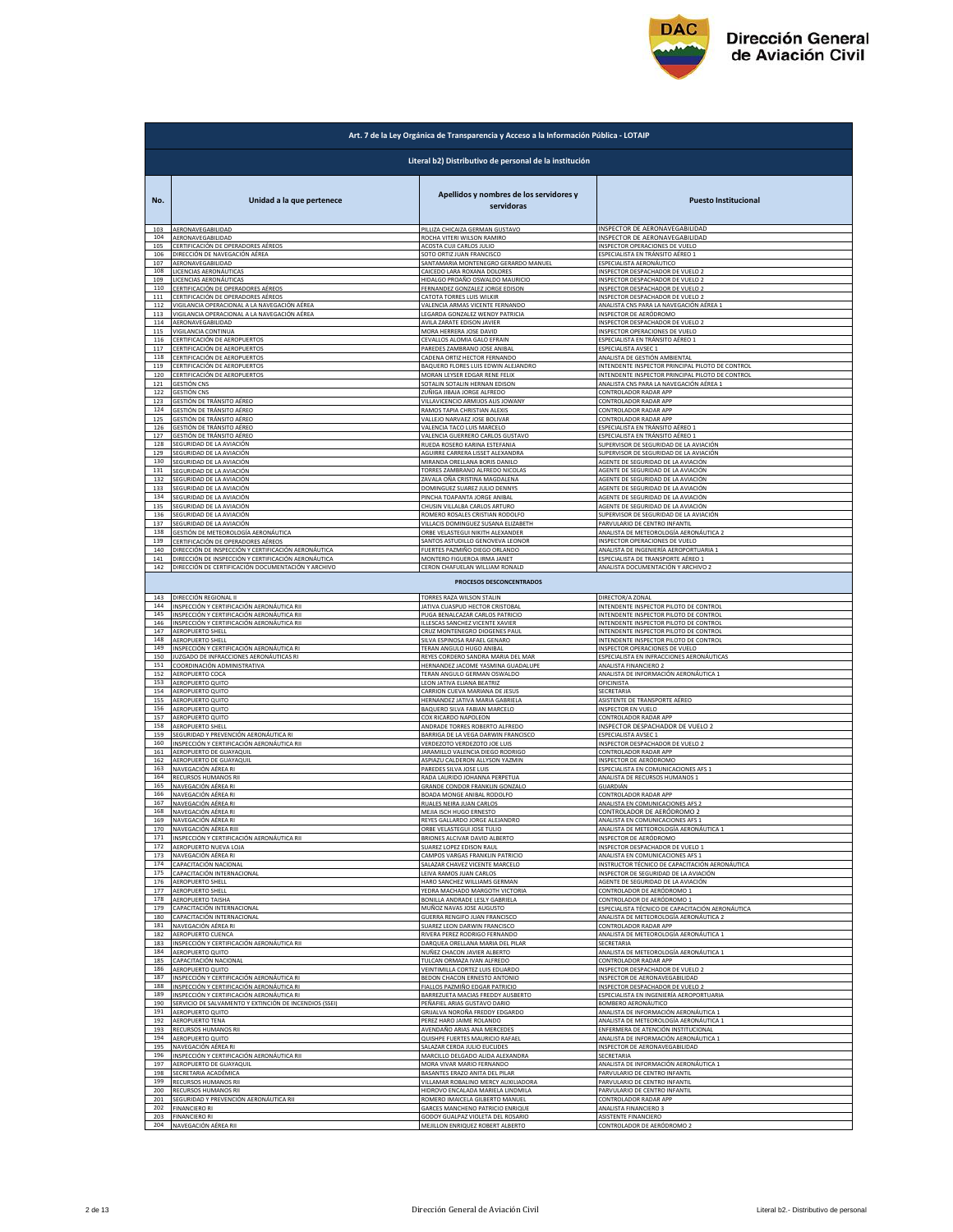

|            | Art. 7 de la Ley Orgánica de Transparencia y Acceso a la Información Pública - LOTAIP |                                                                 |                                                  |  |
|------------|---------------------------------------------------------------------------------------|-----------------------------------------------------------------|--------------------------------------------------|--|
|            | Literal b2) Distributivo de personal de la institución                                |                                                                 |                                                  |  |
| No.        | Unidad a la que pertenece                                                             | Apellidos y nombres de los servidores y<br>servidoras           | <b>Puesto Institucional</b>                      |  |
| 103        | AERONAVEGABILIDAD                                                                     | PILLIZA CHICAIZA GERMAN GUSTAVO                                 | INSPECTOR DE AERONAVEGABILIDAD                   |  |
| 104        | AERONAVEGABILIDAD                                                                     | ROCHA VITERI WILSON RAMIRO                                      | INSPECTOR DE AERONAVEGABILIDAD                   |  |
| 105        | CERTIFICACIÓN DE OPERADORES AÉREOS                                                    | <b>ACOSTA CUJI CARLOS JULIO</b>                                 | INSPECTOR OPERACIONES DE VUELO                   |  |
| 106        | DIRECCIÓN DE NAVEGACIÓN AÉREA                                                         | SOTO ORTIZ JUAN FRANCISCO                                       | ESPECIALISTA EN TRÁNSITO AÉREO 1                 |  |
| 107        | AERONAVEGABILIDAD                                                                     | SANTAMARIA MONTENEGRO GERARDO MANUEL                            | ESPECIALISTA AERONÁUTICO                         |  |
| 108        | LICENCIAS AERONÁUTICAS                                                                | CAICEDO LARA ROXANA DOLORES                                     | INSPECTOR DESPACHADOR DE VUELO 2                 |  |
| 109        | LICENCIAS AERONÁUTICAS                                                                | HIDALGO PROAÑO OSWALDO MAURICIO                                 | INSPECTOR DESPACHADOR DE VUELO 2                 |  |
| 110        | CERTIFICACIÓN DE OPERADORES AÉREOS                                                    | FERNANDEZ GONZALEZ JORGE EDISON                                 | INSPECTOR DESPACHADOR DE VUELO 2                 |  |
| 111        | CERTIFICACIÓN DE OPERADORES AÉREOS                                                    | CATOTA TORRES LUIS WILKIR                                       | INSPECTOR DESPACHADOR DE VUELO 2                 |  |
| 112        | VIGILANCIA OPERACIONAL A LA NAVEGACIÓN AÉREA                                          | VALENCIA ARMAS VICENTE FERNANDO                                 | ANALISTA CNS PARA LA NAVEGACIÓN AÉREA 1          |  |
| 113        | VIGILANCIA OPERACIONAL A LA NAVEGACIÓN AÉREA                                          | LEGARDA GONZALEZ WENDY PATRICIA                                 | INSPECTOR DE AERÓDROMO                           |  |
| 114        | AERONAVEGABILIDAD                                                                     | AVILA ZARATE EDISON JAVIER                                      | INSPECTOR DESPACHADOR DE VUELO 2                 |  |
| 115        | VIGILANCIA CONTINUA                                                                   | MORA HERRERA JOSE DAVID                                         | INSPECTOR OPERACIONES DE VUELO                   |  |
| 116        | CERTIFICACIÓN DE AEROPUERTOS                                                          | CEVALLOS ALOMIA GALO EFRAIN                                     | ESPECIALISTA EN TRÁNSITO AÉREO 1                 |  |
| 117        | CERTIFICACIÓN DE AEROPUERTOS                                                          | PAREDES ZAMBRANO JOSE ANIBAL                                    | ESPECIALISTA AVSEC 1                             |  |
| 118        | CERTIFICACIÓN DE AEROPUERTOS                                                          | CADENA ORTIZ HECTOR FERNANDO                                    | ANALISTA DE GESTIÓN AMBIENTAL                    |  |
| 119        | CERTIFICACIÓN DE AEROPUERTOS                                                          | BAQUERO FLORES LUIS EDWIN ALEJANDRO                             | INTENDENTE INSPECTOR PRINCIPAL PILOTO DE CONTROL |  |
| 120        | CERTIFICACIÓN DE AEROPUERTOS                                                          | MORAN LEYSER EDGAR RENE FELIX                                   | INTENDENTE INSPECTOR PRINCIPAL PILOTO DE CONTROI |  |
| 121        | <b>GESTIÓN CNS</b>                                                                    | SOTALIN SOTALIN HERNAN EDISON                                   | ANALISTA CNS PARA LA NAVEGACIÓN AÉREA 1          |  |
| 122        | <b>GESTIÓN CNS</b>                                                                    | ZUÑIGA JIBAJA JORGE ALFREDO                                     | CONTROLADOR RADAR APP                            |  |
| 123        | GESTIÓN DE TRÁNSITO AÉREO                                                             | VILLAVICENCIO ARMIJOS ALIS JOWANY                               | CONTROLADOR RADAR APP                            |  |
| 124        | GESTIÓN DE TRÁNSITO AÉREO                                                             | RAMOS TAPIA CHRISTIAN ALEXIS                                    | CONTROLADOR RADAR APP                            |  |
| 125        | GESTIÓN DE TRÁNSITO AÉREO                                                             | VALLEJO NARVAEZ JOSE BOLIVAR                                    | CONTROLADOR RADAR APP                            |  |
| 126        | GESTIÓN DE TRÁNSITO AÉREO                                                             | VALENCIA TACO LUIS MARCELO                                      | ESPECIALISTA EN TRÁNSITO AÉREO 1                 |  |
| 127        | GESTIÓN DE TRÁNSITO AÉREO                                                             | VALENCIA GUERRERO CARLOS GUSTAVO                                | ESPECIALISTA EN TRÁNSITO AÉREO 1                 |  |
| 128        | SEGURIDAD DE LA AVIACIÓN                                                              | RUEDA ROSERO KARINA ESTEFANIA                                   | SUPERVISOR DE SEGURIDAD DE LA AVIACIÓN           |  |
| 129        | SEGURIDAD DE LA AVIACIÓN                                                              | AGUIRRE CARRERA LISSET ALEXANDRA                                | SUPERVISOR DE SEGURIDAD DE LA AVIACIÓN           |  |
| 130        | SEGURIDAD DE LA AVIACIÓN                                                              | MIRANDA ORELLANA BORIS DANILO                                   | AGENTE DE SEGURIDAD DE LA AVIACIÓN               |  |
| 131        | SEGURIDAD DE LA AVIACIÓN                                                              | TORRES ZAMBRANO ALFREDO NICOLAS                                 | AGENTE DE SEGURIDAD DE LA AVIACIÓN               |  |
| 132        | SEGURIDAD DE LA AVIACIÓN                                                              | ZAVALA OÑA CRISTINA MAGDALENA                                   | AGENTE DE SEGURIDAD DE LA AVIACIÓN               |  |
| 133        | SEGURIDAD DE LA AVIACIÓN                                                              | DOMINGUEZ SUAREZ JULIO DENNYS                                   | AGENTE DE SEGURIDAD DE LA AVIACIÓN               |  |
| 134        | SEGURIDAD DE LA AVIACIÓN                                                              | PINCHA TOAPANTA JORGE ANIBAL                                    | AGENTE DE SEGURIDAD DE LA AVIACIÓN               |  |
| 135        | SEGURIDAD DE LA AVIACIÓN                                                              | CHUSIN VILLALBA CARLOS ARTURO                                   | AGENTE DE SEGURIDAD DE LA AVIACIÓN               |  |
| 136        | SEGURIDAD DE LA AVIACIÓN                                                              | ROMERO ROSALES CRISTIAN RODOLFO                                 | SUPERVISOR DE SEGURIDAD DE LA AVIACIÓN           |  |
| 137        | SEGURIDAD DE LA AVIACIÓN                                                              | VILLACIS DOMINGUEZ SUSANA ELIZABETH                             | PARVULARIO DE CENTRO INFANTIL                    |  |
| 138        | GESTIÓN DE METEOROLOGÍA AERONÁUTICA                                                   | ORBE VELASTEGUI NIKITH ALEXANDER                                | ANALISTA DE METEOROLOGÍA AERONÁUTICA 2           |  |
| 139        | CERTIFICACIÓN DE OPERADORES AÉREOS                                                    | SANTOS ASTUDILLO GENOVEVA LEONOR                                | INSPECTOR OPERACIONES DE VUELO                   |  |
| 140        | DIRECCIÓN DE INSPECCIÓN Y CERTIFICACIÓN AERONÁUTICA                                   | FUERTES PAZMIÑO DIEGO ORLANDO                                   | ANALISTA DE INGENIERÍA AEROPORTUARIA 1           |  |
| 141        | DIRECCIÓN DE INSPECCIÓN Y CERTIFICACIÓN AERONÁUTICA                                   | MONTERO FIGUEROA IRMA JANET                                     | ESPECIALISTA DE TRANSPORTE AÉREO 1               |  |
| 142        | DIRECCIÓN DE CERTIFICACIÓN DOCUMENTACIÓN Y ARCHIVO                                    | CERON CHAFUELAN WILLIAM RONALD                                  | ANALISTA DOCUMENTACIÓN Y ARCHIVO 2               |  |
|            |                                                                                       | <b>PROCESOS DESCONCENTRADOS</b>                                 |                                                  |  |
| 143        | DIRECCIÓN REGIONAL II                                                                 | TORRES RAZA WILSON STALIN                                       | DIRECTOR/A ZONAL                                 |  |
| 144        | INSPECCIÓN Y CERTIFICACIÓN AERONÁUTICA RII                                            | JATIVA CUASPUD HECTOR CRISTOBAL                                 | INTENDENTE INSPECTOR PILOTO DE CONTROL           |  |
| 145        | INSPECCIÓN Y CERTIFICACIÓN AERONÁUTICA RII                                            | PUGA BENALCAZAR CARLOS PATRICIO                                 | INTENDENTE INSPECTOR PILOTO DE CONTROL           |  |
| 146        | INSPECCIÓN Y CERTIFICACIÓN AERONÁUTICA RII                                            | ILLESCAS SANCHEZ VICENTE XAVIER                                 | INTENDENTE INSPECTOR PILOTO DE CONTROL           |  |
| 147        | <b>AEROPUERTO SHELI</b>                                                               | CRUZ MONTENEGRO DIOGENES PAUL                                   | INTENDENTE INSPECTOR PILOTO DE CONTROI           |  |
| 148        | AEROPUERTO SHELL                                                                      | SILVA ESPINOSA RAFAEL GENARO                                    | INTENDENTE INSPECTOR PILOTO DE CONTROL           |  |
| 149        | INSPECCIÓN Y CERTIFICACIÓN AERONÁUTICA RI                                             | TERAN ANGULO HUGO ANIBAL                                        | INSPECTOR OPERACIONES DE VUELO                   |  |
| 150        | JUZGADO DE INFRACCIONES AERONÁUTICAS RI                                               | REYES CORDERO SANDRA MARIA DEL MAR                              | ESPECIALISTA EN INFRACCIONES AERONÁUTICAS        |  |
| 151        | COORDINACIÓN ADMINISTRATIVA                                                           | HERNANDEZ JACOME YASMINA GUADALUPE                              | ANALISTA FINANCIERO 2                            |  |
| 152        | AEROPUERTO COCA                                                                       | TERAN ANGULO GERMAN OSWALDO                                     | ANALISTA DE INFORMACIÓN AERONÁUTICA 1            |  |
| 153        | AEROPUERTO QUITO                                                                      | LEON JATIVA ELIANA BEATRIZ                                      | OFICINISTA                                       |  |
| 154<br>155 | AEROPUERTO QUITO                                                                      | CARRION CUEVA MARIANA DE JESUS                                  | SECRETARIA<br>ASISTENTE DE TRANSPORTE AÉREO      |  |
| 156        | AEROPUERTO QUITO<br>AEROPUERTO QUITO                                                  | HERNANDEZ JATIVA MARIA GABRIELA<br>BAQUERO SILVA FABIAN MARCELO | <b>INSPECTOR EN VUELO</b>                        |  |
| 157        | AEROPUERTO QUITO                                                                      | COX RICARDO NAPOLEON                                            | CONTROLADOR RADAR APP                            |  |
| 158        | AEROPUERTO SHELL                                                                      | ANDRADE TORRES ROBERTO ALFREDO                                  | INSPECTOR DESPACHADOR DE VUELO 2                 |  |
| 159        | SEGURIDAD Y PREVENCIÓN AERONÁUTICA RI                                                 | BARRIGA DE LA VEGA DARWIN FRANCISCO                             | ESPECIALISTA AVSEC 1                             |  |
| 160        | INSPECCIÓN Y CERTIFICACIÓN AERONÁUTICA RII                                            | VERDEZOTO VERDEZOTO JOE LUIS                                    | INSPECTOR DESPACHADOR DE VUELO 2                 |  |
| 161        | AEROPUERTO DE GUAYAQUII                                                               | JARAMILLO VALENCIA DIEGO RODRIGO                                | CONTROLADOR RADAR APP                            |  |
| 162        | AEROPUERTO DE GUAYAQUIL                                                               | ASPIAZU CALDERON ALLYSON YAZMIN                                 | INSPECTOR DE AERÓDROMO                           |  |
| 163        | NAVEGACIÓN AÉREA RI                                                                   | PAREDES SILVA JOSE LUIS                                         | ESPECIALISTA EN COMUNICACIONES AFS 1             |  |
| 164        | RECURSOS HUMANOS RII                                                                  | RADA LAURIDO JOHANNA PERPETUA                                   | ANALISTA DE RECURSOS HUMANOS 1                   |  |
| 165        | NAVEGACIÓN AÉREA RI                                                                   | <b>GRANDE CONDOR FRANKLIN GONZA</b>                             | GUARDIÁN                                         |  |
| 166        | NAVEGACIÓN AÉREA RI                                                                   | BOADA MONGE ANIBAL RODOLFO                                      | CONTROLADOR RADAR APP                            |  |
| 167        | NAVEGACIÓN AÉREA RI                                                                   | RUALES NEIRA JUAN CARLOS                                        | ANALISTA EN COMUNICACIONES AFS 2                 |  |
| 168        | NAVEGACIÓN AÉREA RI                                                                   | MEJIA ISCH HUGO ERNESTO                                         | CONTROLADOR DE AERÓDROMO 2                       |  |
| 170        | 169 NAVEGACIÓN AÉREA RI                                                               | REYES GALLARDO JORGE ALEJANDRO                                  | ANALISTA EN COMUNICACIONES AFS 1                 |  |
|            | NAVEGACIÓN AÉREA RIII                                                                 | ORBE VELASTEGUI JOSE TULIO                                      | ANALISTA DE METEOROLOGÍA AERONÁUTICA 1           |  |
| 171        | INSPECCIÓN Y CERTIFICACIÓN AERONÁUTICA RII                                            | BRIONES ALCIVAR DAVID ALBERTO                                   | INSPECTOR DE AERÓDROMO                           |  |
| 172        | AEROPUERTO NUEVA LOJA                                                                 | SUAREZ LOPEZ EDISON RAUL                                        | INSPECTOR DESPACHADOR DE VUELO 1                 |  |
| 173        | NAVEGACIÓN AÉREA RI                                                                   | CAMPOS VARGAS FRANKLIN PATRICIO                                 | ANALISTA EN COMUNICACIONES AFS 1                 |  |
| 174        | CAPACITACIÓN NACIONAL                                                                 | SALAZAR CHAVEZ VICENTE MARCELO                                  | INSTRUCTOR TÉCNICO DE CAPACITACIÓN AERONÁUTICA   |  |
| 175        | CAPACITACIÓN INTERNACIONAL                                                            | LEIVA RAMOS JUAN CARLOS                                         | INSPECTOR DE SEGURIDAD DE LA AVIACIÓN            |  |
| 176        | AEROPUERTO SHELL                                                                      | HARO SANCHEZ WILLIAMS GERMAN                                    | AGENTE DE SEGURIDAD DE LA AVIACIÓN               |  |
| 177        | AEROPUERTO SHELL                                                                      | YEDRA MACHADO MARGOTH VICTORIA                                  | CONTROLADOR DE AERÓDROMO 1                       |  |
| 178        | AEROPUERTO TAISHA                                                                     | BONILLA ANDRADE LESLY GABRIELA                                  | CONTROLADOR DE AERÓDROMO 1                       |  |
| 179        | CAPACITACIÓN INTERNACIONAL                                                            | MUÑOZ NAVAS JOSE AUGUSTO                                        | ESPECIALISTA TÉCNICO DE CAPACITACIÓN AERONÁUTICA |  |
| 180        | CAPACITACIÓN INTERNACIONAL                                                            | GUERRA RENGIFO JUAN FRANCISCO                                   | ANALISTA DE METEOROLOGÍA AERONÁUTICA 2           |  |
| 181        |                                                                                       | SUAREZ LEON DARWIN FRANCISCO                                    | CONTROLADOR RADAR APP                            |  |
| 182        | NAVEGACIÓN AÉREA RI<br><b>AFROPUFRTO CUENCA</b>                                       | RIVERA PEREZ RODRIGO FERNANDO                                   | ANALISTA DE METEOROLOGÍA AERONÁUTICA 1           |  |
| 183        | INSPECCIÓN Y CERTIFICACIÓN AERONÁUTICA RII                                            | DARQUEA ORELLANA MARIA DEL PILAR                                | SECRETARIA                                       |  |
| 184        | AEROPUERTO QUITO                                                                      | NUÑEZ CHACON JAVIER ALBERTO                                     | ANALISTA DE METEOROLOGÍA AERONÁUTICA 1           |  |
| 185        | CAPACITACIÓN NACIONAL                                                                 | TULCAN ORMAZA IVAN ALFREDO                                      | CONTROLADOR RADAR APP                            |  |
| 186        | AEROPUERTO QUITO                                                                      | VEINTIMILLA CORTEZ LUIS EDUARDO                                 | INSPECTOR DESPACHADOR DE VUELO 2                 |  |
| 187<br>188 | INSPECCIÓN Y CERTIFICACIÓN AERONÁUTICA RI                                             | BEDON CHACON ERNESTO ANTONIO                                    | INSPECTOR DE AERONAVEGABILIDAD                   |  |
| 189        | INSPECCIÓN Y CERTIFICACIÓN AERONÁUTICA RI                                             | FIALLOS PAZMIÑO EDGAR PATRICIO                                  | INSPECTOR DESPACHADOR DE VUELO 2                 |  |
|            | INSPECCIÓN Y CERTIFICACIÓN AERONÁUTICA RI                                             | BARREZUETA MACIAS FREDDY AUSBERTO                               | ESPECIALISTA EN INGENIERÍA AEROPORTUARIA         |  |
| 190        | SERVICIO DE SALVAMENTO Y EXTINCIÓN DE INCENDIOS (SSEI)                                | PEÑAFIEL ARIAS GUSTAVO DARIO                                    | BOMBERO AERONÁUTICO                              |  |
| 191        | AEROPUERTO QUITO                                                                      | GRIJALVA NOROÑA FREDDY EDGARDO                                  | ANALISTA DE INFORMACIÓN AERONÁUTICA 1            |  |
| 192        | AEROPUERTO TENA                                                                       | PEREZ HARO JAIME ROLANDO                                        | ANALISTA DE METEOROLOGÍA AERONÁUTICA 1           |  |
| 193        | RECURSOS HUMANOS RII                                                                  | AVENDAÑO ARIAS ANA MERCEDES                                     | ENFERMERA DE ATENCIÓN INSTITUCIONAL              |  |
| 194        | AEROPUERTO QUITO                                                                      | QUISHPE FUERTES MAURICIO RAFAEL                                 | ANALISTA DE INFORMACIÓN AERONÁUTICA 1            |  |
| 195        | NAVEGACIÓN AÉREA RI                                                                   | SALAZAR CERDA JULIO EUCLIDES                                    | INSPECTOR DE AERONAVEGABILIDAD                   |  |
| 196        | INSPECCIÓN Y CERTIFICACIÓN AERONÁUTICA RII                                            | MARCILLO DELGADO ALIDA ALEXANDRA                                | SECRETARIA                                       |  |
| 197        | AEROPUERTO DE GUAYAQUIL                                                               | MORA VIVAR MARIO FERNANDO                                       | ANALISTA DE INFORMACIÓN AERONÁUTICA 1            |  |
| 198        | SECRETARIA ACADÉMICA                                                                  | BASANTES ERAZO ANITA DEL PILAR                                  | PARVULARIO DE CENTRO INFANTIL                    |  |
| 199        | RECURSOS HUMANOS RII                                                                  | VILLAMAR ROBALINO MERCY AUXILIADORA                             | PARVULARIO DE CENTRO INFANTIL                    |  |
| 200        | RECURSOS HUMANOS RII                                                                  | HIDROVO ENCALADA MARIELA LINDMILA                               | PARVULARIO DE CENTRO INFANTIL                    |  |
| 201        | SEGURIDAD Y PREVENCIÓN AERONÁUTICA RII                                                | ROMERO IMAICELA GILBERTO MANUEL                                 | CONTROLADOR RADAR APP                            |  |
| 202        | <b>FINANCIERO RI</b>                                                                  | GARCES MANCHENO PATRICIO ENRIQUE                                | ANALISTA FINANCIERO 3                            |  |
| 203        | <b>FINANCIERO RI</b>                                                                  | GODOY GUALPAZ VIOLETA DEL ROSARIO                               | ASISTENTE FINANCIERO                             |  |
| 204        | NAVEGACIÓN AÉREA RII                                                                  | MEJILLON ENRIQUEZ ROBERT ALBERTO                                | CONTROLADOR DE AERÓDROMO 2                       |  |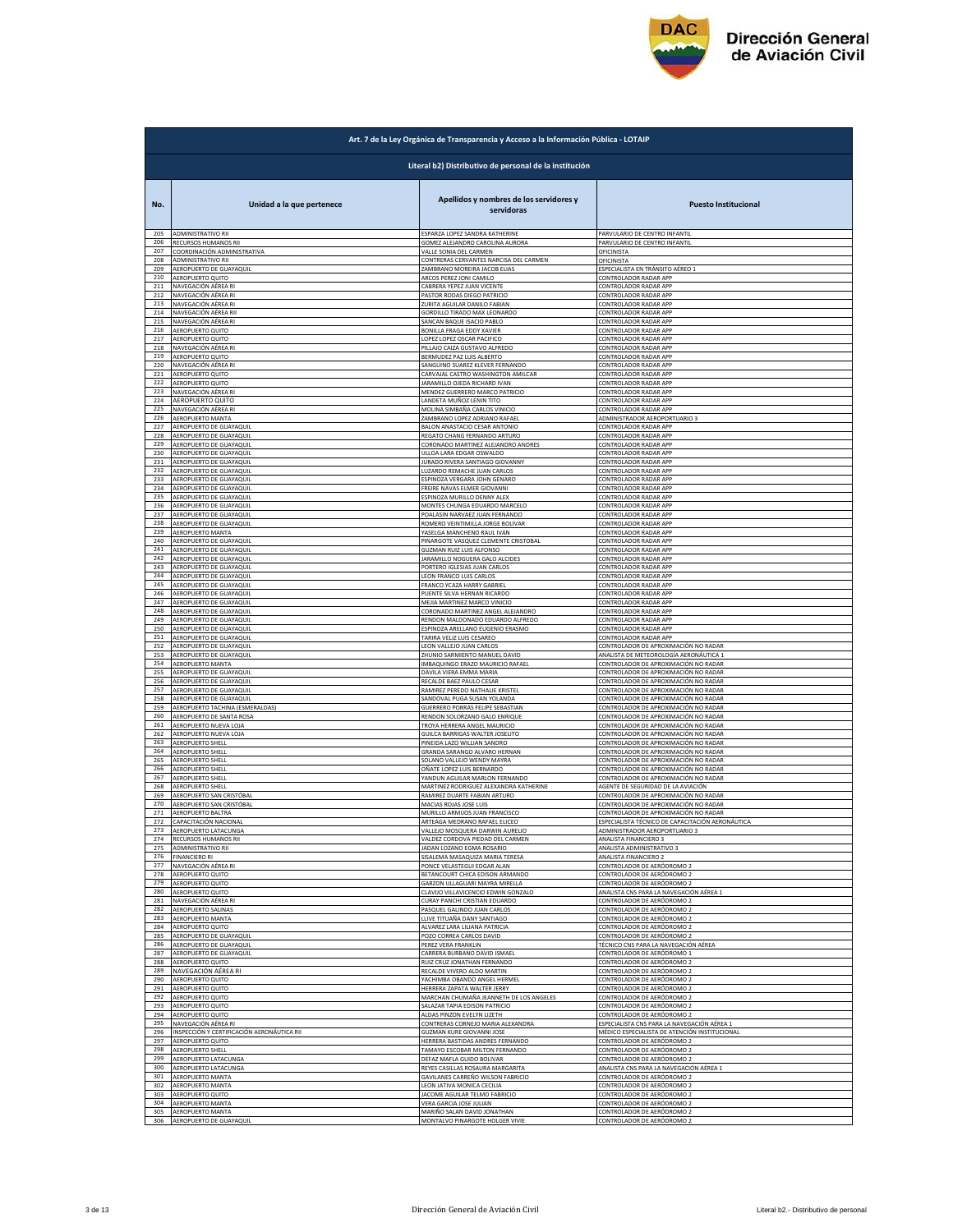

|            | Art. 7 de la Ley Orgánica de Transparencia y Acceso a la Información Pública - LOTAIP |                                                                   |                                                    |  |
|------------|---------------------------------------------------------------------------------------|-------------------------------------------------------------------|----------------------------------------------------|--|
|            | Literal b2) Distributivo de personal de la institución                                |                                                                   |                                                    |  |
| No.        | Unidad a la que pertenece                                                             | Apellidos y nombres de los servidores y<br>servidoras             | <b>Puesto Institucional</b>                        |  |
| 205        | <b>ADMINISTRATIVO RII</b>                                                             | ESPARZA LOPEZ SANDRA KATHERINE                                    | PARVULARIO DE CENTRO INFANTIL                      |  |
| 206        | RECURSOS HUMANOS RII                                                                  | GOMEZ ALEJANDRO CAROLINA AURORA                                   | PARVULARIO DE CENTRO INFANTIL                      |  |
| 207        | COORDINACIÓN ADMINISTRATIVA                                                           | VALLE SONIA DEL CARMEN                                            | <b>OFICINISTA</b>                                  |  |
| 208        | <b>ADMINISTRATIVO RII</b>                                                             | CONTRERAS CERVANTES NARCISA DEL CARMEN                            | <b>OFICINISTA</b>                                  |  |
| 209        | AEROPUERTO DE GUAYAQUIL                                                               | ZAMBRANO MOREIRA JACOB ELIAS                                      | ESPECIALISTA EN TRÁNSITO AÉREO 1                   |  |
| 210        | AEROPUERTO QUITO                                                                      | ARCOS PEREZ JONI CAMILO                                           | CONTROLADOR RADAR APP                              |  |
| 211        | NAVEGACIÓN AÉREA RI                                                                   | CABRERA YEPEZ JUAN VICENTE                                        | CONTROLADOR RADAR APP                              |  |
| 212        | NAVEGACIÓN AÉREA RI                                                                   | PASTOR RODAS DIEGO PATRICIO                                       | CONTROLADOR RADAR API                              |  |
| 213        | NAVEGACIÓN AÉREA RI                                                                   | ZURITA AGUILAR DANILO FABIAN                                      | CONTROLADOR RADAR APF                              |  |
| 214        | NAVEGACIÓN AÉREA RII                                                                  | GORDILLO TIRADO MAX LEONARDO                                      | CONTROLADOR RADAR APP                              |  |
| 215        | NAVEGACIÓN AÉREA RI                                                                   | SANCAN BAQUE ISACIO PABLO                                         | CONTROLADOR RADAR APP                              |  |
| 216        | AEROPUERTO QUITO                                                                      | BONILLA FRAGA EDDY XAVIER                                         | CONTROLADOR RADAR APP                              |  |
| 217        | AEROPUERTO QUITO                                                                      | LOPEZ LOPEZ OSCAR PACIFICO                                        | CONTROLADOR RADAR APP                              |  |
| 218        | NAVEGACIÓN AÉREA RI                                                                   | PILLAJO CAIZA GUSTAVO ALFREDO                                     | CONTROLADOR RADAR APP                              |  |
| 219        | AEROPUERTO QUITO                                                                      | BERMUDEZ PAZ LUIS ALBERTO                                         | CONTROLADOR RADAR APP                              |  |
| 220        | NAVEGACIÓN AÉREA RI                                                                   | SANGUINO SUAREZ KLEVER FERNANDO                                   | <b>CONTROLADOR RADAR APF</b>                       |  |
| 221        | AEROPUERTO QUITO                                                                      | CARVAJAL CASTRO WASHINGTON AMILCAR                                | CONTROLADOR RADAR API                              |  |
| 222        | AEROPUERTO QUITO                                                                      | JARAMILLO OJEDA RICHARD IVAN                                      | CONTROLADOR RADAR APP                              |  |
| 223        | NAVEGACIÓN AÉREA RI                                                                   | MENDEZ GUERRERO MARCO PATRICIO                                    | CONTROLADOR RADAR APP                              |  |
| 224        | AEROPUERTO QUITO                                                                      | LANDETA MUÑOZ LENIN TITO                                          | CONTROLADOR RADAR APP                              |  |
| 225        | NAVEGACIÓN AÉREA RI                                                                   | MOLINA SIMBAÑA CARLOS VINICIO                                     | CONTROLADOR RADAR APP                              |  |
| 226        | AEROPUERTO MANTA                                                                      | ZAMBRANO LOPEZ ADRIANO RAFAEL                                     | ADMINISTRADOR AEROPORTUARIO 3                      |  |
| 227        | AEROPUERTO DE GUAYAQUIL                                                               | BALON ANASTACIO CESAR ANTONIO                                     | CONTROLADOR RADAR API                              |  |
| 228        | AEROPUERTO DE GUAYAQUII                                                               | REGATO CHANG FERNANDO ARTURO                                      | <b>CONTROLADOR RADAR APF</b>                       |  |
| 229        | AFROPUERTO DE GUAYAOUL                                                                | CORONADO MARTINEZ ALEJANDRO ANDRES                                | CONTROLADOR RADAR APP                              |  |
| 230        | AEROPUERTO DE GUAYAQUIL                                                               | ULLOA LARA EDGAR OSWALDO                                          | CONTROLADOR RADAR APP                              |  |
| 231        | AEROPUERTO DE GUAYAQUIL                                                               | JURADO RIVERA SANTIAGO GIOVANNY                                   | CONTROLADOR RADAR APP                              |  |
| 232        | AEROPUERTO DE GUAYAQUIL                                                               | LUZARDO REMACHE JUAN CARLOS                                       | CONTROLADOR RADAR APP                              |  |
| 233        | AEROPUERTO DE GUAYAQUIL                                                               | ESPINOZA VERGARA JOHN GENARO                                      | CONTROLADOR RADAR APP                              |  |
| 234        | AEROPUERTO DE GUAYAQUIL                                                               | FREIRE NAVAS ELMER GIOVANNI                                       | CONTROLADOR RADAR APP                              |  |
| 235        | AEROPUERTO DE GUAYAQUIL                                                               | ESPINOZA MURILLO DENNY ALEX                                       | CONTROLADOR RADAR APP                              |  |
| 236        | AEROPUERTO DE GUAYAQUIL                                                               | MONTES CHUNGA EDUARDO MARCELO                                     | CONTROLADOR RADAR APP                              |  |
| 237        | AEROPUERTO DE GUAYAQUII                                                               | POALASIN NARVAEZ JUAN FERNANDO                                    | CONTROLADOR RADAR APP                              |  |
| 238        | AEROPUERTO DE GUAYAQUIL                                                               | ROMERO VEINTIMILLA JORGE BOLIVAR                                  | CONTROLADOR RADAR APP                              |  |
| 239        | AEROPUERTO MANTA                                                                      | YASELGA MANCHENO RAUL IVAN                                        | CONTROLADOR RADAR APP                              |  |
| 240        | AEROPUERTO DE GUAYAQUIL                                                               | PINARGOTE VASQUEZ CLEMENTE CRISTOBAL                              | CONTROLADOR RADAR APP                              |  |
| 241        | AEROPUERTO DE GUAYAQUIL                                                               |                                                                   | CONTROLADOR RADAR APP                              |  |
| 242        | AEROPUERTO DE GUAYAQUIL                                                               | <b>GUZMAN RUIZ LUIS ALFONSO</b><br>JARAMILLO NOGUERA GALO ALCIDES | CONTROLADOR RADAR APP                              |  |
| 243        | AEROPUERTO DE GUAYAQUIL                                                               | PORTERO IGLESIAS JUAN CARLOS                                      | CONTROLADOR RADAR APP                              |  |
| 244        | AEROPUERTO DE GUAYAQUIL                                                               | LEON FRANCO LUIS CARLOS                                           | CONTROLADOR RADAR API                              |  |
| 245        | AEROPUERTO DE GUAYAQUI                                                                | FRANCO YCAZA HARRY GABRIE                                         | <b>CONTROLADOR RADAR APF</b>                       |  |
| 246        | AEROPUERTO DE GUAYAQUII                                                               | PUENTE SILVA HERNAN RICARDO                                       | CONTROLADOR RADAR APF                              |  |
| 247        | AEROPUERTO DE GUAYAQUIL                                                               | MEJIA MARTINEZ MARCO VINICIO                                      | CONTROLADOR RADAR APP                              |  |
| 248        | AEROPUERTO DE GUAYAQUIL                                                               | CORONADO MARTINEZ ANGEL ALEJANDRO                                 | CONTROLADOR RADAR APP                              |  |
| 249        | AEROPUERTO DE GUAYAQUIL                                                               | RENDON MALDONADO EDUARDO ALFREDO                                  | CONTROLADOR RADAR APP                              |  |
| 250        | AEROPUERTO DE GUAYAQUIL                                                               | ESPINOZA ARELLANO EUGENIO ERASMO                                  | CONTROLADOR RADAR APP                              |  |
| 251        | AEROPUERTO DE GUAYAQUIL                                                               | TARIRA VELIZ LUIS CESAREO                                         | CONTROLADOR RADAR APP                              |  |
| 252        | AEROPUERTO DE GUAYAQUIL                                                               | LEON VALLEJO JUAN CARLOS                                          | CONTROLADOR DE APROXIMACIÓN NO RADAR               |  |
| 253        | AEROPUERTO DE GUAYAQUIL                                                               | ZHUNIO SARMIENTO MANUEL DAVID                                     | ANALISTA DE METEOROLOGÍA AERONÁUTICA :             |  |
| 254        | <b>AEROPUERTO MANTA</b>                                                               | IMBAQUINGO ERAZO MAURICIO RAFAEL                                  | CONTROLADOR DE APROXIMACIÓN NO RADAR               |  |
| 255        | AEROPUERTO DE GUAYAQUIL                                                               | DAVILA VIERA EMMA MARIA                                           | CONTROLADOR DE APROXIMACIÓN NO RADAR               |  |
| 256        | AEROPUERTO DE GUAYAQUIL                                                               | RECALDE BAEZ PAULO CESAR                                          | CONTROLADOR DE APROXIMACIÓN NO RADAR               |  |
| 257        | AEROPUERTO DE GUAYAQUIL                                                               | RAMIREZ PEREDO NATHALIE KRISTEL                                   | CONTROLADOR DE APROXIMACIÓN NO RADAR               |  |
| 258        | AEROPUERTO DE GUAYAQUIL                                                               | SANDOVAL PUGA SUSAN YOLANDA                                       | CONTROLADOR DE APROXIMACIÓN NO RADAR               |  |
| 259        | AEROPUERTO TACHINA (ESMERALDAS)                                                       | GUERRERO PORRAS FELIPE SEBASTIAN                                  | CONTROLADOR DE APROXIMACIÓN NO RADAR               |  |
| 260        | AEROPUERTO DE SANTA ROSA                                                              | RENDON SOLORZANO GALO ENRIQUE                                     | CONTROLADOR DE APROXIMACIÓN NO RADAR               |  |
| 261        | AEROPUERTO NUEVA LOJA                                                                 | TROYA HERRERA ANGEL MAURICIO                                      | CONTROLADOR DE APROXIMACIÓN NO RADAR               |  |
| 262        | AEROPUERTO NUEVA LOJA                                                                 | <b>GUILCA BARRIGAS WALTER JOSELITO</b>                            | CONTROLADOR DE APROXIMACIÓN NO RADAR               |  |
| 263        | AEROPUERTO SHELL                                                                      | PINEIDA LAZO WILLIAN SANDRO                                       | CONTROLADOR DE APROXIMACIÓN NO RADAR               |  |
| 264        | AEROPUERTO SHELL                                                                      | GRANDA SARANGO ALVARO HERNAN                                      | CONTROLADOR DE APROXIMACIÓN NO RADAR               |  |
| 265        | <b>AEROPUERTO SHELL</b>                                                               | SOLANO VALLEJO WENDY MAYRA                                        | CONTROLADOR DE APROXIMACIÓN NO RADAR               |  |
| 266        | AEROPUERTO SHELL                                                                      | OÑATE LOPEZ LUIS BERNARDO                                         | CONTROLADOR DE APROXIMACIÓN NO RADAR               |  |
| 267        | <b>AEROPUERTO SHELL</b>                                                               | YANDUN AGUILAR MARLON FERNANDO                                    | CONTROLADOR DE APROXIMACIÓN NO RADAR               |  |
| 268        | AEROPUERTO SHELL                                                                      | MARTINEZ RODRIGUEZ ALEXANDRA KATHERINE                            | AGENTE DE SEGURIDAD DE LA AVIACIÓN                 |  |
| 269<br>270 | AEROPUERTO SAN CRISTÓBAL                                                              | RAMIREZ DUARTE FABIAN ARTURO                                      | CONTROLADOR DE APROXIMACIÓN NO RADAR               |  |
| 271        | AEROPUERTO SAN CRISTÓBAL                                                              | MACIAS ROJAS JOSE LUIS                                            | CONTROLADOR DE APROXIMACIÓN NO RADAR               |  |
|            | AEROPUERTO BALTRA                                                                     | MURILLO ARMIJOS JUAN FRANCISCO                                    | CONTROLADOR DE APROXIMACIÓN NO RADAR               |  |
| 272        | CAPACITACIÓN NACIONA                                                                  | ARTFAGA MEDRANO RAFAEL FLICEO                                     | ESPECIALISTA TÉCNICO DE CAPACITACIÓN AERONÁLITICA  |  |
| 273        | AEROPUERTO LATACUNGA                                                                  | VALLEJO MOSQUERA DARWIN AURELIO                                   | ADMINISTRADOR AEROPORTUARIO 3                      |  |
| 274        | RECURSOS HUMANOS RII                                                                  | VALDEZ CORDOVA PIEDAD DEL CARMEN                                  | ANALISTA FINANCIERO 3                              |  |
| 275        | ADMINISTRATIVO RII                                                                    | JADAN LOZANO EGMA ROSARIO                                         | ANALISTA ADMINISTRATIVO 3                          |  |
| 276        | FINANCIERO RI                                                                         | SISALEMA MASAQUIZA MARIA TERESA                                   | ANALISTA FINANCIERO 2                              |  |
| 277        | NAVEGACIÓN AÉREA RI                                                                   | PONCE VELASTEGUI EDGAR ALAN                                       | CONTROLADOR DE AERÓDROMO 2                         |  |
| 278        | AEROPUERTO QUITO                                                                      | BETANCOURT CHICA EDISON ARMANDO                                   | CONTROLADOR DE AERÓDROMO 2                         |  |
| 279        | AEROPUERTO QUITO                                                                      | GARZON ULLAGUARI MAYRA MIRELLA                                    | CONTROLADOR DE AERÓDROMO 2                         |  |
| 280        | AEROPUERTO QUITO                                                                      | CLAVIJO VILLAVICENCIO EDWIN GONZALO                               | ANALISTA CNS PARA LA NAVEGACIÓN AÉREA 1            |  |
| 281        | NAVEGACIÓN AÉREA RI                                                                   | CURAY PANCHI CRISTIAN EDUARDO                                     | CONTROLADOR DE AERÓDROMO 2                         |  |
| 282        | <b>AEROPUERTO SALINAS</b>                                                             | PASQUEL GALINDO JUAN CARLOS                                       | CONTROLADOR DE AERÓDROMO 2                         |  |
| 283        | <b>AEROPUERTO MANTA</b>                                                               | LLIVE TITUAÑA DANY SANTIAGO                                       | CONTROLADOR DE AERÓDROMO 2                         |  |
| 284        | AEROPUERTO QUITO                                                                      | ALVAREZ LARA LILIANA PATRICIA                                     | CONTROLADOR DE AERÓDROMO 2                         |  |
| 285        | AEROPUERTO DE GUAYAQUIL                                                               | POZO CORREA CARLOS DAVID                                          | CONTROLADOR DE AERÓDROMO 2                         |  |
| 286        | AEROPUERTO DE GUAYAQUIL                                                               | PEREZ VERA FRANKLIN                                               | TÉCNICO CNS PARA LA NAVEGACIÓN AÉREA               |  |
| 287        | AEROPUERTO DE GUAYAQUIL                                                               | CARRERA BURBANO DAVID ISMAEL                                      | CONTROLADOR DE AERÓDROMO 1                         |  |
| 288        | AFROPUERTO OUITO                                                                      | RUIZ CRUZ JONATHAN FERNANDO                                       | CONTROLADOR DE AERÓDROMO 2                         |  |
| 289        | NAVEGACIÓN AÉREA RI                                                                   | RECALDE VIVERO ALDO MARTIN                                        | CONTROLADOR DE AERÓDROMO 2                         |  |
| 290        | AEROPUERTO QUITO                                                                      | YACHIMBA OBANDO ANGEL HERMEL                                      | CONTROLADOR DE AERÓDROMO 2                         |  |
| 291        | AEROPUERTO QUITO                                                                      | HERRERA ZAPATA WALTER JERRY                                       | CONTROLADOR DE AERÓDROMO 2                         |  |
| 292        | AEROPUERTO QUITO                                                                      | MARCHAN CHUMAÑA JEANNETH DE LOS ANGELES                           | CONTROLADOR DE AERÓDROMO 2                         |  |
| 293<br>294 | AEROPUERTO QUITO                                                                      | ALAZAR TAPIA EDISON PATRICIO                                      | CONTROLADOR DE AERÓDROMO 2                         |  |
| 295        | AEROPUERTO QUITO                                                                      | ALDAS PINZON EVELYN LIZETH                                        | CONTROLADOR DE AERÓDROMO 2                         |  |
|            | NAVEGACIÓN AÉREA RI                                                                   | CONTRERAS CORNEJO MARIA ALEXANDRA                                 | <u>ESPECIALISTA CNS PARA LA NAVEGACIÓN AÉREA 1</u> |  |
| 296        | INSPECCIÓN Y CERTIFICACIÓN AERONÁUTICA RII                                            | <b>GUZMAN KURE GIOVANNI JOSE</b>                                  | MÉDICO ESPECIALISTA DE ATENCIÓN INSTITUCIONAL      |  |
| 297        | AEROPUERTO QUITO                                                                      | HERRERA BASTIDAS ANDRES FERNANDO                                  | CONTROLADOR DE AERÓDROMO 2                         |  |
| 298        | AEROPUERTO SHELL                                                                      | TAMAYO ESCOBAR MILTON FERNANDO                                    | CONTROLADOR DE AERÓDROMO 2                         |  |
| 299        | AEROPUERTO LATACUNGA                                                                  | DEFAZ MAFLA GUIDO BOLIVAR                                         | CONTROLADOR DE AERÓDROMO 2                         |  |
| 300        | <b>AEROPUERTO LATACUNGA</b>                                                           | REYES CASILLAS ROSAURA MARGARITA                                  | ANALISTA CNS PARA LA NAVEGACIÓN AÉREA 1            |  |
| 301        | AEROPUERTO MANTA                                                                      | GAVILANES CARREÑO WILSON FABRICIO                                 | CONTROLADOR DE AERÓDROMO 2                         |  |
| 302        | AEROPUERTO MANTA                                                                      | LEON JATIVA MONICA CECILIA                                        | CONTROLADOR DE AERÓDROMO 2                         |  |
| 303        | AEROPUERTO QUITO                                                                      | JACOME AGUILAR TELMO FABRICIO                                     | CONTROLADOR DE AERÓDROMO 2                         |  |
| 304        | AEROPUERTO MANTA                                                                      | VERA GARCIA JOSE JULIAN                                           | CONTROLADOR DE AERÓDROMO 2                         |  |
| 305        | <b>AEROPUERTO MANTA</b>                                                               | MARIÑO SALAN DAVID JONATHAN                                       | CONTROLADOR DE AERÓDROMO 2                         |  |
| 306        | AEROPUERTO DE GUAYAQUIL                                                               | MONTALVO PINARGOTE HOLGER VIVIE                                   | CONTROLADOR DE AERÓDROMO 2                         |  |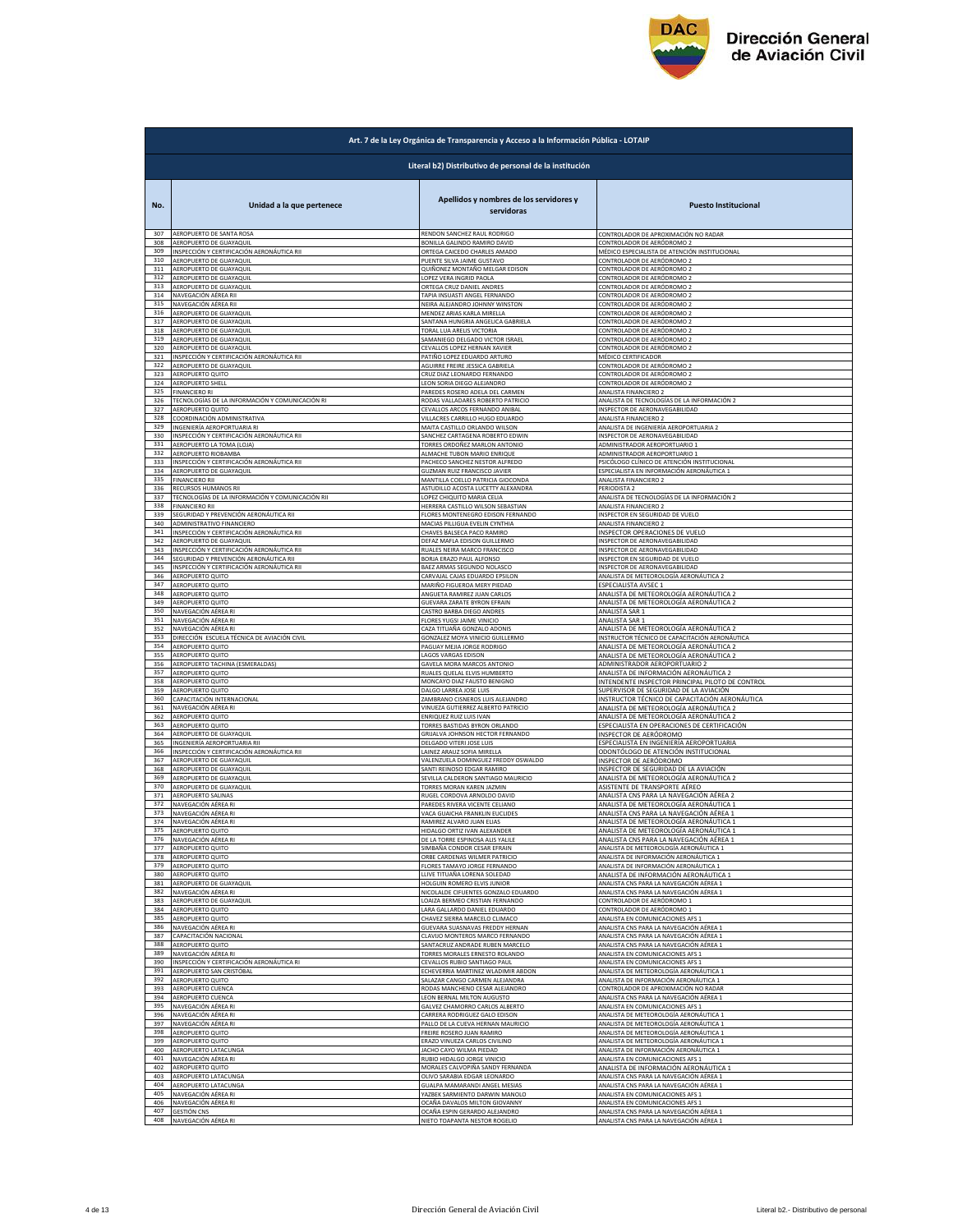

|            | Art. 7 de la Ley Orgánica de Transparencia y Acceso a la Información Pública - LOTAIP |                                                            |                                                                                         |  |
|------------|---------------------------------------------------------------------------------------|------------------------------------------------------------|-----------------------------------------------------------------------------------------|--|
|            | Literal b2) Distributivo de personal de la institución                                |                                                            |                                                                                         |  |
| No.        | Unidad a la que pertenece                                                             | Apellidos y nombres de los servidores y<br>servidoras      | <b>Puesto Institucional</b>                                                             |  |
| 307        | AEROPUERTO DE SANTA ROSA                                                              | RENDON SANCHEZ RAUL RODRIGO                                | CONTROLADOR DE APROXIMACIÓN NO RADAR                                                    |  |
| 308        | AEROPUERTO DE GUAYAQUIL                                                               | BONILLA GALINDO RAMIRO DAVID                               | CONTROLADOR DE AERÓDROMO 2                                                              |  |
| 309<br>310 | INSPECCIÓN Y CERTIFICACIÓN AERONÁUTICA RII                                            | ORTEGA CAICEDO CHARLES AMADO                               | MÉDICO ESPECIALISTA DE ATENCIÓN INSTITUCIONAL                                           |  |
| 311        | AEROPUERTO DE GUAYAQUIL                                                               | PUENTE SILVA JAIME GUSTAVO                                 | CONTROLADOR DE AERÓDROMO 2                                                              |  |
|            | AEROPUERTO DE GUAYAQUIL                                                               | QUIÑONEZ MONTAÑO MELGAR EDISON                             | CONTROLADOR DE AERÓDROMO 2                                                              |  |
| 312        | AEROPUERTO DE GUAYAQUIL                                                               | LOPEZ VERA INGRID PAOLA                                    | CONTROLADOR DE AERÓDROMO 2                                                              |  |
| 313        | AEROPUERTO DE GUAYAQUIL                                                               | ORTEGA CRUZ DANIEL ANDRE                                   | CONTROLADOR DE AERÓDROMO 2                                                              |  |
| 314        | NAVEGACIÓN AÉREA RII                                                                  | TAPIA INSUASTI ANGEL FERNANDO                              | <u>CONTROLADOR DE AERÓDROMO 2</u>                                                       |  |
| 315        | NAVEGACIÓN AÉREA RII                                                                  | NEIRA ALEIANDRO IOHNNY WINSTON                             | CONTROLADOR DE AFRÓDROMO 2                                                              |  |
| 316        | AEROPUERTO DE GUAYAQUIL                                                               | MENDEZ ARIAS KARLA MIRELLA                                 | CONTROLADOR DE AERÓDROMO 2                                                              |  |
| 317<br>318 | AEROPUERTO DE GUAYAQUIL                                                               | SANTANA HUNGRIA ANGELICA GABRIELA                          | CONTROLADOR DE AERÓDROMO 2                                                              |  |
| 319        | AEROPUERTO DE GUAYAQUIL                                                               | TORAL LUA ARELIS VICTORIA                                  | CONTROLADOR DE AERÓDROMO 2                                                              |  |
|            | AEROPUERTO DE GUAYAQUIL                                                               | SAMANIEGO DELGADO VICTOR ISRAEL                            | CONTROLADOR DE AERÓDROMO 2                                                              |  |
| 320        | AEROPUERTO DE GUAYAQUIL                                                               | CEVALLOS LOPEZ HERNAN XAVIER                               | ONTROLADOR DE AERÓDROMO 2                                                               |  |
| 321        | INSPECCIÓN Y CERTIFICACIÓN AERONÁUTICA RII                                            | PATIÑO LOPEZ EDUARDO ARTURO                                | MÉDICO CERTIFICADOR                                                                     |  |
| 322        | AEROPUERTO DE GUAYAQUIL                                                               | AGUIRRE FREIRE JESSICA GABRIELA                            | <u>CONTROLADOR DE AERÓDROMO 2</u>                                                       |  |
| 323        | AEROPUERTO QUITO                                                                      | CRUZ DIAZ LEONARDO FERNANDO                                | CONTROLADOR DE AERÓDROMO 2                                                              |  |
| 324        | AEROPUERTO SHELL                                                                      | LEON SORIA DIEGO ALEJANDRO                                 | CONTROLADOR DE AERÓDROMO 2                                                              |  |
| 325        | <b>FINANCIERO RI</b><br>TECNOLOGÍAS DE LA INFORMACIÓN Y COMUNICACIÓN RI               | PAREDES ROSERO ADELA DEL CARMEN                            | ANALISTA FINANCIERO 2                                                                   |  |
| 326        | AEROPUERTO QUITO                                                                      | RODAS VALLADARES ROBERTO PATRICIO                          | ANALISTA DE TECNOLOGÍAS DE LA INFORMACIÓN 2                                             |  |
| 327        |                                                                                       | CEVALLOS ARCOS FERNANDO ANIBAL                             | INSPECTOR DE AERONAVEGABILIDAD                                                          |  |
| 328        | COORDINACIÓN ADMINISTRATIVA                                                           | VILLACRES CARRILLO HUGO EDUARDO                            | ANALISTA FINANCIERO 2                                                                   |  |
| 329        | INGENIERÍA AEROPORTUARIA RI                                                           | MAITA CASTILLO ORLANDO WILSON                              | ANALISTA DE INGENIERÍA AEROPORTUARIA 2                                                  |  |
| 330        | INSPECCIÓN Y CERTIFICACIÓN AERONÁUTICA RII                                            | SANCHEZ CARTAGENA ROBERTO EDWIN                            | INSPECTOR DE AERONAVEGABILIDAD                                                          |  |
| 331        | AEROPUERTO LA TOMA (LOJA)                                                             | TORRES ORDOÑEZ MARLON ANTONIO                              | ADMINISTRADOR AEROPORTUARIO 1                                                           |  |
| 332        | AEROPUERTO RIOBAMBA                                                                   | ALMACHE TUBON MARIO ENRIQUE                                | ADMINISTRADOR AEROPORTUARIO 1                                                           |  |
| 333        | INSPECCIÓN Y CERTIFICACIÓN AERONÁUTICA RII                                            | PACHECO SANCHEZ NESTOR ALFREDO                             | PSICÓLOGO CLÍNICO DE ATENCIÓN INSTITUCIONAL                                             |  |
| 334        | AEROPUERTO DE GUAYAQUIL                                                               | GUZMAN RUIZ FRANCISCO JAVIER                               | ESPECIALISTA EN INFORMACIÓN AERONÁUTICA 1                                               |  |
| 335        | <b>FINANCIERO RII</b>                                                                 | MANTILLA COELLO PATRICIA GIOCONDA                          | ANALISTA FINANCIERO 2                                                                   |  |
| 336        | RECURSOS HUMANOS RII                                                                  | ASTUDILLO ACOSTA LUCETTY ALEXANDRA                         | PERIODISTA 2                                                                            |  |
| 337        | TECNOLOGÍAS DE LA INFORMACIÓN Y COMUNICACIÓN RII                                      | LOPEZ CHIQUITO MARIA CELIA                                 | ANALISTA DE TECNOLOGÍAS DE LA INFORMACIÓN 2                                             |  |
| 338<br>339 | FINANCIERO RII                                                                        | HERRERA CASTILLO WILSON SEBASTIAN                          | ANALISTA FINANCIERO 2                                                                   |  |
| 340        | SEGURIDAD Y PREVENCIÓN AERONÁUTICA RII                                                | FLORES MONTENEGRO EDISON FERNANDO                          | INSPECTOR EN SEGURIDAD DE VUELO                                                         |  |
|            | ADMINISTRATIVO FINANCIERO                                                             | MACIAS PILLIGUA EVELIN CYNTHIA                             | ANALISTA FINANCIERO 2                                                                   |  |
| 341        | INSPECCIÓN Y CERTIFICACIÓN AERONÁUTICA RII                                            | CHAVES BALSECA PACO RAMIRO                                 | INSPECTOR OPERACIONES DE VUELO                                                          |  |
| 342        | AEROPUERTO DE GUAYAQUIL                                                               | DEFAZ MAFLA EDISON GUILLERMO                               | INSPECTOR DE AERONAVEGABILIDAD                                                          |  |
| 343        | INSPECCIÓN Y CERTIFICACIÓN AERONÁUTICA RIL                                            | RUALES NEIRA MARCO FRANCISCO                               | INSPECTOR DE AERONAVEGABILIDAD                                                          |  |
| 344        | SEGURIDAD Y PREVENCIÓN AERONÁUTICA RII                                                | BORJA ERAZO PAUL ALFONSO                                   | INSPECTOR EN SEGURIDAD DE VUELO                                                         |  |
| 345        | INSPECCIÓN Y CERTIFICACIÓN AERONÁUTICA RII                                            | BAEZ ARMAS SEGUNDO NOLASCO                                 | INSPECTOR DE AERONAVEGABILIDAD                                                          |  |
| 346        | AEROPUERTO QUITO                                                                      | CARVAJAL CAJAS EDUARDO EPSILON                             | ANALISTA DE METEOROLOGÍA AERONÁUTICA 2                                                  |  |
| 347        | AEROPUERTO QUITO                                                                      |                                                            | ESPECIALISTA AVSEC 1                                                                    |  |
| 348        | AEROPUERTO QUITO                                                                      | MARIÑO FIGUEROA MERY PIEDAD<br>ANGUETA RAMIREZ JUAN CARLOS | ANALISTA DE METEOROLOGÍA AERONÁUTICA 2                                                  |  |
| 349        | AEROPUERTO QUITO                                                                      | GUEVARA ZARATE BYRON EFRAIN                                | ANALISTA DE METEOROLOGÍA AERONÁUTICA 2                                                  |  |
| 350        | NAVEGACIÓN AÉREA RI                                                                   | CASTRO BARBA DIEGO ANDRES                                  | ANALISTA SAR 1                                                                          |  |
| 351        | NAVEGACIÓN AÉREA RI                                                                   | FLORES YUGSI JAIME VINICIO                                 | ANALISTA SAR 1                                                                          |  |
| 352        | NAVEGACIÓN AÉREA RI                                                                   | CAZA TITUAÑA GONZALO ADONIS                                |                                                                                         |  |
| 353        | DIRECCIÓN ESCUELA TÉCNICA DE AVIACIÓN CIVIL                                           | GONZALEZ MOYA VINICIO GUILLERMO                            | ANALISTA DE METEOROLOGÍA AERONÁUTICA 2<br>NSTRUCTOR TÉCNICO DE CAPACITACIÓN AERONÁUTICA |  |
| 354        | AEROPUERTO QUITO                                                                      | PAGUAY MEJIA JORGE RODRIGO                                 | ANALISTA DE METEOROLOGÍA AERONÁUTICA 2                                                  |  |
| 355        | AEROPUERTO QUITO                                                                      | <b>LAGOS VARGAS EDISON</b>                                 | ANALISTA DE METEOROLOGÍA AERONÁUTICA 2                                                  |  |
| 356        | AEROPUERTO TACHINA (ESMERALDAS)                                                       | <b>GAVELA MORA MARCOS ANTONIC</b>                          | ADMINISTRADOR AEROPORTUARIO 2                                                           |  |
| 357        | AEROPUERTO QUITO                                                                      | RUALES QUELAL ELVIS HUMBERTO                               | ANALISTA DE INFORMACIÓN AERONÁUTICA 2                                                   |  |
| 358        | AEROPUERTO QUITO                                                                      | MONCAYO DIAZ FAUSTO BENIGNO                                | INTENDENTE INSPECTOR PRINCIPAL PILOTO DE CONTROL                                        |  |
| 359        | AEROPUERTO QUITO                                                                      | DALGO LARREA JOSE LUIS                                     | SUPERVISOR DE SEGURIDAD DE LA AVIACIÓN                                                  |  |
| 360        | CAPACITACIÓN INTERNACIONAL                                                            | ZAMBRANO CISNEROS LUIS ALEJANDRO                           | INSTRUCTOR TÉCNICO DE CAPACITACIÓN AERONÁUTICA                                          |  |
| 361        | NAVEGACIÓN AÉREA RI                                                                   | VINUEZA GUTIERREZ ALBERTO PATRICIO                         | ANALISTA DE METEOROLOGÍA AERONÁUTICA 2                                                  |  |
| 362        | AEROPUERTO QUITO                                                                      | ENRIQUEZ RUIZ LUIS IVAN                                    | ANALISTA DE METEOROLOGÍA AERONÁUTICA 2                                                  |  |
| 363        | AEROPUERTO QUITO                                                                      | TORRES BASTIDAS BYRON ORLANDO                              | ESPECIALISTA EN OPERACIONES DE CERTIFICACIÓN                                            |  |
| 364        | AEROPUERTO DE GUAYAQUII                                                               | GRIJALVA JOHNSON HECTOR FERNANDO                           | INSPECTOR DE AERÓDROMO                                                                  |  |
| 365        | INGENIERÍA AEROPORTUARIA RII                                                          | DELGADO VITERI JOSE LUIS                                   | ESPECIALISTA EN INGENIERÍA AEROPORTUARIA                                                |  |
| 366        | INSPECCIÓN Y CERTIFICACIÓN AERONÁUTICA RII                                            | LAINEZ ARAUZ SOFIA MIRELLA                                 | ODONTÓLOGO DE ATENCIÓN INSTITUCIONAL                                                    |  |
| 367        | AEROPUERTO DE GUAYAQUIL                                                               | VALENZUELA DOMINGUEZ FREDDY OSWALDO                        | INSPECTOR DE AERÓDROMO                                                                  |  |
| 368        | AEROPUERTO DE GUAYAQUIL                                                               | SANTI REINOSO EDGAR RAMIRO                                 | INSPECTOR DE SEGURIDAD DE LA AVIACIÓN                                                   |  |
| 369        | AEROPUERTO DE GUAYAQUIL                                                               | SEVILLA CALDERON SANTIAGO MAURICIO                         | ANALISTA DE METEOROLOGÍA AERONÁUTICA 2                                                  |  |
| 370        | AEROPUERTO DE GUAYAQUIL                                                               | TORRES MORAN KAREN JAZMIN                                  | ASISTENTE DE TRANSPORTE AÉREO                                                           |  |
| 371        | AEROPUERTO SALINAS                                                                    | RUGEL CORDOVA ARNOLDO DAVID                                | ANALISTA CNS PARA LA NAVEGACIÓN AÉREA 2                                                 |  |
| 372        | NAVEGACIÓN AÉREA RI                                                                   | PAREDES RIVERA VICENTE CELIANO                             | ANALISTA DE METEOROLOGÍA AERONÁUTICA 1                                                  |  |
| 373        | NAVEGACIÓN AÉREA RI                                                                   | VACA GUAICHA FRANKLIN EUCLIDES                             | ANALISTA CNS PARA LA NAVEGACIÓN AÉREA 1                                                 |  |
| 374        | NAVEGACIÓN AÉREA RI                                                                   | RAMIREZ ALVARO JUAN ELIAS<br>HIDALGO ORTIZ IVAN ALEXANDER  | ANALISTA DE METEOROLOGÍA AFRONÁLITICA 1                                                 |  |
| 375        | AEROPUERTO QUITO                                                                      | DE LA TORRE ESPINOSA ALIS YALILE                           | ANALISTA DE METEOROLOGÍA AERONÁUTICA 1                                                  |  |
| 376        | NAVEGACIÓN AÉREA RI                                                                   |                                                            | ANALISTA CNS PARA LA NAVEGACIÓN AÉREA 1                                                 |  |
| 377        | AEROPUERTO QUITO                                                                      | SIMBAÑA CONDOR CESAR FERAIN                                | ANALISTA DE METEOROLOGÍA AERONÁUTICA 1                                                  |  |
| 378        | AEROPUERTO QUITO                                                                      | ORBE CARDENAS WILMER PATRICIO                              | ANALISTA DE INFORMACIÓN AERONÁUTICA 1                                                   |  |
| 379        |                                                                                       |                                                            |                                                                                         |  |
|            | AEROPUERTO QUITO                                                                      | FLORES TAMAYO JORGE FERNANDO                               | ANALISTA DE INFORMACIÓN AERONÁUTICA 1                                                   |  |
| 380        | AEROPUERTO QUITO                                                                      | LLIVE TITUAÑA LORENA SOLEDAD                               | ANALISTA DE INFORMACIÓN AERONÁUTICA :                                                   |  |
| 381        | AEROPUERTO DE GUAYAQUIL                                                               | <b>HOLGUIN ROMERO ELVIS JUNIOR</b>                         | <u>ANALISTA CNS PARA LA NAVEGACIÓN AÉREA 1</u>                                          |  |
| 382        | NAVEGACIÓN AÉREA RI                                                                   | NICOLALDE CIFUENTES GONZALO EDUARDO                        | ANALISTA CNS PARA LA NAVEGACIÓN AÉREA 1                                                 |  |
| 383        | AEROPUERTO DE GUAYAQUIL                                                               | LOAIZA BERMEO CRISTIAN FERNANDO                            | CONTROLADOR DE AERÓDROMO 1                                                              |  |
| 384        | AEROPUERTO QUITO                                                                      | LARA GALLARDO DANIEL EDUARDO                               | CONTROLADOR DE AERÓDROMO 1                                                              |  |
| 385        | AEROPUERTO QUITO                                                                      | CHAVEZ SIERRA MARCELO CLIMACO                              | ANALISTA EN COMUNICACIONES AFS 1                                                        |  |
| 386        | NAVEGACIÓN AÉREA RI                                                                   | GUEVARA SUASNAVAS FREDDY HERNAN                            | ANALISTA CNS PARA LA NAVEGACIÓN AÉREA 1                                                 |  |
| 387        | CAPACITACIÓN NACIONAL                                                                 | CLAVIJO MONTEROS MARCO FERNANDO                            | ANALISTA CNS PARA LA NAVEGACIÓN AÉREA 1                                                 |  |
| 388        | AEROPUERTO QUITO                                                                      | SANTACRUZ ANDRADE RUBEN MARCELO                            | ANALISTA CNS PARA LA NAVEGACIÓN AÉREA 1                                                 |  |
| 389        | NAVEGACIÓN AÉREA RI                                                                   | TORRES MORALES ERNESTO ROLANDO                             | ANALISTA EN COMUNICACIONES AFS 1                                                        |  |
| 390        | INSPECCIÓN Y CERTIFICACIÓN AERONÁUTICA RI                                             | CEVALLOS RUBIO SANTIAGO PAUL                               | ANALISTA EN COMUNICACIONES AFS 1                                                        |  |
| 391        | AEROPUERTO SAN CRISTÓBAL                                                              | ECHEVERRIA MARTINEZ WLADIMIR ABDON                         | ANALISTA DE METEOROLOGÍA AERONÁUTICA 1                                                  |  |
| 392        | AEROPUERTO QUITO                                                                      | SALAZAR CANGO CARMEN ALEJANDRA                             | ANALISTA DE INFORMACIÓN AERONÁUTICA 1                                                   |  |
| 393        | AEROPUERTO CUENCA                                                                     | RODAS MANCHENO CESAR ALEJANDRO                             | CONTROLADOR DE APROXIMACIÓN NO RADAR                                                    |  |
| 394        | AEROPUERTO CUENCA                                                                     | LEON BERNAL MILTON AUGUSTO                                 | ANALISTA CNS PARA LA NAVEGACIÓN AÉREA 1                                                 |  |
| 395        | NAVEGACIÓN AÉREA RI                                                                   | GALVEZ CHAMORRO CARLOS ALBERTO                             | <b>NALISTA EN COMUNICACIONES AFS 1</b>                                                  |  |
| 396        | NAVEGACIÓN AÉREA RI                                                                   | CARRERA RODRIGUEZ GALO EDISON                              | ANALISTA DE METEOROLOGÍA AERONÁUTICA 1                                                  |  |
| 397        | NAVEGACIÓN AÉREA RI                                                                   | PALLO DE LA CUEVA HERNAN MAURICIO                          | ANALISTA DE METEOROLOGÍA AERONÁUTICA 1                                                  |  |
| 398        | AEROPUERTO QUITO                                                                      | FREIRE ROSERO JUAN RAMIRO                                  | ANALISTA DE METEOROLOGÍA AERONÁUTICA 1                                                  |  |
| 399        | AEROPUERTO QUITO                                                                      | ERAZO VINUEZA CARLOS CIVILINO                              | ANALISTA DE METEOROLOGÍA AERONÁUTICA 1                                                  |  |
| 400        | AEROPUERTO LATACUNGA                                                                  | JACHO CAYO WILMA PIEDAD                                    | ANALISTA DE INFORMACIÓN AERONÁUTICA 1                                                   |  |
| 401        | NAVEGACIÓN AÉREA RI                                                                   | RUBIO HIDALGO JORGE VINICIO                                | ANALISTA EN COMUNICACIONES AFS 1                                                        |  |
| 402        | AEROPUERTO QUITO                                                                      | MORALES CALVOPIÑA SANDY FERNANDA                           | ANALISTA DE INFORMACIÓN AERONÁUTICA 1                                                   |  |
| 403        | AEROPUERTO LATACUNGA                                                                  | OLIVO SARABIA EDGAR LEONARDO                               | ANALISTA CNS PARA LA NAVEGACIÓN AÉREA 1                                                 |  |
| 404        | AEROPUERTO LATACUNGA                                                                  | GUALPA MAMARANDI ANGEL MESIAS                              | ANALISTA CNS PARA LA NAVEGACIÓN AÉREA 1                                                 |  |
| 405        | NAVEGACIÓN AÉREA RI                                                                   | YAZBEK SARMIENTO DARWIN MANOLO                             | ANALISTA EN COMUNICACIONES AFS 1                                                        |  |
| 406        | NAVEGACIÓN AÉREA RI                                                                   | OCAÑA DAVALOS MILTON GIOVANNY                              | ANALISTA EN COMUNICACIONES AFS 1                                                        |  |
| 407        | <b>GESTIÓN CNS</b>                                                                    | OCAÑA ESPIN GERARDO ALEJANDRO                              | ANALISTA CNS PARA LA NAVEGACIÓN AÉREA 1                                                 |  |
| 408        | NAVEGACIÓN AÉREA RI                                                                   | NIETO TOAPANTA NESTOR ROGELIO                              | ANALISTA CNS PARA LA NAVEGACIÓN AÉREA 1                                                 |  |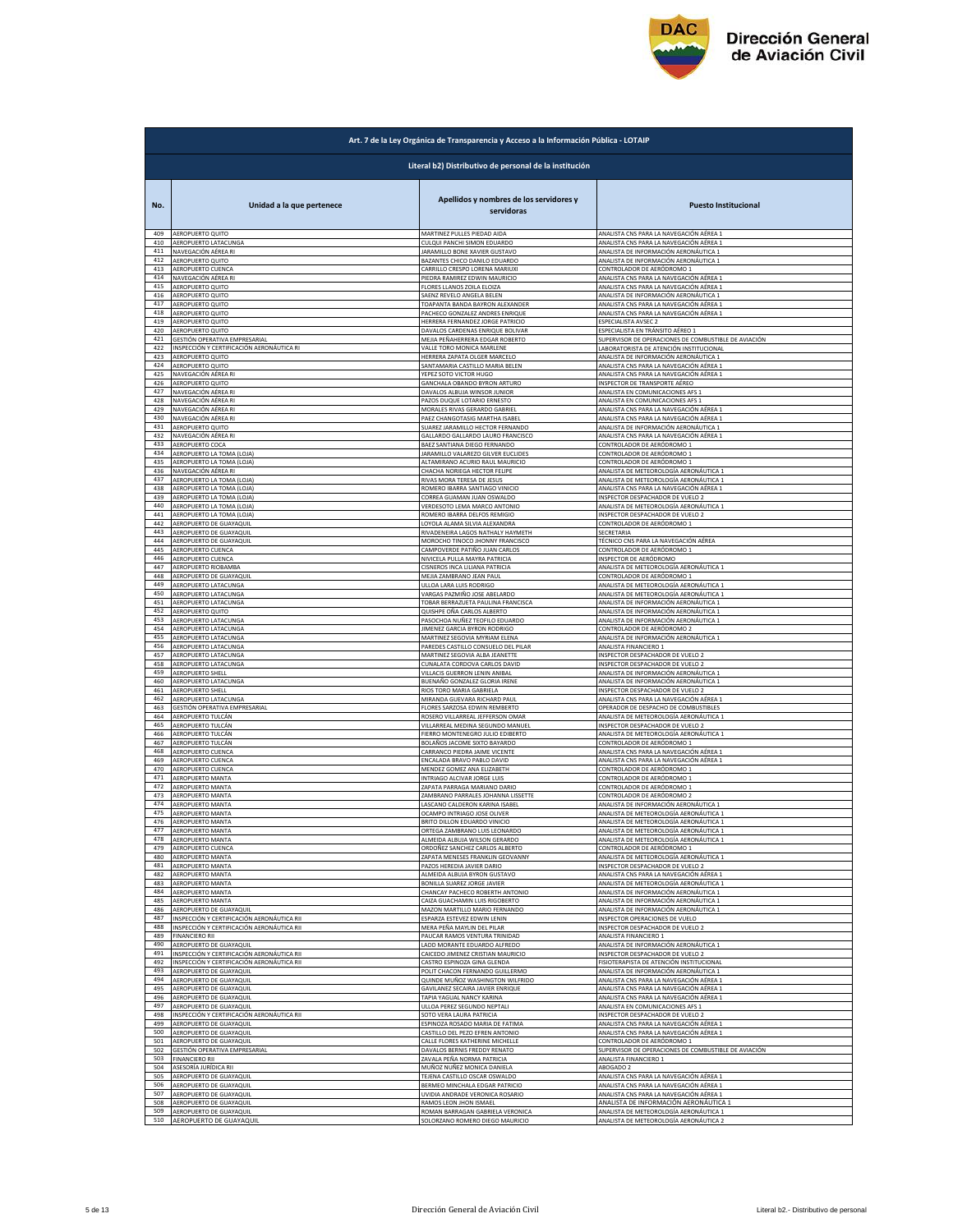

| Literal b2) Distributivo de personal de la institución<br>Apellidos y nombres de los servidores y<br><b>Puesto Institucional</b><br>No.<br>Unidad a la que pertenece<br>servidoras<br>AEROPUERTO QUITO<br>MARTINEZ PULLES PIEDAD AIDA<br>ANALISTA CNS PARA LA NAVEGACIÓN AÉREA 1<br>409<br>410<br>AEROPUERTO LATACUNGA<br>CULQUI PANCHI SIMON EDUARDO<br>ANALISTA CNS PARA LA NAVEGACIÓN AÉREA 1<br>411<br>NAVEGACIÓN AÉREA RI<br><b>JARAMILLO BONE XAVIER GUSTAVO</b><br>ANALISTA DE INFORMACIÓN AERONÁUTICA 1<br>412<br>AEROPUERTO QUITO<br>BAZANTES CHICO DANILO EDUARDO<br>ANALISTA DE INFORMACIÓN AERONÁUTICA 1<br>413<br>AEROPUERTO CUENCA<br>CARRILLO CRESPO LORENA MARIUXI<br>CONTROLADOR DE AERÓDROMO 1<br>414<br><u>NAVEGACIÓN AÉREA RI</u><br>PIEDRA RAMIREZ EDWIN MAURICIO<br><u>ANALISTA CNS PARA LA NAVEGACIÓN AÉREA :</u><br>415<br>AEROPUERTO QUITO<br>FLORES LLANOS ZOILA ELOIZA<br>ANALISTA CNS PARA LA NAVEGACIÓN AÉREA<br>416<br>AEROPUERTO QUITO<br>SAENZ REVELO ANGELA BELEN<br>ANALISTA DE INFORMACIÓN AERONÁUTICA 1<br>417<br>AEROPUERTO QUITO<br>TOAPANTA BANDA BAYRON ALEXANDER<br>ANALISTA CNS PARA LA NAVEGACIÓN AÉREA 1<br>418<br>AEROPUERTO QUITO<br>PACHECO GONZALEZ ANDRES ENRIQUE<br>ANALISTA CNS PARA LA NAVEGACIÓN AÉREA 1<br>419<br>AEROPUERTO QUITO<br>HERRERA FERNANDEZ JORGE PATRICIO<br>ESPECIALISTA AVSEC 2<br>420<br>AEROPUERTO QUITO<br>DAVALOS CARDENAS ENRIQUE BOLIVAR<br>SPECIALISTA EN TRÁNSITO AÉREO 1<br>421<br>GESTIÓN OPERATIVA EMPRESARIAL<br>MEJIA PEÑAHERRERA EDGAR ROBERTO<br>SUPERVISOR DE OPERACIONES DE COMBUSTIBLE DE AVIACIÓN<br>422<br>INSPECCIÓN Y CERTIFICACIÓN AERONÁUTICA RI<br>VALLE TORO MONICA MARLENE<br>LABORATORISTA DE ATENCIÓN INSTITUCIONAL<br>423<br>HERRERA ZAPATA OLGER MARCELO<br>ANALISTA DE INFORMACIÓN AERONÁUTICA 1<br>AEROPUERTO QUITO<br>424<br>AEROPUERTO QUITO<br>SANTAMARIA CASTILLO MARIA BELEN<br>ANALISTA CNS PARA LA NAVEGACIÓN AÉREA 1<br>425<br>NAVEGACIÓN AÉREA RI<br>YEPEZ SOTO VICTOR HUGO<br>ANALISTA CNS PARA LA NAVEGACIÓN AÉREA 1<br>INSPECTOR DE TRANSPORTE AÉREO<br>426<br>AEROPUERTO QUITO<br>GANCHALA OBANDO BYRON ARTURO<br>ANALISTA EN COMUNICACIONES AFS 1<br>427<br>NAVEGACIÓN AÉREA RI<br>DAVALOS ALBUJA WINSOR JUNIOR<br>428<br>NAVEGACIÓN AÉREA RI<br>PAZOS DUQUE LOTARIO ERNESTO<br>ANALISTA EN COMUNICACIONES AFS 1<br>429<br>NAVEGACIÓN AÉREA RI<br>MORALES RIVAS GERARDO GABRIEI<br>ANALISTA CNS PARA LA NAVEGACIÓN AÉREA 1<br>NAVEGACIÓN AÉREA RI<br>PAEZ CHANGOTASIG MARTHA ISABEI<br>ANALISTA CNS PARA LA NAVEGACIÓN AÉREA :<br>430<br>SUAREZ JARAMILLO HECTOR FERNANDO<br>ANALISTA DE INFORMACIÓN AERONÁUTICA 1<br>431<br>AEROPUERTO QUITO<br>432<br>NAVEGACIÓN AÉREA RI<br>GALLARDO GALLARDO LAURO FRANCISCO<br>ANALISTA CNS PARA LA NAVEGACIÓN AÉREA 1<br>433<br>AEROPUERTO COCA<br>BAEZ SANTIANA DIEGO FERNANDO<br>CONTROLADOR DE AERÓDROMO 1<br>434<br>AEROPUERTO LA TOMA (LOJA)<br>JARAMILLO VALAREZO GILVER EUCLIDES<br>CONTROLADOR DE AERÓDROMO 1<br>435<br>AEROPUERTO LA TOMA (LOJA)<br>ALTAMIRANO ACURIO RAUL MAURICIO<br>CONTROLADOR DE AERÓDROMO 1<br>436<br>NAVEGACIÓN AÉREA RI<br>CHACHA NORIEGA HECTOR FELIPE<br>ANALISTA DE METEOROLOGÍA AERONÁUTICA 1<br>437<br>AEROPUERTO LA TOMA (LOJA)<br>RIVAS MORA TERESA DE JESUS<br>ANALISTA DE METEOROLOGÍA AERONÁUTICA 1<br>438<br>AEROPUERTO LA TOMA (LOJA)<br>ROMERO IBARRA SANTIAGO VINICIO<br>ANALISTA CNS PARA LA NAVEGACIÓN AÉREA 1<br>439<br>INSPECTOR DESPACHADOR DE VUELO 2<br>AEROPUERTO LA TOMA (LOJA)<br>CORREA GUAMAN JUAN OSWALDO<br>440<br>AEROPUERTO LA TOMA (LOJA)<br>VERDESOTO LEMA MARCO ANTONIO<br>ANALISTA DE METEOROLOGÍA AERONÁUTICA 1<br>441<br>AEROPUERTO LA TOMA (LOJA)<br>ROMERO IBARRA DELFOS REMIGIO<br>INSPECTOR DESPACHADOR DE VUELO 2<br>442<br>AEROPUERTO DE GUAYAQUIL<br>LOYOLA ALAMA SILVIA ALEXANDRA<br>CONTROLADOR DE AERÓDROMO 1<br>443<br>AEROPUERTO DE GUAYAQUIL<br>RIVADENEIRA LAGOS NATHALY HAYMETH<br>SECRETARIA<br>444<br>AEROPUERTO DE GUAYAQUIL<br>MOROCHO TINOCO JHONNY FRANCISCO<br>TÉCNICO CNS PARA LA NAVEGACIÓN AÉREA<br>445<br>AEROPUERTO CUENCA<br>CAMPOVERDE PATIÑO JUAN CARLOS<br>ONTROLADOR DE AERÓDROMO 1<br>446<br>AEROPUERTO CUENCA<br>NIVICELA PULLA MAYRA PATRICIA<br>INSPECTOR DE AERÓDROMO<br>447<br>AEROPUERTO RIOBAMBA<br>CISNEROS INCA LILIANA PATRICIA<br>ANALISTA DE METEOROLOGÍA AERONÁUTICA 1<br>448<br>MEJIA ZAMBRANO JEAN PAUL<br>AEROPUERTO DE GUAYAQUIL<br>CONTROLADOR DE AFRÓDROMO 1<br>449<br>AEROPUERTO LATACUNGA<br>ULLOA LARA LUIS RODRIGO<br>ANALISTA DE METEOROLOGÍA AERONÁUTICA 1<br>450<br>AEROPUERTO LATACUNGA<br>VARGAS PAZMIÑO JOSE ABELARDO<br>ANALISTA DE METEOROLOGÍA AERONÁUTICA 1<br>TOBAR BERRAZUETA PAULINA FRANCISCA<br>ANALISTA DE INFORMACIÓN AERONÁUTICA 1<br>451<br>AEROPUERTO LATACUNGA<br>AEROPUERTO QUITO<br>QUISHPE OÑA CARLOS ALBERTO<br>NALISTA DE INFORMACIÓN AERONÁUTICA 1<br>452<br>453<br>AEROPUERTO LATACUNGA<br>ASOCHOA NUÑEZ TEOFILO EDUARDO<br>ANALISTA DE INFORMACIÓN AERONÁUTICA 1<br>AEROPUERTO LATACUNGA<br>JIMENEZ GARCIA BYRON RODRIGO<br>CONTROLADOR DE AERÓDROMO 2<br>454<br>455<br>MARTINEZ SEGOVIA MYRIAM ELENA<br>ANALISTA DE INFORMACIÓN AERONÁUTICA 1<br>AEROPUERTO LATACUNGA<br>456<br>PAREDES CASTILLO CONSUELO DEL PILAR<br>ANALISTA FINANCIERO 1<br>AEROPUERTO LATACUNGA<br>457<br>AEROPUERTO LATACUNGA<br>INSPECTOR DESPACHADOR DE VUELO 2<br>MARTINEZ SEGOVIA ALBA JEANETTE<br>458<br>AEROPUERTO LATACUNGA<br>CUNALATA CORDOVA CARLOS DAVID<br>INSPECTOR DESPACHADOR DE VUELO 2<br>459<br>AEROPUERTO SHELL<br>VILLACIS GUERRON LENIN ANIBAL<br>ANALISTA DE INFORMACIÓN AERONÁUTICA 1<br>460<br>ANALISTA DE INFORMACIÓN AERONÁUTICA 1<br>AEROPUERTO LATACUNGA<br>BUENAÑO GONZALEZ GLORIA IRENE<br>461<br>INSPECTOR DESPACHADOR DE VUELO 2<br><b>AEROPUERTO SHELL</b><br>RIOS TORO MARIA GABRIELA<br>462<br>AEROPUERTO LATACUNGA<br>MIRANDA GUEVARA RICHARD PAUL<br>INALISTA CNS PARA LA NAVEGACIÓN AÉREA 1<br>463<br>GESTIÓN OPERATIVA EMPRESARIAL<br>FLORES SARZOSA EDWIN REMBERTO<br>OPERADOR DE DESPACHO DE COMBUSTIBLES<br>464<br>ROSERO VILLARREAL JEFFERSON OMAR<br>ANALISTA DE METEOROLOGÍA AERONÁUTICA :<br><b>AEROPUERTO TULCÁN</b><br>465<br>AEROPUERTO TULCÁN<br>INSPECTOR DESPACHADOR DE VUELO 2<br>VILLARREAL MEDINA SEGUNDO MANUEI<br>466<br>AEROPUERTO TULCÁN<br>FIERRO MONTENEGRO JULIO EDIBERTO<br>ANALISTA DE METEOROLOGÍA AERONÁUTICA 1<br>467<br>AEROPUERTO TULCÁN<br>BOLAÑOS JACOME SIXTO BAYARDO<br>CONTROLADOR DE AERÓDROMO 1<br>468<br>CARRANCO PIEDRA JAIME VICENTE<br>ANALISTA CNS PARA LA NAVEGACIÓN AÉREA 1<br>AEROPUERTO CUENCA<br>469<br>AEROPUERTO CUENCA<br>ENCALADA BRAVO PABLO DAVID<br>ANALISTA CNS PARA LA NAVEGACIÓN AÉREA 1<br>470<br>AEROPUERTO CUENCA<br>MENDEZ GOMEZ ANA ELIZABETH<br>ONTROLADOR DE AERÓDROMO 1<br>471<br>AEROPUERTO MANTA<br>INTRIAGO ALCIVAR JORGE LUIS<br>CONTROLADOR DE AERÓDROMO 1<br>472<br>AEROPUERTO MANTA<br>ZAPATA PARRAGA MARIANO DARIO<br>CONTROLADOR DE AERÓDROMO :<br>473<br>ZAMBRANO PARRALES JOHANNA LISSETTE<br>AEROPUERTO MANTA<br>CONTROLADOR DE AFRÓDROMO 2<br>474<br>AEROPUERTO MANTA<br>LASCANO CALDERON KARINA ISABEL<br>ANALISTA DE INFORMACIÓN AERONÁUTICA 1<br>475<br>AEROPUERTO MANTA<br>OCAMPO INTRIAGO JOSE OLIVER<br>ANALISTA DE METEOROLOGÍA AERONÁUTICA 1<br>476<br>BRITO DILLON EDUARDO VINICIO<br>ANALISTA DE METEOROLOGÍA AERONÁUTICA 1<br><b>AEROPUERTO MANTA</b><br>AEROPUERTO MANTA<br>ORTEGA ZAMBRANO LUIS LEONARDO<br>ANALISTA DE METEOROLOGÍA AERONÁUTICA 1<br>477<br>478<br>AEROPUERTO MANTA<br>ALMEIDA ALBUJA WILSON GERARDO<br>ANALISTA DE METEOROLOGÍA AERONÁUTICA 1<br>479<br>AEROPUERTO CUENCA<br>ORDOÑEZ SANCHEZ CARLOS ALBERTO<br>CONTROLADOR DE AERÓDROMO 1<br>480<br>AEROPUERTO MANTA<br>ZAPATA MENESES FRANKLIN GEOVANNY<br>ANALISTA DE METEOROLOGÍA AERONÁUTICA 1<br>481<br>AEROPUERTO MANTA<br>PAZOS HEREDIA JAVIER DARIO<br>INSPECTOR DESPACHADOR DE VUELO 2<br>482<br>AEROPUERTO MANTA<br>ALMEIDA ALBUJA BYRON GUSTAVO<br>ANALISTA CNS PARA LA NAVEGACIÓN AÉREA 1<br>483<br>AEROPUERTO MANTA<br>BONILLA SUAREZ JORGE JAVIER<br>ANALISTA DE METEOROLOGÍA AERONÁUTICA 1<br>484<br>AEROPUERTO MANTA<br>CHANCAY PACHECO ROBERTH ANTONIO<br>ANALISTA DE INFORMACIÓN AERONÁUTICA 1<br>485<br>ANALISTA DE INFORMACIÓN AERONÁUTICA 1<br>AEROPUERTO MANTA<br>CAIZA GUACHAMIN LUIS RIGOBERTO<br>486<br>AEROPUERTO DE GUAYAQUIL<br>MAZON MARTILLO MARIO FERNANDO<br>ANALISTA DE INFORMACIÓN AERONÁUTICA 1<br>487<br>ESPARZA ESTEVEZ EDWIN LENIN<br>INSPECCIÓN Y CERTIFICACIÓN AERONÁUTICA RII<br>INSPECTOR OPERACIONES DE VUELO<br>488<br>INSPECCIÓN Y CERTIFICACIÓN AERONÁUTICA RII<br>MERA PEÑA MAYLIN DEL PILAR<br>INSPECTOR DESPACHADOR DE VUELO 2<br>489<br>PAUCAR RAMOS VENTURA TRINIDAD<br><b>FINANCIERO RII</b><br>ANALISTA FINANCIERO 1<br>490<br>AEROPUERTO DE GUAYAQUIL<br>LADD MORANTE EDUARDO ALFREDO<br>ANALISTA DE INFORMACIÓN AERONÁUTICA 1<br>491<br>INSPECCIÓN Y CERTIFICACIÓN AERONÁUTICA RII<br>CAICEDO JIMENEZ CRISTIAN MAURICIO<br>INSPECTOR DESPACHADOR DE VUELO 2<br>492<br>INSPECCIÓN Y CERTIFICACIÓN AERONÁUTICA RII<br>CASTRO ESPINOZA GINA GLENDA<br>FISIOTERAPISTA DE ATENCIÓN INSTITUCIONAL<br>493<br>AEROPUERTO DE GUAYAQUIL<br>POLIT CHACON FERNANDO GUILLERMO<br>ANALISTA DE INFORMACIÓN AERONÁUTICA 1<br>494<br>AEROPUERTO DE GUAYAQUIL<br>QUINDE MUÑOZ WASHINGTON WILFRIDO<br>ANALISTA CNS PARA LA NAVEGACIÓN AÉREA 1<br>495<br>AEROPUERTO DE GUAYAQUIL<br>GAVILANEZ SECAIRA JAVIER ENRIQUE<br>ANALISTA CNS PARA LA NAVEGACIÓN AÉREA 1<br>496<br>AEROPUERTO DE GUAYAQUIL<br>TAPIA YAGUAL NANCY KARINA<br>ANALISTA CNS PARA LA NAVEGACIÓN AÉREA 1<br>497<br>AEROPUERTO DE GUAYAQUIL<br>ULLOA PEREZ SEGUNDO NEPTALI<br>ANALISTA EN COMUNICACIONES AFS 1<br>INSPECCIÓN Y CERTIFICACIÓN AERONÁUTICA RII<br>SOTO VERA LAURA PATRICIA<br>INSPECTOR DESPACHADOR DE VUELO 2<br>498<br>ANALISTA CNS PARA LA NAVEGACIÓN AÉREA 1<br>499<br>AEROPUERTO DE GUAYAQUIL<br>ESPINOZA ROSADO MARIA DE FATIMA<br>AEROPUERTO DE GUAYAQUIL<br>CASTILLO DEL PEZO EFREN ANTONIO<br>ANALISTA CNS PARA LA NAVEGACIÓN AÉREA 1<br>500<br>CONTROLADOR DE AERÓDROMO 1<br>CALLE FLORES KATHERINE MICHELLE<br>501<br>AEROPUERTO DE GUAYAQUIL<br>GESTIÓN OPERATIVA EMPRESARIAL<br>DAVALOS BERNIS FREDDY RENATO<br>SUPERVISOR DE OPERACIONES DE COMBUSTIBLE DE AVIACIÓN<br>502<br>503<br>FINANCIERO RII<br>ZAVALA PEÑA NORMA PATRICIA<br>ANALISTA FINANCIERO 1<br>504<br>ASESORÍA JURÍDICA RII<br>MUÑOZ NUÑEZ MONICA DANIELA<br>ABOGADO 2<br>505<br>AEROPUERTO DE GUAYAQUIL<br>TEJENA CASTILLO OSCAR OSWALDO<br>ANALISTA CNS PARA LA NAVEGACIÓN AÉREA 1<br>506<br>AEROPUERTO DE GUAYAQUIL<br>BERMEO MINCHALA EDGAR PATRICIO<br>ANALISTA CNS PARA LA NAVEGACIÓN AÉREA :<br>507<br>AEROPUERTO DE GUAYAQUIL<br>ANALISTA CNS PARA LA NAVEGACIÓN AÉREA 1<br>UVIDIA ANDRADE VERONICA ROSARIO<br>508<br>ANALISTA DE INFORMACIÓN AERONÁUTICA 1<br>AEROPUERTO DE GUAYAQUIL<br>RAMOS LEON JHON ISMAEL<br>509<br>AEROPUERTO DE GUAYAQUIL<br>ROMAN BARRAGAN GABRIELA VERONICA<br>ANALISTA DE METEOROLOGÍA AERONÁUTICA 1 |     | Art. 7 de la Ley Orgánica de Transparencia y Acceso a la Información Pública - LOTAIP |                                 |                                        |  |
|---------------------------------------------------------------------------------------------------------------------------------------------------------------------------------------------------------------------------------------------------------------------------------------------------------------------------------------------------------------------------------------------------------------------------------------------------------------------------------------------------------------------------------------------------------------------------------------------------------------------------------------------------------------------------------------------------------------------------------------------------------------------------------------------------------------------------------------------------------------------------------------------------------------------------------------------------------------------------------------------------------------------------------------------------------------------------------------------------------------------------------------------------------------------------------------------------------------------------------------------------------------------------------------------------------------------------------------------------------------------------------------------------------------------------------------------------------------------------------------------------------------------------------------------------------------------------------------------------------------------------------------------------------------------------------------------------------------------------------------------------------------------------------------------------------------------------------------------------------------------------------------------------------------------------------------------------------------------------------------------------------------------------------------------------------------------------------------------------------------------------------------------------------------------------------------------------------------------------------------------------------------------------------------------------------------------------------------------------------------------------------------------------------------------------------------------------------------------------------------------------------------------------------------------------------------------------------------------------------------------------------------------------------------------------------------------------------------------------------------------------------------------------------------------------------------------------------------------------------------------------------------------------------------------------------------------------------------------------------------------------------------------------------------------------------------------------------------------------------------------------------------------------------------------------------------------------------------------------------------------------------------------------------------------------------------------------------------------------------------------------------------------------------------------------------------------------------------------------------------------------------------------------------------------------------------------------------------------------------------------------------------------------------------------------------------------------------------------------------------------------------------------------------------------------------------------------------------------------------------------------------------------------------------------------------------------------------------------------------------------------------------------------------------------------------------------------------------------------------------------------------------------------------------------------------------------------------------------------------------------------------------------------------------------------------------------------------------------------------------------------------------------------------------------------------------------------------------------------------------------------------------------------------------------------------------------------------------------------------------------------------------------------------------------------------------------------------------------------------------------------------------------------------------------------------------------------------------------------------------------------------------------------------------------------------------------------------------------------------------------------------------------------------------------------------------------------------------------------------------------------------------------------------------------------------------------------------------------------------------------------------------------------------------------------------------------------------------------------------------------------------------------------------------------------------------------------------------------------------------------------------------------------------------------------------------------------------------------------------------------------------------------------------------------------------------------------------------------------------------------------------------------------------------------------------------------------------------------------------------------------------------------------------------------------------------------------------------------------------------------------------------------------------------------------------------------------------------------------------------------------------------------------------------------------------------------------------------------------------------------------------------------------------------------------------------------------------------------------------------------------------------------------------------------------------------------------------------------------------------------------------------------------------------------------------------------------------------------------------------------------------------------------------------------------------------------------------------------------------------------------------------------------------------------------------------------------------------------------------------------------------------------------------------------------------------------------------------------------------------------------------------------------------------------------------------------------------------------------------------------------------------------------------------------------------------------------------------------------------------------------------------------------------------------------------------------------------------------------------------------------------------------------------------------------------------------------------------------------------------------------------------------------------------------------------------------------------------------------------------------------------------------------------------------------------------------------------------------------------------------------------------------------------------------------------------------------------------------------------------------------------------------------------------------------------------------------------------------------------------------------------------------------------------------------------------------------------------------------------------------------------------------------------------------------------------------------------------------------------------------------------------------------------------------------------------------------------------------------------------------------------------------------------------------------------------------------------------------------------------------------------------------------------------------------------------------------------------------------------------------------------------------------------------------------------------------------------------------------------------------------------------------------------------------------------------------------------------------------------------------------------------------------------------------------------------------------------------------------------------------------------------------------------------------------------------------------------------------------------------------------------------------------------------------------------------------------------------------------------------------------------------------------------------------------------------------------------------------------------------------------------------------------------------------------------------------------------------------------------------------------------------------------------------------------------------------------------------------------------------------------------------------------------------------------------------------------------------------------------------------------------------------------------------------------------------------------------------------------------------------------------------------------------------------------------------------------------------------------------------------------------------------------------------------------------------------------------------------------------------------------------------------------------------------------------------------------------------------------------------------------------------------------------------------------------------------------------------------------------------------------------------------------------------------------------------------------------------------------------------------------------------------------------------------------------------------------------------------------------------------------------------------------------------------------------------------------------------------------------------------------------------------------------------------------------------------------------------------------------------------------------------------------------------------------------------------------------------------------------------------------------------------------------------|-----|---------------------------------------------------------------------------------------|---------------------------------|----------------------------------------|--|
|                                                                                                                                                                                                                                                                                                                                                                                                                                                                                                                                                                                                                                                                                                                                                                                                                                                                                                                                                                                                                                                                                                                                                                                                                                                                                                                                                                                                                                                                                                                                                                                                                                                                                                                                                                                                                                                                                                                                                                                                                                                                                                                                                                                                                                                                                                                                                                                                                                                                                                                                                                                                                                                                                                                                                                                                                                                                                                                                                                                                                                                                                                                                                                                                                                                                                                                                                                                                                                                                                                                                                                                                                                                                                                                                                                                                                                                                                                                                                                                                                                                                                                                                                                                                                                                                                                                                                                                                                                                                                                                                                                                                                                                                                                                                                                                                                                                                                                                                                                                                                                                                                                                                                                                                                                                                                                                                                                                                                                                                                                                                                                                                                                                                                                                                                                                                                                                                                                                                                                                                                                                                                                                                                                                                                                                                                                                                                                                                                                                                                                                                                                                                                                                                                                                                                                                                                                                                                                                                                                                                                                                                                                                                                                                                                                                                                                                                                                                                                                                                                                                                                                                                                                                                                                                                                                                                                                                                                                                                                                                                                                                                                                                                                                                                                                                                                                                                                                                                                                                                                                                                                                                                                                                                                                                                                                                                                                                                                                                                                                                                                                                                                                                                                                                                                                                                                                                                                                                                                                                                                                                                                                                                                                                                                                                                                                                                                                                                                                                                                                                                                                                                                                                                                                                                                                                                                                                                                                                                                                                                                                                                                                                                                                                                                                                                                                                                                                                                                                                                                                                                                                       |     |                                                                                       |                                 |                                        |  |
|                                                                                                                                                                                                                                                                                                                                                                                                                                                                                                                                                                                                                                                                                                                                                                                                                                                                                                                                                                                                                                                                                                                                                                                                                                                                                                                                                                                                                                                                                                                                                                                                                                                                                                                                                                                                                                                                                                                                                                                                                                                                                                                                                                                                                                                                                                                                                                                                                                                                                                                                                                                                                                                                                                                                                                                                                                                                                                                                                                                                                                                                                                                                                                                                                                                                                                                                                                                                                                                                                                                                                                                                                                                                                                                                                                                                                                                                                                                                                                                                                                                                                                                                                                                                                                                                                                                                                                                                                                                                                                                                                                                                                                                                                                                                                                                                                                                                                                                                                                                                                                                                                                                                                                                                                                                                                                                                                                                                                                                                                                                                                                                                                                                                                                                                                                                                                                                                                                                                                                                                                                                                                                                                                                                                                                                                                                                                                                                                                                                                                                                                                                                                                                                                                                                                                                                                                                                                                                                                                                                                                                                                                                                                                                                                                                                                                                                                                                                                                                                                                                                                                                                                                                                                                                                                                                                                                                                                                                                                                                                                                                                                                                                                                                                                                                                                                                                                                                                                                                                                                                                                                                                                                                                                                                                                                                                                                                                                                                                                                                                                                                                                                                                                                                                                                                                                                                                                                                                                                                                                                                                                                                                                                                                                                                                                                                                                                                                                                                                                                                                                                                                                                                                                                                                                                                                                                                                                                                                                                                                                                                                                                                                                                                                                                                                                                                                                                                                                                                                                                                                                                                       |     |                                                                                       |                                 |                                        |  |
|                                                                                                                                                                                                                                                                                                                                                                                                                                                                                                                                                                                                                                                                                                                                                                                                                                                                                                                                                                                                                                                                                                                                                                                                                                                                                                                                                                                                                                                                                                                                                                                                                                                                                                                                                                                                                                                                                                                                                                                                                                                                                                                                                                                                                                                                                                                                                                                                                                                                                                                                                                                                                                                                                                                                                                                                                                                                                                                                                                                                                                                                                                                                                                                                                                                                                                                                                                                                                                                                                                                                                                                                                                                                                                                                                                                                                                                                                                                                                                                                                                                                                                                                                                                                                                                                                                                                                                                                                                                                                                                                                                                                                                                                                                                                                                                                                                                                                                                                                                                                                                                                                                                                                                                                                                                                                                                                                                                                                                                                                                                                                                                                                                                                                                                                                                                                                                                                                                                                                                                                                                                                                                                                                                                                                                                                                                                                                                                                                                                                                                                                                                                                                                                                                                                                                                                                                                                                                                                                                                                                                                                                                                                                                                                                                                                                                                                                                                                                                                                                                                                                                                                                                                                                                                                                                                                                                                                                                                                                                                                                                                                                                                                                                                                                                                                                                                                                                                                                                                                                                                                                                                                                                                                                                                                                                                                                                                                                                                                                                                                                                                                                                                                                                                                                                                                                                                                                                                                                                                                                                                                                                                                                                                                                                                                                                                                                                                                                                                                                                                                                                                                                                                                                                                                                                                                                                                                                                                                                                                                                                                                                                                                                                                                                                                                                                                                                                                                                                                                                                                                                                                       |     |                                                                                       |                                 |                                        |  |
|                                                                                                                                                                                                                                                                                                                                                                                                                                                                                                                                                                                                                                                                                                                                                                                                                                                                                                                                                                                                                                                                                                                                                                                                                                                                                                                                                                                                                                                                                                                                                                                                                                                                                                                                                                                                                                                                                                                                                                                                                                                                                                                                                                                                                                                                                                                                                                                                                                                                                                                                                                                                                                                                                                                                                                                                                                                                                                                                                                                                                                                                                                                                                                                                                                                                                                                                                                                                                                                                                                                                                                                                                                                                                                                                                                                                                                                                                                                                                                                                                                                                                                                                                                                                                                                                                                                                                                                                                                                                                                                                                                                                                                                                                                                                                                                                                                                                                                                                                                                                                                                                                                                                                                                                                                                                                                                                                                                                                                                                                                                                                                                                                                                                                                                                                                                                                                                                                                                                                                                                                                                                                                                                                                                                                                                                                                                                                                                                                                                                                                                                                                                                                                                                                                                                                                                                                                                                                                                                                                                                                                                                                                                                                                                                                                                                                                                                                                                                                                                                                                                                                                                                                                                                                                                                                                                                                                                                                                                                                                                                                                                                                                                                                                                                                                                                                                                                                                                                                                                                                                                                                                                                                                                                                                                                                                                                                                                                                                                                                                                                                                                                                                                                                                                                                                                                                                                                                                                                                                                                                                                                                                                                                                                                                                                                                                                                                                                                                                                                                                                                                                                                                                                                                                                                                                                                                                                                                                                                                                                                                                                                                                                                                                                                                                                                                                                                                                                                                                                                                                                                                                       |     |                                                                                       |                                 |                                        |  |
|                                                                                                                                                                                                                                                                                                                                                                                                                                                                                                                                                                                                                                                                                                                                                                                                                                                                                                                                                                                                                                                                                                                                                                                                                                                                                                                                                                                                                                                                                                                                                                                                                                                                                                                                                                                                                                                                                                                                                                                                                                                                                                                                                                                                                                                                                                                                                                                                                                                                                                                                                                                                                                                                                                                                                                                                                                                                                                                                                                                                                                                                                                                                                                                                                                                                                                                                                                                                                                                                                                                                                                                                                                                                                                                                                                                                                                                                                                                                                                                                                                                                                                                                                                                                                                                                                                                                                                                                                                                                                                                                                                                                                                                                                                                                                                                                                                                                                                                                                                                                                                                                                                                                                                                                                                                                                                                                                                                                                                                                                                                                                                                                                                                                                                                                                                                                                                                                                                                                                                                                                                                                                                                                                                                                                                                                                                                                                                                                                                                                                                                                                                                                                                                                                                                                                                                                                                                                                                                                                                                                                                                                                                                                                                                                                                                                                                                                                                                                                                                                                                                                                                                                                                                                                                                                                                                                                                                                                                                                                                                                                                                                                                                                                                                                                                                                                                                                                                                                                                                                                                                                                                                                                                                                                                                                                                                                                                                                                                                                                                                                                                                                                                                                                                                                                                                                                                                                                                                                                                                                                                                                                                                                                                                                                                                                                                                                                                                                                                                                                                                                                                                                                                                                                                                                                                                                                                                                                                                                                                                                                                                                                                                                                                                                                                                                                                                                                                                                                                                                                                                                                                       |     |                                                                                       |                                 |                                        |  |
|                                                                                                                                                                                                                                                                                                                                                                                                                                                                                                                                                                                                                                                                                                                                                                                                                                                                                                                                                                                                                                                                                                                                                                                                                                                                                                                                                                                                                                                                                                                                                                                                                                                                                                                                                                                                                                                                                                                                                                                                                                                                                                                                                                                                                                                                                                                                                                                                                                                                                                                                                                                                                                                                                                                                                                                                                                                                                                                                                                                                                                                                                                                                                                                                                                                                                                                                                                                                                                                                                                                                                                                                                                                                                                                                                                                                                                                                                                                                                                                                                                                                                                                                                                                                                                                                                                                                                                                                                                                                                                                                                                                                                                                                                                                                                                                                                                                                                                                                                                                                                                                                                                                                                                                                                                                                                                                                                                                                                                                                                                                                                                                                                                                                                                                                                                                                                                                                                                                                                                                                                                                                                                                                                                                                                                                                                                                                                                                                                                                                                                                                                                                                                                                                                                                                                                                                                                                                                                                                                                                                                                                                                                                                                                                                                                                                                                                                                                                                                                                                                                                                                                                                                                                                                                                                                                                                                                                                                                                                                                                                                                                                                                                                                                                                                                                                                                                                                                                                                                                                                                                                                                                                                                                                                                                                                                                                                                                                                                                                                                                                                                                                                                                                                                                                                                                                                                                                                                                                                                                                                                                                                                                                                                                                                                                                                                                                                                                                                                                                                                                                                                                                                                                                                                                                                                                                                                                                                                                                                                                                                                                                                                                                                                                                                                                                                                                                                                                                                                                                                                                                                                       |     |                                                                                       |                                 |                                        |  |
|                                                                                                                                                                                                                                                                                                                                                                                                                                                                                                                                                                                                                                                                                                                                                                                                                                                                                                                                                                                                                                                                                                                                                                                                                                                                                                                                                                                                                                                                                                                                                                                                                                                                                                                                                                                                                                                                                                                                                                                                                                                                                                                                                                                                                                                                                                                                                                                                                                                                                                                                                                                                                                                                                                                                                                                                                                                                                                                                                                                                                                                                                                                                                                                                                                                                                                                                                                                                                                                                                                                                                                                                                                                                                                                                                                                                                                                                                                                                                                                                                                                                                                                                                                                                                                                                                                                                                                                                                                                                                                                                                                                                                                                                                                                                                                                                                                                                                                                                                                                                                                                                                                                                                                                                                                                                                                                                                                                                                                                                                                                                                                                                                                                                                                                                                                                                                                                                                                                                                                                                                                                                                                                                                                                                                                                                                                                                                                                                                                                                                                                                                                                                                                                                                                                                                                                                                                                                                                                                                                                                                                                                                                                                                                                                                                                                                                                                                                                                                                                                                                                                                                                                                                                                                                                                                                                                                                                                                                                                                                                                                                                                                                                                                                                                                                                                                                                                                                                                                                                                                                                                                                                                                                                                                                                                                                                                                                                                                                                                                                                                                                                                                                                                                                                                                                                                                                                                                                                                                                                                                                                                                                                                                                                                                                                                                                                                                                                                                                                                                                                                                                                                                                                                                                                                                                                                                                                                                                                                                                                                                                                                                                                                                                                                                                                                                                                                                                                                                                                                                                                                                                       |     |                                                                                       |                                 |                                        |  |
|                                                                                                                                                                                                                                                                                                                                                                                                                                                                                                                                                                                                                                                                                                                                                                                                                                                                                                                                                                                                                                                                                                                                                                                                                                                                                                                                                                                                                                                                                                                                                                                                                                                                                                                                                                                                                                                                                                                                                                                                                                                                                                                                                                                                                                                                                                                                                                                                                                                                                                                                                                                                                                                                                                                                                                                                                                                                                                                                                                                                                                                                                                                                                                                                                                                                                                                                                                                                                                                                                                                                                                                                                                                                                                                                                                                                                                                                                                                                                                                                                                                                                                                                                                                                                                                                                                                                                                                                                                                                                                                                                                                                                                                                                                                                                                                                                                                                                                                                                                                                                                                                                                                                                                                                                                                                                                                                                                                                                                                                                                                                                                                                                                                                                                                                                                                                                                                                                                                                                                                                                                                                                                                                                                                                                                                                                                                                                                                                                                                                                                                                                                                                                                                                                                                                                                                                                                                                                                                                                                                                                                                                                                                                                                                                                                                                                                                                                                                                                                                                                                                                                                                                                                                                                                                                                                                                                                                                                                                                                                                                                                                                                                                                                                                                                                                                                                                                                                                                                                                                                                                                                                                                                                                                                                                                                                                                                                                                                                                                                                                                                                                                                                                                                                                                                                                                                                                                                                                                                                                                                                                                                                                                                                                                                                                                                                                                                                                                                                                                                                                                                                                                                                                                                                                                                                                                                                                                                                                                                                                                                                                                                                                                                                                                                                                                                                                                                                                                                                                                                                                                                                       |     |                                                                                       |                                 |                                        |  |
|                                                                                                                                                                                                                                                                                                                                                                                                                                                                                                                                                                                                                                                                                                                                                                                                                                                                                                                                                                                                                                                                                                                                                                                                                                                                                                                                                                                                                                                                                                                                                                                                                                                                                                                                                                                                                                                                                                                                                                                                                                                                                                                                                                                                                                                                                                                                                                                                                                                                                                                                                                                                                                                                                                                                                                                                                                                                                                                                                                                                                                                                                                                                                                                                                                                                                                                                                                                                                                                                                                                                                                                                                                                                                                                                                                                                                                                                                                                                                                                                                                                                                                                                                                                                                                                                                                                                                                                                                                                                                                                                                                                                                                                                                                                                                                                                                                                                                                                                                                                                                                                                                                                                                                                                                                                                                                                                                                                                                                                                                                                                                                                                                                                                                                                                                                                                                                                                                                                                                                                                                                                                                                                                                                                                                                                                                                                                                                                                                                                                                                                                                                                                                                                                                                                                                                                                                                                                                                                                                                                                                                                                                                                                                                                                                                                                                                                                                                                                                                                                                                                                                                                                                                                                                                                                                                                                                                                                                                                                                                                                                                                                                                                                                                                                                                                                                                                                                                                                                                                                                                                                                                                                                                                                                                                                                                                                                                                                                                                                                                                                                                                                                                                                                                                                                                                                                                                                                                                                                                                                                                                                                                                                                                                                                                                                                                                                                                                                                                                                                                                                                                                                                                                                                                                                                                                                                                                                                                                                                                                                                                                                                                                                                                                                                                                                                                                                                                                                                                                                                                                                                                       |     |                                                                                       |                                 |                                        |  |
|                                                                                                                                                                                                                                                                                                                                                                                                                                                                                                                                                                                                                                                                                                                                                                                                                                                                                                                                                                                                                                                                                                                                                                                                                                                                                                                                                                                                                                                                                                                                                                                                                                                                                                                                                                                                                                                                                                                                                                                                                                                                                                                                                                                                                                                                                                                                                                                                                                                                                                                                                                                                                                                                                                                                                                                                                                                                                                                                                                                                                                                                                                                                                                                                                                                                                                                                                                                                                                                                                                                                                                                                                                                                                                                                                                                                                                                                                                                                                                                                                                                                                                                                                                                                                                                                                                                                                                                                                                                                                                                                                                                                                                                                                                                                                                                                                                                                                                                                                                                                                                                                                                                                                                                                                                                                                                                                                                                                                                                                                                                                                                                                                                                                                                                                                                                                                                                                                                                                                                                                                                                                                                                                                                                                                                                                                                                                                                                                                                                                                                                                                                                                                                                                                                                                                                                                                                                                                                                                                                                                                                                                                                                                                                                                                                                                                                                                                                                                                                                                                                                                                                                                                                                                                                                                                                                                                                                                                                                                                                                                                                                                                                                                                                                                                                                                                                                                                                                                                                                                                                                                                                                                                                                                                                                                                                                                                                                                                                                                                                                                                                                                                                                                                                                                                                                                                                                                                                                                                                                                                                                                                                                                                                                                                                                                                                                                                                                                                                                                                                                                                                                                                                                                                                                                                                                                                                                                                                                                                                                                                                                                                                                                                                                                                                                                                                                                                                                                                                                                                                                                                                       |     |                                                                                       |                                 |                                        |  |
|                                                                                                                                                                                                                                                                                                                                                                                                                                                                                                                                                                                                                                                                                                                                                                                                                                                                                                                                                                                                                                                                                                                                                                                                                                                                                                                                                                                                                                                                                                                                                                                                                                                                                                                                                                                                                                                                                                                                                                                                                                                                                                                                                                                                                                                                                                                                                                                                                                                                                                                                                                                                                                                                                                                                                                                                                                                                                                                                                                                                                                                                                                                                                                                                                                                                                                                                                                                                                                                                                                                                                                                                                                                                                                                                                                                                                                                                                                                                                                                                                                                                                                                                                                                                                                                                                                                                                                                                                                                                                                                                                                                                                                                                                                                                                                                                                                                                                                                                                                                                                                                                                                                                                                                                                                                                                                                                                                                                                                                                                                                                                                                                                                                                                                                                                                                                                                                                                                                                                                                                                                                                                                                                                                                                                                                                                                                                                                                                                                                                                                                                                                                                                                                                                                                                                                                                                                                                                                                                                                                                                                                                                                                                                                                                                                                                                                                                                                                                                                                                                                                                                                                                                                                                                                                                                                                                                                                                                                                                                                                                                                                                                                                                                                                                                                                                                                                                                                                                                                                                                                                                                                                                                                                                                                                                                                                                                                                                                                                                                                                                                                                                                                                                                                                                                                                                                                                                                                                                                                                                                                                                                                                                                                                                                                                                                                                                                                                                                                                                                                                                                                                                                                                                                                                                                                                                                                                                                                                                                                                                                                                                                                                                                                                                                                                                                                                                                                                                                                                                                                                                                                       |     |                                                                                       |                                 |                                        |  |
|                                                                                                                                                                                                                                                                                                                                                                                                                                                                                                                                                                                                                                                                                                                                                                                                                                                                                                                                                                                                                                                                                                                                                                                                                                                                                                                                                                                                                                                                                                                                                                                                                                                                                                                                                                                                                                                                                                                                                                                                                                                                                                                                                                                                                                                                                                                                                                                                                                                                                                                                                                                                                                                                                                                                                                                                                                                                                                                                                                                                                                                                                                                                                                                                                                                                                                                                                                                                                                                                                                                                                                                                                                                                                                                                                                                                                                                                                                                                                                                                                                                                                                                                                                                                                                                                                                                                                                                                                                                                                                                                                                                                                                                                                                                                                                                                                                                                                                                                                                                                                                                                                                                                                                                                                                                                                                                                                                                                                                                                                                                                                                                                                                                                                                                                                                                                                                                                                                                                                                                                                                                                                                                                                                                                                                                                                                                                                                                                                                                                                                                                                                                                                                                                                                                                                                                                                                                                                                                                                                                                                                                                                                                                                                                                                                                                                                                                                                                                                                                                                                                                                                                                                                                                                                                                                                                                                                                                                                                                                                                                                                                                                                                                                                                                                                                                                                                                                                                                                                                                                                                                                                                                                                                                                                                                                                                                                                                                                                                                                                                                                                                                                                                                                                                                                                                                                                                                                                                                                                                                                                                                                                                                                                                                                                                                                                                                                                                                                                                                                                                                                                                                                                                                                                                                                                                                                                                                                                                                                                                                                                                                                                                                                                                                                                                                                                                                                                                                                                                                                                                                                                       |     |                                                                                       |                                 |                                        |  |
|                                                                                                                                                                                                                                                                                                                                                                                                                                                                                                                                                                                                                                                                                                                                                                                                                                                                                                                                                                                                                                                                                                                                                                                                                                                                                                                                                                                                                                                                                                                                                                                                                                                                                                                                                                                                                                                                                                                                                                                                                                                                                                                                                                                                                                                                                                                                                                                                                                                                                                                                                                                                                                                                                                                                                                                                                                                                                                                                                                                                                                                                                                                                                                                                                                                                                                                                                                                                                                                                                                                                                                                                                                                                                                                                                                                                                                                                                                                                                                                                                                                                                                                                                                                                                                                                                                                                                                                                                                                                                                                                                                                                                                                                                                                                                                                                                                                                                                                                                                                                                                                                                                                                                                                                                                                                                                                                                                                                                                                                                                                                                                                                                                                                                                                                                                                                                                                                                                                                                                                                                                                                                                                                                                                                                                                                                                                                                                                                                                                                                                                                                                                                                                                                                                                                                                                                                                                                                                                                                                                                                                                                                                                                                                                                                                                                                                                                                                                                                                                                                                                                                                                                                                                                                                                                                                                                                                                                                                                                                                                                                                                                                                                                                                                                                                                                                                                                                                                                                                                                                                                                                                                                                                                                                                                                                                                                                                                                                                                                                                                                                                                                                                                                                                                                                                                                                                                                                                                                                                                                                                                                                                                                                                                                                                                                                                                                                                                                                                                                                                                                                                                                                                                                                                                                                                                                                                                                                                                                                                                                                                                                                                                                                                                                                                                                                                                                                                                                                                                                                                                                                                       |     |                                                                                       |                                 |                                        |  |
|                                                                                                                                                                                                                                                                                                                                                                                                                                                                                                                                                                                                                                                                                                                                                                                                                                                                                                                                                                                                                                                                                                                                                                                                                                                                                                                                                                                                                                                                                                                                                                                                                                                                                                                                                                                                                                                                                                                                                                                                                                                                                                                                                                                                                                                                                                                                                                                                                                                                                                                                                                                                                                                                                                                                                                                                                                                                                                                                                                                                                                                                                                                                                                                                                                                                                                                                                                                                                                                                                                                                                                                                                                                                                                                                                                                                                                                                                                                                                                                                                                                                                                                                                                                                                                                                                                                                                                                                                                                                                                                                                                                                                                                                                                                                                                                                                                                                                                                                                                                                                                                                                                                                                                                                                                                                                                                                                                                                                                                                                                                                                                                                                                                                                                                                                                                                                                                                                                                                                                                                                                                                                                                                                                                                                                                                                                                                                                                                                                                                                                                                                                                                                                                                                                                                                                                                                                                                                                                                                                                                                                                                                                                                                                                                                                                                                                                                                                                                                                                                                                                                                                                                                                                                                                                                                                                                                                                                                                                                                                                                                                                                                                                                                                                                                                                                                                                                                                                                                                                                                                                                                                                                                                                                                                                                                                                                                                                                                                                                                                                                                                                                                                                                                                                                                                                                                                                                                                                                                                                                                                                                                                                                                                                                                                                                                                                                                                                                                                                                                                                                                                                                                                                                                                                                                                                                                                                                                                                                                                                                                                                                                                                                                                                                                                                                                                                                                                                                                                                                                                                                                                       |     |                                                                                       |                                 |                                        |  |
|                                                                                                                                                                                                                                                                                                                                                                                                                                                                                                                                                                                                                                                                                                                                                                                                                                                                                                                                                                                                                                                                                                                                                                                                                                                                                                                                                                                                                                                                                                                                                                                                                                                                                                                                                                                                                                                                                                                                                                                                                                                                                                                                                                                                                                                                                                                                                                                                                                                                                                                                                                                                                                                                                                                                                                                                                                                                                                                                                                                                                                                                                                                                                                                                                                                                                                                                                                                                                                                                                                                                                                                                                                                                                                                                                                                                                                                                                                                                                                                                                                                                                                                                                                                                                                                                                                                                                                                                                                                                                                                                                                                                                                                                                                                                                                                                                                                                                                                                                                                                                                                                                                                                                                                                                                                                                                                                                                                                                                                                                                                                                                                                                                                                                                                                                                                                                                                                                                                                                                                                                                                                                                                                                                                                                                                                                                                                                                                                                                                                                                                                                                                                                                                                                                                                                                                                                                                                                                                                                                                                                                                                                                                                                                                                                                                                                                                                                                                                                                                                                                                                                                                                                                                                                                                                                                                                                                                                                                                                                                                                                                                                                                                                                                                                                                                                                                                                                                                                                                                                                                                                                                                                                                                                                                                                                                                                                                                                                                                                                                                                                                                                                                                                                                                                                                                                                                                                                                                                                                                                                                                                                                                                                                                                                                                                                                                                                                                                                                                                                                                                                                                                                                                                                                                                                                                                                                                                                                                                                                                                                                                                                                                                                                                                                                                                                                                                                                                                                                                                                                                                                                       |     |                                                                                       |                                 |                                        |  |
|                                                                                                                                                                                                                                                                                                                                                                                                                                                                                                                                                                                                                                                                                                                                                                                                                                                                                                                                                                                                                                                                                                                                                                                                                                                                                                                                                                                                                                                                                                                                                                                                                                                                                                                                                                                                                                                                                                                                                                                                                                                                                                                                                                                                                                                                                                                                                                                                                                                                                                                                                                                                                                                                                                                                                                                                                                                                                                                                                                                                                                                                                                                                                                                                                                                                                                                                                                                                                                                                                                                                                                                                                                                                                                                                                                                                                                                                                                                                                                                                                                                                                                                                                                                                                                                                                                                                                                                                                                                                                                                                                                                                                                                                                                                                                                                                                                                                                                                                                                                                                                                                                                                                                                                                                                                                                                                                                                                                                                                                                                                                                                                                                                                                                                                                                                                                                                                                                                                                                                                                                                                                                                                                                                                                                                                                                                                                                                                                                                                                                                                                                                                                                                                                                                                                                                                                                                                                                                                                                                                                                                                                                                                                                                                                                                                                                                                                                                                                                                                                                                                                                                                                                                                                                                                                                                                                                                                                                                                                                                                                                                                                                                                                                                                                                                                                                                                                                                                                                                                                                                                                                                                                                                                                                                                                                                                                                                                                                                                                                                                                                                                                                                                                                                                                                                                                                                                                                                                                                                                                                                                                                                                                                                                                                                                                                                                                                                                                                                                                                                                                                                                                                                                                                                                                                                                                                                                                                                                                                                                                                                                                                                                                                                                                                                                                                                                                                                                                                                                                                                                                                                       |     |                                                                                       |                                 |                                        |  |
|                                                                                                                                                                                                                                                                                                                                                                                                                                                                                                                                                                                                                                                                                                                                                                                                                                                                                                                                                                                                                                                                                                                                                                                                                                                                                                                                                                                                                                                                                                                                                                                                                                                                                                                                                                                                                                                                                                                                                                                                                                                                                                                                                                                                                                                                                                                                                                                                                                                                                                                                                                                                                                                                                                                                                                                                                                                                                                                                                                                                                                                                                                                                                                                                                                                                                                                                                                                                                                                                                                                                                                                                                                                                                                                                                                                                                                                                                                                                                                                                                                                                                                                                                                                                                                                                                                                                                                                                                                                                                                                                                                                                                                                                                                                                                                                                                                                                                                                                                                                                                                                                                                                                                                                                                                                                                                                                                                                                                                                                                                                                                                                                                                                                                                                                                                                                                                                                                                                                                                                                                                                                                                                                                                                                                                                                                                                                                                                                                                                                                                                                                                                                                                                                                                                                                                                                                                                                                                                                                                                                                                                                                                                                                                                                                                                                                                                                                                                                                                                                                                                                                                                                                                                                                                                                                                                                                                                                                                                                                                                                                                                                                                                                                                                                                                                                                                                                                                                                                                                                                                                                                                                                                                                                                                                                                                                                                                                                                                                                                                                                                                                                                                                                                                                                                                                                                                                                                                                                                                                                                                                                                                                                                                                                                                                                                                                                                                                                                                                                                                                                                                                                                                                                                                                                                                                                                                                                                                                                                                                                                                                                                                                                                                                                                                                                                                                                                                                                                                                                                                                                                                       |     |                                                                                       |                                 |                                        |  |
|                                                                                                                                                                                                                                                                                                                                                                                                                                                                                                                                                                                                                                                                                                                                                                                                                                                                                                                                                                                                                                                                                                                                                                                                                                                                                                                                                                                                                                                                                                                                                                                                                                                                                                                                                                                                                                                                                                                                                                                                                                                                                                                                                                                                                                                                                                                                                                                                                                                                                                                                                                                                                                                                                                                                                                                                                                                                                                                                                                                                                                                                                                                                                                                                                                                                                                                                                                                                                                                                                                                                                                                                                                                                                                                                                                                                                                                                                                                                                                                                                                                                                                                                                                                                                                                                                                                                                                                                                                                                                                                                                                                                                                                                                                                                                                                                                                                                                                                                                                                                                                                                                                                                                                                                                                                                                                                                                                                                                                                                                                                                                                                                                                                                                                                                                                                                                                                                                                                                                                                                                                                                                                                                                                                                                                                                                                                                                                                                                                                                                                                                                                                                                                                                                                                                                                                                                                                                                                                                                                                                                                                                                                                                                                                                                                                                                                                                                                                                                                                                                                                                                                                                                                                                                                                                                                                                                                                                                                                                                                                                                                                                                                                                                                                                                                                                                                                                                                                                                                                                                                                                                                                                                                                                                                                                                                                                                                                                                                                                                                                                                                                                                                                                                                                                                                                                                                                                                                                                                                                                                                                                                                                                                                                                                                                                                                                                                                                                                                                                                                                                                                                                                                                                                                                                                                                                                                                                                                                                                                                                                                                                                                                                                                                                                                                                                                                                                                                                                                                                                                                                                                       |     |                                                                                       |                                 |                                        |  |
|                                                                                                                                                                                                                                                                                                                                                                                                                                                                                                                                                                                                                                                                                                                                                                                                                                                                                                                                                                                                                                                                                                                                                                                                                                                                                                                                                                                                                                                                                                                                                                                                                                                                                                                                                                                                                                                                                                                                                                                                                                                                                                                                                                                                                                                                                                                                                                                                                                                                                                                                                                                                                                                                                                                                                                                                                                                                                                                                                                                                                                                                                                                                                                                                                                                                                                                                                                                                                                                                                                                                                                                                                                                                                                                                                                                                                                                                                                                                                                                                                                                                                                                                                                                                                                                                                                                                                                                                                                                                                                                                                                                                                                                                                                                                                                                                                                                                                                                                                                                                                                                                                                                                                                                                                                                                                                                                                                                                                                                                                                                                                                                                                                                                                                                                                                                                                                                                                                                                                                                                                                                                                                                                                                                                                                                                                                                                                                                                                                                                                                                                                                                                                                                                                                                                                                                                                                                                                                                                                                                                                                                                                                                                                                                                                                                                                                                                                                                                                                                                                                                                                                                                                                                                                                                                                                                                                                                                                                                                                                                                                                                                                                                                                                                                                                                                                                                                                                                                                                                                                                                                                                                                                                                                                                                                                                                                                                                                                                                                                                                                                                                                                                                                                                                                                                                                                                                                                                                                                                                                                                                                                                                                                                                                                                                                                                                                                                                                                                                                                                                                                                                                                                                                                                                                                                                                                                                                                                                                                                                                                                                                                                                                                                                                                                                                                                                                                                                                                                                                                                                                                                       |     |                                                                                       |                                 |                                        |  |
|                                                                                                                                                                                                                                                                                                                                                                                                                                                                                                                                                                                                                                                                                                                                                                                                                                                                                                                                                                                                                                                                                                                                                                                                                                                                                                                                                                                                                                                                                                                                                                                                                                                                                                                                                                                                                                                                                                                                                                                                                                                                                                                                                                                                                                                                                                                                                                                                                                                                                                                                                                                                                                                                                                                                                                                                                                                                                                                                                                                                                                                                                                                                                                                                                                                                                                                                                                                                                                                                                                                                                                                                                                                                                                                                                                                                                                                                                                                                                                                                                                                                                                                                                                                                                                                                                                                                                                                                                                                                                                                                                                                                                                                                                                                                                                                                                                                                                                                                                                                                                                                                                                                                                                                                                                                                                                                                                                                                                                                                                                                                                                                                                                                                                                                                                                                                                                                                                                                                                                                                                                                                                                                                                                                                                                                                                                                                                                                                                                                                                                                                                                                                                                                                                                                                                                                                                                                                                                                                                                                                                                                                                                                                                                                                                                                                                                                                                                                                                                                                                                                                                                                                                                                                                                                                                                                                                                                                                                                                                                                                                                                                                                                                                                                                                                                                                                                                                                                                                                                                                                                                                                                                                                                                                                                                                                                                                                                                                                                                                                                                                                                                                                                                                                                                                                                                                                                                                                                                                                                                                                                                                                                                                                                                                                                                                                                                                                                                                                                                                                                                                                                                                                                                                                                                                                                                                                                                                                                                                                                                                                                                                                                                                                                                                                                                                                                                                                                                                                                                                                                                                                       |     |                                                                                       |                                 |                                        |  |
|                                                                                                                                                                                                                                                                                                                                                                                                                                                                                                                                                                                                                                                                                                                                                                                                                                                                                                                                                                                                                                                                                                                                                                                                                                                                                                                                                                                                                                                                                                                                                                                                                                                                                                                                                                                                                                                                                                                                                                                                                                                                                                                                                                                                                                                                                                                                                                                                                                                                                                                                                                                                                                                                                                                                                                                                                                                                                                                                                                                                                                                                                                                                                                                                                                                                                                                                                                                                                                                                                                                                                                                                                                                                                                                                                                                                                                                                                                                                                                                                                                                                                                                                                                                                                                                                                                                                                                                                                                                                                                                                                                                                                                                                                                                                                                                                                                                                                                                                                                                                                                                                                                                                                                                                                                                                                                                                                                                                                                                                                                                                                                                                                                                                                                                                                                                                                                                                                                                                                                                                                                                                                                                                                                                                                                                                                                                                                                                                                                                                                                                                                                                                                                                                                                                                                                                                                                                                                                                                                                                                                                                                                                                                                                                                                                                                                                                                                                                                                                                                                                                                                                                                                                                                                                                                                                                                                                                                                                                                                                                                                                                                                                                                                                                                                                                                                                                                                                                                                                                                                                                                                                                                                                                                                                                                                                                                                                                                                                                                                                                                                                                                                                                                                                                                                                                                                                                                                                                                                                                                                                                                                                                                                                                                                                                                                                                                                                                                                                                                                                                                                                                                                                                                                                                                                                                                                                                                                                                                                                                                                                                                                                                                                                                                                                                                                                                                                                                                                                                                                                                                                                       |     |                                                                                       |                                 |                                        |  |
|                                                                                                                                                                                                                                                                                                                                                                                                                                                                                                                                                                                                                                                                                                                                                                                                                                                                                                                                                                                                                                                                                                                                                                                                                                                                                                                                                                                                                                                                                                                                                                                                                                                                                                                                                                                                                                                                                                                                                                                                                                                                                                                                                                                                                                                                                                                                                                                                                                                                                                                                                                                                                                                                                                                                                                                                                                                                                                                                                                                                                                                                                                                                                                                                                                                                                                                                                                                                                                                                                                                                                                                                                                                                                                                                                                                                                                                                                                                                                                                                                                                                                                                                                                                                                                                                                                                                                                                                                                                                                                                                                                                                                                                                                                                                                                                                                                                                                                                                                                                                                                                                                                                                                                                                                                                                                                                                                                                                                                                                                                                                                                                                                                                                                                                                                                                                                                                                                                                                                                                                                                                                                                                                                                                                                                                                                                                                                                                                                                                                                                                                                                                                                                                                                                                                                                                                                                                                                                                                                                                                                                                                                                                                                                                                                                                                                                                                                                                                                                                                                                                                                                                                                                                                                                                                                                                                                                                                                                                                                                                                                                                                                                                                                                                                                                                                                                                                                                                                                                                                                                                                                                                                                                                                                                                                                                                                                                                                                                                                                                                                                                                                                                                                                                                                                                                                                                                                                                                                                                                                                                                                                                                                                                                                                                                                                                                                                                                                                                                                                                                                                                                                                                                                                                                                                                                                                                                                                                                                                                                                                                                                                                                                                                                                                                                                                                                                                                                                                                                                                                                                                                       |     |                                                                                       |                                 |                                        |  |
|                                                                                                                                                                                                                                                                                                                                                                                                                                                                                                                                                                                                                                                                                                                                                                                                                                                                                                                                                                                                                                                                                                                                                                                                                                                                                                                                                                                                                                                                                                                                                                                                                                                                                                                                                                                                                                                                                                                                                                                                                                                                                                                                                                                                                                                                                                                                                                                                                                                                                                                                                                                                                                                                                                                                                                                                                                                                                                                                                                                                                                                                                                                                                                                                                                                                                                                                                                                                                                                                                                                                                                                                                                                                                                                                                                                                                                                                                                                                                                                                                                                                                                                                                                                                                                                                                                                                                                                                                                                                                                                                                                                                                                                                                                                                                                                                                                                                                                                                                                                                                                                                                                                                                                                                                                                                                                                                                                                                                                                                                                                                                                                                                                                                                                                                                                                                                                                                                                                                                                                                                                                                                                                                                                                                                                                                                                                                                                                                                                                                                                                                                                                                                                                                                                                                                                                                                                                                                                                                                                                                                                                                                                                                                                                                                                                                                                                                                                                                                                                                                                                                                                                                                                                                                                                                                                                                                                                                                                                                                                                                                                                                                                                                                                                                                                                                                                                                                                                                                                                                                                                                                                                                                                                                                                                                                                                                                                                                                                                                                                                                                                                                                                                                                                                                                                                                                                                                                                                                                                                                                                                                                                                                                                                                                                                                                                                                                                                                                                                                                                                                                                                                                                                                                                                                                                                                                                                                                                                                                                                                                                                                                                                                                                                                                                                                                                                                                                                                                                                                                                                                                                       |     |                                                                                       |                                 |                                        |  |
|                                                                                                                                                                                                                                                                                                                                                                                                                                                                                                                                                                                                                                                                                                                                                                                                                                                                                                                                                                                                                                                                                                                                                                                                                                                                                                                                                                                                                                                                                                                                                                                                                                                                                                                                                                                                                                                                                                                                                                                                                                                                                                                                                                                                                                                                                                                                                                                                                                                                                                                                                                                                                                                                                                                                                                                                                                                                                                                                                                                                                                                                                                                                                                                                                                                                                                                                                                                                                                                                                                                                                                                                                                                                                                                                                                                                                                                                                                                                                                                                                                                                                                                                                                                                                                                                                                                                                                                                                                                                                                                                                                                                                                                                                                                                                                                                                                                                                                                                                                                                                                                                                                                                                                                                                                                                                                                                                                                                                                                                                                                                                                                                                                                                                                                                                                                                                                                                                                                                                                                                                                                                                                                                                                                                                                                                                                                                                                                                                                                                                                                                                                                                                                                                                                                                                                                                                                                                                                                                                                                                                                                                                                                                                                                                                                                                                                                                                                                                                                                                                                                                                                                                                                                                                                                                                                                                                                                                                                                                                                                                                                                                                                                                                                                                                                                                                                                                                                                                                                                                                                                                                                                                                                                                                                                                                                                                                                                                                                                                                                                                                                                                                                                                                                                                                                                                                                                                                                                                                                                                                                                                                                                                                                                                                                                                                                                                                                                                                                                                                                                                                                                                                                                                                                                                                                                                                                                                                                                                                                                                                                                                                                                                                                                                                                                                                                                                                                                                                                                                                                                                                                       |     |                                                                                       |                                 |                                        |  |
|                                                                                                                                                                                                                                                                                                                                                                                                                                                                                                                                                                                                                                                                                                                                                                                                                                                                                                                                                                                                                                                                                                                                                                                                                                                                                                                                                                                                                                                                                                                                                                                                                                                                                                                                                                                                                                                                                                                                                                                                                                                                                                                                                                                                                                                                                                                                                                                                                                                                                                                                                                                                                                                                                                                                                                                                                                                                                                                                                                                                                                                                                                                                                                                                                                                                                                                                                                                                                                                                                                                                                                                                                                                                                                                                                                                                                                                                                                                                                                                                                                                                                                                                                                                                                                                                                                                                                                                                                                                                                                                                                                                                                                                                                                                                                                                                                                                                                                                                                                                                                                                                                                                                                                                                                                                                                                                                                                                                                                                                                                                                                                                                                                                                                                                                                                                                                                                                                                                                                                                                                                                                                                                                                                                                                                                                                                                                                                                                                                                                                                                                                                                                                                                                                                                                                                                                                                                                                                                                                                                                                                                                                                                                                                                                                                                                                                                                                                                                                                                                                                                                                                                                                                                                                                                                                                                                                                                                                                                                                                                                                                                                                                                                                                                                                                                                                                                                                                                                                                                                                                                                                                                                                                                                                                                                                                                                                                                                                                                                                                                                                                                                                                                                                                                                                                                                                                                                                                                                                                                                                                                                                                                                                                                                                                                                                                                                                                                                                                                                                                                                                                                                                                                                                                                                                                                                                                                                                                                                                                                                                                                                                                                                                                                                                                                                                                                                                                                                                                                                                                                                                                       |     |                                                                                       |                                 |                                        |  |
|                                                                                                                                                                                                                                                                                                                                                                                                                                                                                                                                                                                                                                                                                                                                                                                                                                                                                                                                                                                                                                                                                                                                                                                                                                                                                                                                                                                                                                                                                                                                                                                                                                                                                                                                                                                                                                                                                                                                                                                                                                                                                                                                                                                                                                                                                                                                                                                                                                                                                                                                                                                                                                                                                                                                                                                                                                                                                                                                                                                                                                                                                                                                                                                                                                                                                                                                                                                                                                                                                                                                                                                                                                                                                                                                                                                                                                                                                                                                                                                                                                                                                                                                                                                                                                                                                                                                                                                                                                                                                                                                                                                                                                                                                                                                                                                                                                                                                                                                                                                                                                                                                                                                                                                                                                                                                                                                                                                                                                                                                                                                                                                                                                                                                                                                                                                                                                                                                                                                                                                                                                                                                                                                                                                                                                                                                                                                                                                                                                                                                                                                                                                                                                                                                                                                                                                                                                                                                                                                                                                                                                                                                                                                                                                                                                                                                                                                                                                                                                                                                                                                                                                                                                                                                                                                                                                                                                                                                                                                                                                                                                                                                                                                                                                                                                                                                                                                                                                                                                                                                                                                                                                                                                                                                                                                                                                                                                                                                                                                                                                                                                                                                                                                                                                                                                                                                                                                                                                                                                                                                                                                                                                                                                                                                                                                                                                                                                                                                                                                                                                                                                                                                                                                                                                                                                                                                                                                                                                                                                                                                                                                                                                                                                                                                                                                                                                                                                                                                                                                                                                                                                       |     |                                                                                       |                                 |                                        |  |
|                                                                                                                                                                                                                                                                                                                                                                                                                                                                                                                                                                                                                                                                                                                                                                                                                                                                                                                                                                                                                                                                                                                                                                                                                                                                                                                                                                                                                                                                                                                                                                                                                                                                                                                                                                                                                                                                                                                                                                                                                                                                                                                                                                                                                                                                                                                                                                                                                                                                                                                                                                                                                                                                                                                                                                                                                                                                                                                                                                                                                                                                                                                                                                                                                                                                                                                                                                                                                                                                                                                                                                                                                                                                                                                                                                                                                                                                                                                                                                                                                                                                                                                                                                                                                                                                                                                                                                                                                                                                                                                                                                                                                                                                                                                                                                                                                                                                                                                                                                                                                                                                                                                                                                                                                                                                                                                                                                                                                                                                                                                                                                                                                                                                                                                                                                                                                                                                                                                                                                                                                                                                                                                                                                                                                                                                                                                                                                                                                                                                                                                                                                                                                                                                                                                                                                                                                                                                                                                                                                                                                                                                                                                                                                                                                                                                                                                                                                                                                                                                                                                                                                                                                                                                                                                                                                                                                                                                                                                                                                                                                                                                                                                                                                                                                                                                                                                                                                                                                                                                                                                                                                                                                                                                                                                                                                                                                                                                                                                                                                                                                                                                                                                                                                                                                                                                                                                                                                                                                                                                                                                                                                                                                                                                                                                                                                                                                                                                                                                                                                                                                                                                                                                                                                                                                                                                                                                                                                                                                                                                                                                                                                                                                                                                                                                                                                                                                                                                                                                                                                                                                                       |     |                                                                                       |                                 |                                        |  |
|                                                                                                                                                                                                                                                                                                                                                                                                                                                                                                                                                                                                                                                                                                                                                                                                                                                                                                                                                                                                                                                                                                                                                                                                                                                                                                                                                                                                                                                                                                                                                                                                                                                                                                                                                                                                                                                                                                                                                                                                                                                                                                                                                                                                                                                                                                                                                                                                                                                                                                                                                                                                                                                                                                                                                                                                                                                                                                                                                                                                                                                                                                                                                                                                                                                                                                                                                                                                                                                                                                                                                                                                                                                                                                                                                                                                                                                                                                                                                                                                                                                                                                                                                                                                                                                                                                                                                                                                                                                                                                                                                                                                                                                                                                                                                                                                                                                                                                                                                                                                                                                                                                                                                                                                                                                                                                                                                                                                                                                                                                                                                                                                                                                                                                                                                                                                                                                                                                                                                                                                                                                                                                                                                                                                                                                                                                                                                                                                                                                                                                                                                                                                                                                                                                                                                                                                                                                                                                                                                                                                                                                                                                                                                                                                                                                                                                                                                                                                                                                                                                                                                                                                                                                                                                                                                                                                                                                                                                                                                                                                                                                                                                                                                                                                                                                                                                                                                                                                                                                                                                                                                                                                                                                                                                                                                                                                                                                                                                                                                                                                                                                                                                                                                                                                                                                                                                                                                                                                                                                                                                                                                                                                                                                                                                                                                                                                                                                                                                                                                                                                                                                                                                                                                                                                                                                                                                                                                                                                                                                                                                                                                                                                                                                                                                                                                                                                                                                                                                                                                                                                                                       |     |                                                                                       |                                 |                                        |  |
|                                                                                                                                                                                                                                                                                                                                                                                                                                                                                                                                                                                                                                                                                                                                                                                                                                                                                                                                                                                                                                                                                                                                                                                                                                                                                                                                                                                                                                                                                                                                                                                                                                                                                                                                                                                                                                                                                                                                                                                                                                                                                                                                                                                                                                                                                                                                                                                                                                                                                                                                                                                                                                                                                                                                                                                                                                                                                                                                                                                                                                                                                                                                                                                                                                                                                                                                                                                                                                                                                                                                                                                                                                                                                                                                                                                                                                                                                                                                                                                                                                                                                                                                                                                                                                                                                                                                                                                                                                                                                                                                                                                                                                                                                                                                                                                                                                                                                                                                                                                                                                                                                                                                                                                                                                                                                                                                                                                                                                                                                                                                                                                                                                                                                                                                                                                                                                                                                                                                                                                                                                                                                                                                                                                                                                                                                                                                                                                                                                                                                                                                                                                                                                                                                                                                                                                                                                                                                                                                                                                                                                                                                                                                                                                                                                                                                                                                                                                                                                                                                                                                                                                                                                                                                                                                                                                                                                                                                                                                                                                                                                                                                                                                                                                                                                                                                                                                                                                                                                                                                                                                                                                                                                                                                                                                                                                                                                                                                                                                                                                                                                                                                                                                                                                                                                                                                                                                                                                                                                                                                                                                                                                                                                                                                                                                                                                                                                                                                                                                                                                                                                                                                                                                                                                                                                                                                                                                                                                                                                                                                                                                                                                                                                                                                                                                                                                                                                                                                                                                                                                                                                       |     |                                                                                       |                                 |                                        |  |
|                                                                                                                                                                                                                                                                                                                                                                                                                                                                                                                                                                                                                                                                                                                                                                                                                                                                                                                                                                                                                                                                                                                                                                                                                                                                                                                                                                                                                                                                                                                                                                                                                                                                                                                                                                                                                                                                                                                                                                                                                                                                                                                                                                                                                                                                                                                                                                                                                                                                                                                                                                                                                                                                                                                                                                                                                                                                                                                                                                                                                                                                                                                                                                                                                                                                                                                                                                                                                                                                                                                                                                                                                                                                                                                                                                                                                                                                                                                                                                                                                                                                                                                                                                                                                                                                                                                                                                                                                                                                                                                                                                                                                                                                                                                                                                                                                                                                                                                                                                                                                                                                                                                                                                                                                                                                                                                                                                                                                                                                                                                                                                                                                                                                                                                                                                                                                                                                                                                                                                                                                                                                                                                                                                                                                                                                                                                                                                                                                                                                                                                                                                                                                                                                                                                                                                                                                                                                                                                                                                                                                                                                                                                                                                                                                                                                                                                                                                                                                                                                                                                                                                                                                                                                                                                                                                                                                                                                                                                                                                                                                                                                                                                                                                                                                                                                                                                                                                                                                                                                                                                                                                                                                                                                                                                                                                                                                                                                                                                                                                                                                                                                                                                                                                                                                                                                                                                                                                                                                                                                                                                                                                                                                                                                                                                                                                                                                                                                                                                                                                                                                                                                                                                                                                                                                                                                                                                                                                                                                                                                                                                                                                                                                                                                                                                                                                                                                                                                                                                                                                                                                                       |     |                                                                                       |                                 |                                        |  |
|                                                                                                                                                                                                                                                                                                                                                                                                                                                                                                                                                                                                                                                                                                                                                                                                                                                                                                                                                                                                                                                                                                                                                                                                                                                                                                                                                                                                                                                                                                                                                                                                                                                                                                                                                                                                                                                                                                                                                                                                                                                                                                                                                                                                                                                                                                                                                                                                                                                                                                                                                                                                                                                                                                                                                                                                                                                                                                                                                                                                                                                                                                                                                                                                                                                                                                                                                                                                                                                                                                                                                                                                                                                                                                                                                                                                                                                                                                                                                                                                                                                                                                                                                                                                                                                                                                                                                                                                                                                                                                                                                                                                                                                                                                                                                                                                                                                                                                                                                                                                                                                                                                                                                                                                                                                                                                                                                                                                                                                                                                                                                                                                                                                                                                                                                                                                                                                                                                                                                                                                                                                                                                                                                                                                                                                                                                                                                                                                                                                                                                                                                                                                                                                                                                                                                                                                                                                                                                                                                                                                                                                                                                                                                                                                                                                                                                                                                                                                                                                                                                                                                                                                                                                                                                                                                                                                                                                                                                                                                                                                                                                                                                                                                                                                                                                                                                                                                                                                                                                                                                                                                                                                                                                                                                                                                                                                                                                                                                                                                                                                                                                                                                                                                                                                                                                                                                                                                                                                                                                                                                                                                                                                                                                                                                                                                                                                                                                                                                                                                                                                                                                                                                                                                                                                                                                                                                                                                                                                                                                                                                                                                                                                                                                                                                                                                                                                                                                                                                                                                                                                                                       |     |                                                                                       |                                 |                                        |  |
|                                                                                                                                                                                                                                                                                                                                                                                                                                                                                                                                                                                                                                                                                                                                                                                                                                                                                                                                                                                                                                                                                                                                                                                                                                                                                                                                                                                                                                                                                                                                                                                                                                                                                                                                                                                                                                                                                                                                                                                                                                                                                                                                                                                                                                                                                                                                                                                                                                                                                                                                                                                                                                                                                                                                                                                                                                                                                                                                                                                                                                                                                                                                                                                                                                                                                                                                                                                                                                                                                                                                                                                                                                                                                                                                                                                                                                                                                                                                                                                                                                                                                                                                                                                                                                                                                                                                                                                                                                                                                                                                                                                                                                                                                                                                                                                                                                                                                                                                                                                                                                                                                                                                                                                                                                                                                                                                                                                                                                                                                                                                                                                                                                                                                                                                                                                                                                                                                                                                                                                                                                                                                                                                                                                                                                                                                                                                                                                                                                                                                                                                                                                                                                                                                                                                                                                                                                                                                                                                                                                                                                                                                                                                                                                                                                                                                                                                                                                                                                                                                                                                                                                                                                                                                                                                                                                                                                                                                                                                                                                                                                                                                                                                                                                                                                                                                                                                                                                                                                                                                                                                                                                                                                                                                                                                                                                                                                                                                                                                                                                                                                                                                                                                                                                                                                                                                                                                                                                                                                                                                                                                                                                                                                                                                                                                                                                                                                                                                                                                                                                                                                                                                                                                                                                                                                                                                                                                                                                                                                                                                                                                                                                                                                                                                                                                                                                                                                                                                                                                                                                                                                       |     |                                                                                       |                                 |                                        |  |
|                                                                                                                                                                                                                                                                                                                                                                                                                                                                                                                                                                                                                                                                                                                                                                                                                                                                                                                                                                                                                                                                                                                                                                                                                                                                                                                                                                                                                                                                                                                                                                                                                                                                                                                                                                                                                                                                                                                                                                                                                                                                                                                                                                                                                                                                                                                                                                                                                                                                                                                                                                                                                                                                                                                                                                                                                                                                                                                                                                                                                                                                                                                                                                                                                                                                                                                                                                                                                                                                                                                                                                                                                                                                                                                                                                                                                                                                                                                                                                                                                                                                                                                                                                                                                                                                                                                                                                                                                                                                                                                                                                                                                                                                                                                                                                                                                                                                                                                                                                                                                                                                                                                                                                                                                                                                                                                                                                                                                                                                                                                                                                                                                                                                                                                                                                                                                                                                                                                                                                                                                                                                                                                                                                                                                                                                                                                                                                                                                                                                                                                                                                                                                                                                                                                                                                                                                                                                                                                                                                                                                                                                                                                                                                                                                                                                                                                                                                                                                                                                                                                                                                                                                                                                                                                                                                                                                                                                                                                                                                                                                                                                                                                                                                                                                                                                                                                                                                                                                                                                                                                                                                                                                                                                                                                                                                                                                                                                                                                                                                                                                                                                                                                                                                                                                                                                                                                                                                                                                                                                                                                                                                                                                                                                                                                                                                                                                                                                                                                                                                                                                                                                                                                                                                                                                                                                                                                                                                                                                                                                                                                                                                                                                                                                                                                                                                                                                                                                                                                                                                                                                                       |     |                                                                                       |                                 |                                        |  |
|                                                                                                                                                                                                                                                                                                                                                                                                                                                                                                                                                                                                                                                                                                                                                                                                                                                                                                                                                                                                                                                                                                                                                                                                                                                                                                                                                                                                                                                                                                                                                                                                                                                                                                                                                                                                                                                                                                                                                                                                                                                                                                                                                                                                                                                                                                                                                                                                                                                                                                                                                                                                                                                                                                                                                                                                                                                                                                                                                                                                                                                                                                                                                                                                                                                                                                                                                                                                                                                                                                                                                                                                                                                                                                                                                                                                                                                                                                                                                                                                                                                                                                                                                                                                                                                                                                                                                                                                                                                                                                                                                                                                                                                                                                                                                                                                                                                                                                                                                                                                                                                                                                                                                                                                                                                                                                                                                                                                                                                                                                                                                                                                                                                                                                                                                                                                                                                                                                                                                                                                                                                                                                                                                                                                                                                                                                                                                                                                                                                                                                                                                                                                                                                                                                                                                                                                                                                                                                                                                                                                                                                                                                                                                                                                                                                                                                                                                                                                                                                                                                                                                                                                                                                                                                                                                                                                                                                                                                                                                                                                                                                                                                                                                                                                                                                                                                                                                                                                                                                                                                                                                                                                                                                                                                                                                                                                                                                                                                                                                                                                                                                                                                                                                                                                                                                                                                                                                                                                                                                                                                                                                                                                                                                                                                                                                                                                                                                                                                                                                                                                                                                                                                                                                                                                                                                                                                                                                                                                                                                                                                                                                                                                                                                                                                                                                                                                                                                                                                                                                                                                                                       |     |                                                                                       |                                 |                                        |  |
|                                                                                                                                                                                                                                                                                                                                                                                                                                                                                                                                                                                                                                                                                                                                                                                                                                                                                                                                                                                                                                                                                                                                                                                                                                                                                                                                                                                                                                                                                                                                                                                                                                                                                                                                                                                                                                                                                                                                                                                                                                                                                                                                                                                                                                                                                                                                                                                                                                                                                                                                                                                                                                                                                                                                                                                                                                                                                                                                                                                                                                                                                                                                                                                                                                                                                                                                                                                                                                                                                                                                                                                                                                                                                                                                                                                                                                                                                                                                                                                                                                                                                                                                                                                                                                                                                                                                                                                                                                                                                                                                                                                                                                                                                                                                                                                                                                                                                                                                                                                                                                                                                                                                                                                                                                                                                                                                                                                                                                                                                                                                                                                                                                                                                                                                                                                                                                                                                                                                                                                                                                                                                                                                                                                                                                                                                                                                                                                                                                                                                                                                                                                                                                                                                                                                                                                                                                                                                                                                                                                                                                                                                                                                                                                                                                                                                                                                                                                                                                                                                                                                                                                                                                                                                                                                                                                                                                                                                                                                                                                                                                                                                                                                                                                                                                                                                                                                                                                                                                                                                                                                                                                                                                                                                                                                                                                                                                                                                                                                                                                                                                                                                                                                                                                                                                                                                                                                                                                                                                                                                                                                                                                                                                                                                                                                                                                                                                                                                                                                                                                                                                                                                                                                                                                                                                                                                                                                                                                                                                                                                                                                                                                                                                                                                                                                                                                                                                                                                                                                                                                                                                       |     |                                                                                       |                                 |                                        |  |
|                                                                                                                                                                                                                                                                                                                                                                                                                                                                                                                                                                                                                                                                                                                                                                                                                                                                                                                                                                                                                                                                                                                                                                                                                                                                                                                                                                                                                                                                                                                                                                                                                                                                                                                                                                                                                                                                                                                                                                                                                                                                                                                                                                                                                                                                                                                                                                                                                                                                                                                                                                                                                                                                                                                                                                                                                                                                                                                                                                                                                                                                                                                                                                                                                                                                                                                                                                                                                                                                                                                                                                                                                                                                                                                                                                                                                                                                                                                                                                                                                                                                                                                                                                                                                                                                                                                                                                                                                                                                                                                                                                                                                                                                                                                                                                                                                                                                                                                                                                                                                                                                                                                                                                                                                                                                                                                                                                                                                                                                                                                                                                                                                                                                                                                                                                                                                                                                                                                                                                                                                                                                                                                                                                                                                                                                                                                                                                                                                                                                                                                                                                                                                                                                                                                                                                                                                                                                                                                                                                                                                                                                                                                                                                                                                                                                                                                                                                                                                                                                                                                                                                                                                                                                                                                                                                                                                                                                                                                                                                                                                                                                                                                                                                                                                                                                                                                                                                                                                                                                                                                                                                                                                                                                                                                                                                                                                                                                                                                                                                                                                                                                                                                                                                                                                                                                                                                                                                                                                                                                                                                                                                                                                                                                                                                                                                                                                                                                                                                                                                                                                                                                                                                                                                                                                                                                                                                                                                                                                                                                                                                                                                                                                                                                                                                                                                                                                                                                                                                                                                                                                                       |     |                                                                                       |                                 |                                        |  |
|                                                                                                                                                                                                                                                                                                                                                                                                                                                                                                                                                                                                                                                                                                                                                                                                                                                                                                                                                                                                                                                                                                                                                                                                                                                                                                                                                                                                                                                                                                                                                                                                                                                                                                                                                                                                                                                                                                                                                                                                                                                                                                                                                                                                                                                                                                                                                                                                                                                                                                                                                                                                                                                                                                                                                                                                                                                                                                                                                                                                                                                                                                                                                                                                                                                                                                                                                                                                                                                                                                                                                                                                                                                                                                                                                                                                                                                                                                                                                                                                                                                                                                                                                                                                                                                                                                                                                                                                                                                                                                                                                                                                                                                                                                                                                                                                                                                                                                                                                                                                                                                                                                                                                                                                                                                                                                                                                                                                                                                                                                                                                                                                                                                                                                                                                                                                                                                                                                                                                                                                                                                                                                                                                                                                                                                                                                                                                                                                                                                                                                                                                                                                                                                                                                                                                                                                                                                                                                                                                                                                                                                                                                                                                                                                                                                                                                                                                                                                                                                                                                                                                                                                                                                                                                                                                                                                                                                                                                                                                                                                                                                                                                                                                                                                                                                                                                                                                                                                                                                                                                                                                                                                                                                                                                                                                                                                                                                                                                                                                                                                                                                                                                                                                                                                                                                                                                                                                                                                                                                                                                                                                                                                                                                                                                                                                                                                                                                                                                                                                                                                                                                                                                                                                                                                                                                                                                                                                                                                                                                                                                                                                                                                                                                                                                                                                                                                                                                                                                                                                                                                                                       |     |                                                                                       |                                 |                                        |  |
|                                                                                                                                                                                                                                                                                                                                                                                                                                                                                                                                                                                                                                                                                                                                                                                                                                                                                                                                                                                                                                                                                                                                                                                                                                                                                                                                                                                                                                                                                                                                                                                                                                                                                                                                                                                                                                                                                                                                                                                                                                                                                                                                                                                                                                                                                                                                                                                                                                                                                                                                                                                                                                                                                                                                                                                                                                                                                                                                                                                                                                                                                                                                                                                                                                                                                                                                                                                                                                                                                                                                                                                                                                                                                                                                                                                                                                                                                                                                                                                                                                                                                                                                                                                                                                                                                                                                                                                                                                                                                                                                                                                                                                                                                                                                                                                                                                                                                                                                                                                                                                                                                                                                                                                                                                                                                                                                                                                                                                                                                                                                                                                                                                                                                                                                                                                                                                                                                                                                                                                                                                                                                                                                                                                                                                                                                                                                                                                                                                                                                                                                                                                                                                                                                                                                                                                                                                                                                                                                                                                                                                                                                                                                                                                                                                                                                                                                                                                                                                                                                                                                                                                                                                                                                                                                                                                                                                                                                                                                                                                                                                                                                                                                                                                                                                                                                                                                                                                                                                                                                                                                                                                                                                                                                                                                                                                                                                                                                                                                                                                                                                                                                                                                                                                                                                                                                                                                                                                                                                                                                                                                                                                                                                                                                                                                                                                                                                                                                                                                                                                                                                                                                                                                                                                                                                                                                                                                                                                                                                                                                                                                                                                                                                                                                                                                                                                                                                                                                                                                                                                                                                       |     |                                                                                       |                                 |                                        |  |
|                                                                                                                                                                                                                                                                                                                                                                                                                                                                                                                                                                                                                                                                                                                                                                                                                                                                                                                                                                                                                                                                                                                                                                                                                                                                                                                                                                                                                                                                                                                                                                                                                                                                                                                                                                                                                                                                                                                                                                                                                                                                                                                                                                                                                                                                                                                                                                                                                                                                                                                                                                                                                                                                                                                                                                                                                                                                                                                                                                                                                                                                                                                                                                                                                                                                                                                                                                                                                                                                                                                                                                                                                                                                                                                                                                                                                                                                                                                                                                                                                                                                                                                                                                                                                                                                                                                                                                                                                                                                                                                                                                                                                                                                                                                                                                                                                                                                                                                                                                                                                                                                                                                                                                                                                                                                                                                                                                                                                                                                                                                                                                                                                                                                                                                                                                                                                                                                                                                                                                                                                                                                                                                                                                                                                                                                                                                                                                                                                                                                                                                                                                                                                                                                                                                                                                                                                                                                                                                                                                                                                                                                                                                                                                                                                                                                                                                                                                                                                                                                                                                                                                                                                                                                                                                                                                                                                                                                                                                                                                                                                                                                                                                                                                                                                                                                                                                                                                                                                                                                                                                                                                                                                                                                                                                                                                                                                                                                                                                                                                                                                                                                                                                                                                                                                                                                                                                                                                                                                                                                                                                                                                                                                                                                                                                                                                                                                                                                                                                                                                                                                                                                                                                                                                                                                                                                                                                                                                                                                                                                                                                                                                                                                                                                                                                                                                                                                                                                                                                                                                                                                                       |     |                                                                                       |                                 |                                        |  |
|                                                                                                                                                                                                                                                                                                                                                                                                                                                                                                                                                                                                                                                                                                                                                                                                                                                                                                                                                                                                                                                                                                                                                                                                                                                                                                                                                                                                                                                                                                                                                                                                                                                                                                                                                                                                                                                                                                                                                                                                                                                                                                                                                                                                                                                                                                                                                                                                                                                                                                                                                                                                                                                                                                                                                                                                                                                                                                                                                                                                                                                                                                                                                                                                                                                                                                                                                                                                                                                                                                                                                                                                                                                                                                                                                                                                                                                                                                                                                                                                                                                                                                                                                                                                                                                                                                                                                                                                                                                                                                                                                                                                                                                                                                                                                                                                                                                                                                                                                                                                                                                                                                                                                                                                                                                                                                                                                                                                                                                                                                                                                                                                                                                                                                                                                                                                                                                                                                                                                                                                                                                                                                                                                                                                                                                                                                                                                                                                                                                                                                                                                                                                                                                                                                                                                                                                                                                                                                                                                                                                                                                                                                                                                                                                                                                                                                                                                                                                                                                                                                                                                                                                                                                                                                                                                                                                                                                                                                                                                                                                                                                                                                                                                                                                                                                                                                                                                                                                                                                                                                                                                                                                                                                                                                                                                                                                                                                                                                                                                                                                                                                                                                                                                                                                                                                                                                                                                                                                                                                                                                                                                                                                                                                                                                                                                                                                                                                                                                                                                                                                                                                                                                                                                                                                                                                                                                                                                                                                                                                                                                                                                                                                                                                                                                                                                                                                                                                                                                                                                                                                                                       |     |                                                                                       |                                 |                                        |  |
|                                                                                                                                                                                                                                                                                                                                                                                                                                                                                                                                                                                                                                                                                                                                                                                                                                                                                                                                                                                                                                                                                                                                                                                                                                                                                                                                                                                                                                                                                                                                                                                                                                                                                                                                                                                                                                                                                                                                                                                                                                                                                                                                                                                                                                                                                                                                                                                                                                                                                                                                                                                                                                                                                                                                                                                                                                                                                                                                                                                                                                                                                                                                                                                                                                                                                                                                                                                                                                                                                                                                                                                                                                                                                                                                                                                                                                                                                                                                                                                                                                                                                                                                                                                                                                                                                                                                                                                                                                                                                                                                                                                                                                                                                                                                                                                                                                                                                                                                                                                                                                                                                                                                                                                                                                                                                                                                                                                                                                                                                                                                                                                                                                                                                                                                                                                                                                                                                                                                                                                                                                                                                                                                                                                                                                                                                                                                                                                                                                                                                                                                                                                                                                                                                                                                                                                                                                                                                                                                                                                                                                                                                                                                                                                                                                                                                                                                                                                                                                                                                                                                                                                                                                                                                                                                                                                                                                                                                                                                                                                                                                                                                                                                                                                                                                                                                                                                                                                                                                                                                                                                                                                                                                                                                                                                                                                                                                                                                                                                                                                                                                                                                                                                                                                                                                                                                                                                                                                                                                                                                                                                                                                                                                                                                                                                                                                                                                                                                                                                                                                                                                                                                                                                                                                                                                                                                                                                                                                                                                                                                                                                                                                                                                                                                                                                                                                                                                                                                                                                                                                                                                       |     |                                                                                       |                                 |                                        |  |
|                                                                                                                                                                                                                                                                                                                                                                                                                                                                                                                                                                                                                                                                                                                                                                                                                                                                                                                                                                                                                                                                                                                                                                                                                                                                                                                                                                                                                                                                                                                                                                                                                                                                                                                                                                                                                                                                                                                                                                                                                                                                                                                                                                                                                                                                                                                                                                                                                                                                                                                                                                                                                                                                                                                                                                                                                                                                                                                                                                                                                                                                                                                                                                                                                                                                                                                                                                                                                                                                                                                                                                                                                                                                                                                                                                                                                                                                                                                                                                                                                                                                                                                                                                                                                                                                                                                                                                                                                                                                                                                                                                                                                                                                                                                                                                                                                                                                                                                                                                                                                                                                                                                                                                                                                                                                                                                                                                                                                                                                                                                                                                                                                                                                                                                                                                                                                                                                                                                                                                                                                                                                                                                                                                                                                                                                                                                                                                                                                                                                                                                                                                                                                                                                                                                                                                                                                                                                                                                                                                                                                                                                                                                                                                                                                                                                                                                                                                                                                                                                                                                                                                                                                                                                                                                                                                                                                                                                                                                                                                                                                                                                                                                                                                                                                                                                                                                                                                                                                                                                                                                                                                                                                                                                                                                                                                                                                                                                                                                                                                                                                                                                                                                                                                                                                                                                                                                                                                                                                                                                                                                                                                                                                                                                                                                                                                                                                                                                                                                                                                                                                                                                                                                                                                                                                                                                                                                                                                                                                                                                                                                                                                                                                                                                                                                                                                                                                                                                                                                                                                                                                                       |     |                                                                                       |                                 |                                        |  |
|                                                                                                                                                                                                                                                                                                                                                                                                                                                                                                                                                                                                                                                                                                                                                                                                                                                                                                                                                                                                                                                                                                                                                                                                                                                                                                                                                                                                                                                                                                                                                                                                                                                                                                                                                                                                                                                                                                                                                                                                                                                                                                                                                                                                                                                                                                                                                                                                                                                                                                                                                                                                                                                                                                                                                                                                                                                                                                                                                                                                                                                                                                                                                                                                                                                                                                                                                                                                                                                                                                                                                                                                                                                                                                                                                                                                                                                                                                                                                                                                                                                                                                                                                                                                                                                                                                                                                                                                                                                                                                                                                                                                                                                                                                                                                                                                                                                                                                                                                                                                                                                                                                                                                                                                                                                                                                                                                                                                                                                                                                                                                                                                                                                                                                                                                                                                                                                                                                                                                                                                                                                                                                                                                                                                                                                                                                                                                                                                                                                                                                                                                                                                                                                                                                                                                                                                                                                                                                                                                                                                                                                                                                                                                                                                                                                                                                                                                                                                                                                                                                                                                                                                                                                                                                                                                                                                                                                                                                                                                                                                                                                                                                                                                                                                                                                                                                                                                                                                                                                                                                                                                                                                                                                                                                                                                                                                                                                                                                                                                                                                                                                                                                                                                                                                                                                                                                                                                                                                                                                                                                                                                                                                                                                                                                                                                                                                                                                                                                                                                                                                                                                                                                                                                                                                                                                                                                                                                                                                                                                                                                                                                                                                                                                                                                                                                                                                                                                                                                                                                                                                                                       |     |                                                                                       |                                 |                                        |  |
|                                                                                                                                                                                                                                                                                                                                                                                                                                                                                                                                                                                                                                                                                                                                                                                                                                                                                                                                                                                                                                                                                                                                                                                                                                                                                                                                                                                                                                                                                                                                                                                                                                                                                                                                                                                                                                                                                                                                                                                                                                                                                                                                                                                                                                                                                                                                                                                                                                                                                                                                                                                                                                                                                                                                                                                                                                                                                                                                                                                                                                                                                                                                                                                                                                                                                                                                                                                                                                                                                                                                                                                                                                                                                                                                                                                                                                                                                                                                                                                                                                                                                                                                                                                                                                                                                                                                                                                                                                                                                                                                                                                                                                                                                                                                                                                                                                                                                                                                                                                                                                                                                                                                                                                                                                                                                                                                                                                                                                                                                                                                                                                                                                                                                                                                                                                                                                                                                                                                                                                                                                                                                                                                                                                                                                                                                                                                                                                                                                                                                                                                                                                                                                                                                                                                                                                                                                                                                                                                                                                                                                                                                                                                                                                                                                                                                                                                                                                                                                                                                                                                                                                                                                                                                                                                                                                                                                                                                                                                                                                                                                                                                                                                                                                                                                                                                                                                                                                                                                                                                                                                                                                                                                                                                                                                                                                                                                                                                                                                                                                                                                                                                                                                                                                                                                                                                                                                                                                                                                                                                                                                                                                                                                                                                                                                                                                                                                                                                                                                                                                                                                                                                                                                                                                                                                                                                                                                                                                                                                                                                                                                                                                                                                                                                                                                                                                                                                                                                                                                                                                                                                       |     |                                                                                       |                                 |                                        |  |
|                                                                                                                                                                                                                                                                                                                                                                                                                                                                                                                                                                                                                                                                                                                                                                                                                                                                                                                                                                                                                                                                                                                                                                                                                                                                                                                                                                                                                                                                                                                                                                                                                                                                                                                                                                                                                                                                                                                                                                                                                                                                                                                                                                                                                                                                                                                                                                                                                                                                                                                                                                                                                                                                                                                                                                                                                                                                                                                                                                                                                                                                                                                                                                                                                                                                                                                                                                                                                                                                                                                                                                                                                                                                                                                                                                                                                                                                                                                                                                                                                                                                                                                                                                                                                                                                                                                                                                                                                                                                                                                                                                                                                                                                                                                                                                                                                                                                                                                                                                                                                                                                                                                                                                                                                                                                                                                                                                                                                                                                                                                                                                                                                                                                                                                                                                                                                                                                                                                                                                                                                                                                                                                                                                                                                                                                                                                                                                                                                                                                                                                                                                                                                                                                                                                                                                                                                                                                                                                                                                                                                                                                                                                                                                                                                                                                                                                                                                                                                                                                                                                                                                                                                                                                                                                                                                                                                                                                                                                                                                                                                                                                                                                                                                                                                                                                                                                                                                                                                                                                                                                                                                                                                                                                                                                                                                                                                                                                                                                                                                                                                                                                                                                                                                                                                                                                                                                                                                                                                                                                                                                                                                                                                                                                                                                                                                                                                                                                                                                                                                                                                                                                                                                                                                                                                                                                                                                                                                                                                                                                                                                                                                                                                                                                                                                                                                                                                                                                                                                                                                                                                                       |     |                                                                                       |                                 |                                        |  |
|                                                                                                                                                                                                                                                                                                                                                                                                                                                                                                                                                                                                                                                                                                                                                                                                                                                                                                                                                                                                                                                                                                                                                                                                                                                                                                                                                                                                                                                                                                                                                                                                                                                                                                                                                                                                                                                                                                                                                                                                                                                                                                                                                                                                                                                                                                                                                                                                                                                                                                                                                                                                                                                                                                                                                                                                                                                                                                                                                                                                                                                                                                                                                                                                                                                                                                                                                                                                                                                                                                                                                                                                                                                                                                                                                                                                                                                                                                                                                                                                                                                                                                                                                                                                                                                                                                                                                                                                                                                                                                                                                                                                                                                                                                                                                                                                                                                                                                                                                                                                                                                                                                                                                                                                                                                                                                                                                                                                                                                                                                                                                                                                                                                                                                                                                                                                                                                                                                                                                                                                                                                                                                                                                                                                                                                                                                                                                                                                                                                                                                                                                                                                                                                                                                                                                                                                                                                                                                                                                                                                                                                                                                                                                                                                                                                                                                                                                                                                                                                                                                                                                                                                                                                                                                                                                                                                                                                                                                                                                                                                                                                                                                                                                                                                                                                                                                                                                                                                                                                                                                                                                                                                                                                                                                                                                                                                                                                                                                                                                                                                                                                                                                                                                                                                                                                                                                                                                                                                                                                                                                                                                                                                                                                                                                                                                                                                                                                                                                                                                                                                                                                                                                                                                                                                                                                                                                                                                                                                                                                                                                                                                                                                                                                                                                                                                                                                                                                                                                                                                                                                                                       |     |                                                                                       |                                 |                                        |  |
|                                                                                                                                                                                                                                                                                                                                                                                                                                                                                                                                                                                                                                                                                                                                                                                                                                                                                                                                                                                                                                                                                                                                                                                                                                                                                                                                                                                                                                                                                                                                                                                                                                                                                                                                                                                                                                                                                                                                                                                                                                                                                                                                                                                                                                                                                                                                                                                                                                                                                                                                                                                                                                                                                                                                                                                                                                                                                                                                                                                                                                                                                                                                                                                                                                                                                                                                                                                                                                                                                                                                                                                                                                                                                                                                                                                                                                                                                                                                                                                                                                                                                                                                                                                                                                                                                                                                                                                                                                                                                                                                                                                                                                                                                                                                                                                                                                                                                                                                                                                                                                                                                                                                                                                                                                                                                                                                                                                                                                                                                                                                                                                                                                                                                                                                                                                                                                                                                                                                                                                                                                                                                                                                                                                                                                                                                                                                                                                                                                                                                                                                                                                                                                                                                                                                                                                                                                                                                                                                                                                                                                                                                                                                                                                                                                                                                                                                                                                                                                                                                                                                                                                                                                                                                                                                                                                                                                                                                                                                                                                                                                                                                                                                                                                                                                                                                                                                                                                                                                                                                                                                                                                                                                                                                                                                                                                                                                                                                                                                                                                                                                                                                                                                                                                                                                                                                                                                                                                                                                                                                                                                                                                                                                                                                                                                                                                                                                                                                                                                                                                                                                                                                                                                                                                                                                                                                                                                                                                                                                                                                                                                                                                                                                                                                                                                                                                                                                                                                                                                                                                                                                       |     |                                                                                       |                                 |                                        |  |
|                                                                                                                                                                                                                                                                                                                                                                                                                                                                                                                                                                                                                                                                                                                                                                                                                                                                                                                                                                                                                                                                                                                                                                                                                                                                                                                                                                                                                                                                                                                                                                                                                                                                                                                                                                                                                                                                                                                                                                                                                                                                                                                                                                                                                                                                                                                                                                                                                                                                                                                                                                                                                                                                                                                                                                                                                                                                                                                                                                                                                                                                                                                                                                                                                                                                                                                                                                                                                                                                                                                                                                                                                                                                                                                                                                                                                                                                                                                                                                                                                                                                                                                                                                                                                                                                                                                                                                                                                                                                                                                                                                                                                                                                                                                                                                                                                                                                                                                                                                                                                                                                                                                                                                                                                                                                                                                                                                                                                                                                                                                                                                                                                                                                                                                                                                                                                                                                                                                                                                                                                                                                                                                                                                                                                                                                                                                                                                                                                                                                                                                                                                                                                                                                                                                                                                                                                                                                                                                                                                                                                                                                                                                                                                                                                                                                                                                                                                                                                                                                                                                                                                                                                                                                                                                                                                                                                                                                                                                                                                                                                                                                                                                                                                                                                                                                                                                                                                                                                                                                                                                                                                                                                                                                                                                                                                                                                                                                                                                                                                                                                                                                                                                                                                                                                                                                                                                                                                                                                                                                                                                                                                                                                                                                                                                                                                                                                                                                                                                                                                                                                                                                                                                                                                                                                                                                                                                                                                                                                                                                                                                                                                                                                                                                                                                                                                                                                                                                                                                                                                                                                                       |     |                                                                                       |                                 |                                        |  |
|                                                                                                                                                                                                                                                                                                                                                                                                                                                                                                                                                                                                                                                                                                                                                                                                                                                                                                                                                                                                                                                                                                                                                                                                                                                                                                                                                                                                                                                                                                                                                                                                                                                                                                                                                                                                                                                                                                                                                                                                                                                                                                                                                                                                                                                                                                                                                                                                                                                                                                                                                                                                                                                                                                                                                                                                                                                                                                                                                                                                                                                                                                                                                                                                                                                                                                                                                                                                                                                                                                                                                                                                                                                                                                                                                                                                                                                                                                                                                                                                                                                                                                                                                                                                                                                                                                                                                                                                                                                                                                                                                                                                                                                                                                                                                                                                                                                                                                                                                                                                                                                                                                                                                                                                                                                                                                                                                                                                                                                                                                                                                                                                                                                                                                                                                                                                                                                                                                                                                                                                                                                                                                                                                                                                                                                                                                                                                                                                                                                                                                                                                                                                                                                                                                                                                                                                                                                                                                                                                                                                                                                                                                                                                                                                                                                                                                                                                                                                                                                                                                                                                                                                                                                                                                                                                                                                                                                                                                                                                                                                                                                                                                                                                                                                                                                                                                                                                                                                                                                                                                                                                                                                                                                                                                                                                                                                                                                                                                                                                                                                                                                                                                                                                                                                                                                                                                                                                                                                                                                                                                                                                                                                                                                                                                                                                                                                                                                                                                                                                                                                                                                                                                                                                                                                                                                                                                                                                                                                                                                                                                                                                                                                                                                                                                                                                                                                                                                                                                                                                                                                                                       |     |                                                                                       |                                 |                                        |  |
|                                                                                                                                                                                                                                                                                                                                                                                                                                                                                                                                                                                                                                                                                                                                                                                                                                                                                                                                                                                                                                                                                                                                                                                                                                                                                                                                                                                                                                                                                                                                                                                                                                                                                                                                                                                                                                                                                                                                                                                                                                                                                                                                                                                                                                                                                                                                                                                                                                                                                                                                                                                                                                                                                                                                                                                                                                                                                                                                                                                                                                                                                                                                                                                                                                                                                                                                                                                                                                                                                                                                                                                                                                                                                                                                                                                                                                                                                                                                                                                                                                                                                                                                                                                                                                                                                                                                                                                                                                                                                                                                                                                                                                                                                                                                                                                                                                                                                                                                                                                                                                                                                                                                                                                                                                                                                                                                                                                                                                                                                                                                                                                                                                                                                                                                                                                                                                                                                                                                                                                                                                                                                                                                                                                                                                                                                                                                                                                                                                                                                                                                                                                                                                                                                                                                                                                                                                                                                                                                                                                                                                                                                                                                                                                                                                                                                                                                                                                                                                                                                                                                                                                                                                                                                                                                                                                                                                                                                                                                                                                                                                                                                                                                                                                                                                                                                                                                                                                                                                                                                                                                                                                                                                                                                                                                                                                                                                                                                                                                                                                                                                                                                                                                                                                                                                                                                                                                                                                                                                                                                                                                                                                                                                                                                                                                                                                                                                                                                                                                                                                                                                                                                                                                                                                                                                                                                                                                                                                                                                                                                                                                                                                                                                                                                                                                                                                                                                                                                                                                                                                                                                       |     |                                                                                       |                                 |                                        |  |
|                                                                                                                                                                                                                                                                                                                                                                                                                                                                                                                                                                                                                                                                                                                                                                                                                                                                                                                                                                                                                                                                                                                                                                                                                                                                                                                                                                                                                                                                                                                                                                                                                                                                                                                                                                                                                                                                                                                                                                                                                                                                                                                                                                                                                                                                                                                                                                                                                                                                                                                                                                                                                                                                                                                                                                                                                                                                                                                                                                                                                                                                                                                                                                                                                                                                                                                                                                                                                                                                                                                                                                                                                                                                                                                                                                                                                                                                                                                                                                                                                                                                                                                                                                                                                                                                                                                                                                                                                                                                                                                                                                                                                                                                                                                                                                                                                                                                                                                                                                                                                                                                                                                                                                                                                                                                                                                                                                                                                                                                                                                                                                                                                                                                                                                                                                                                                                                                                                                                                                                                                                                                                                                                                                                                                                                                                                                                                                                                                                                                                                                                                                                                                                                                                                                                                                                                                                                                                                                                                                                                                                                                                                                                                                                                                                                                                                                                                                                                                                                                                                                                                                                                                                                                                                                                                                                                                                                                                                                                                                                                                                                                                                                                                                                                                                                                                                                                                                                                                                                                                                                                                                                                                                                                                                                                                                                                                                                                                                                                                                                                                                                                                                                                                                                                                                                                                                                                                                                                                                                                                                                                                                                                                                                                                                                                                                                                                                                                                                                                                                                                                                                                                                                                                                                                                                                                                                                                                                                                                                                                                                                                                                                                                                                                                                                                                                                                                                                                                                                                                                                                                                       |     |                                                                                       |                                 |                                        |  |
|                                                                                                                                                                                                                                                                                                                                                                                                                                                                                                                                                                                                                                                                                                                                                                                                                                                                                                                                                                                                                                                                                                                                                                                                                                                                                                                                                                                                                                                                                                                                                                                                                                                                                                                                                                                                                                                                                                                                                                                                                                                                                                                                                                                                                                                                                                                                                                                                                                                                                                                                                                                                                                                                                                                                                                                                                                                                                                                                                                                                                                                                                                                                                                                                                                                                                                                                                                                                                                                                                                                                                                                                                                                                                                                                                                                                                                                                                                                                                                                                                                                                                                                                                                                                                                                                                                                                                                                                                                                                                                                                                                                                                                                                                                                                                                                                                                                                                                                                                                                                                                                                                                                                                                                                                                                                                                                                                                                                                                                                                                                                                                                                                                                                                                                                                                                                                                                                                                                                                                                                                                                                                                                                                                                                                                                                                                                                                                                                                                                                                                                                                                                                                                                                                                                                                                                                                                                                                                                                                                                                                                                                                                                                                                                                                                                                                                                                                                                                                                                                                                                                                                                                                                                                                                                                                                                                                                                                                                                                                                                                                                                                                                                                                                                                                                                                                                                                                                                                                                                                                                                                                                                                                                                                                                                                                                                                                                                                                                                                                                                                                                                                                                                                                                                                                                                                                                                                                                                                                                                                                                                                                                                                                                                                                                                                                                                                                                                                                                                                                                                                                                                                                                                                                                                                                                                                                                                                                                                                                                                                                                                                                                                                                                                                                                                                                                                                                                                                                                                                                                                                                                       |     |                                                                                       |                                 |                                        |  |
|                                                                                                                                                                                                                                                                                                                                                                                                                                                                                                                                                                                                                                                                                                                                                                                                                                                                                                                                                                                                                                                                                                                                                                                                                                                                                                                                                                                                                                                                                                                                                                                                                                                                                                                                                                                                                                                                                                                                                                                                                                                                                                                                                                                                                                                                                                                                                                                                                                                                                                                                                                                                                                                                                                                                                                                                                                                                                                                                                                                                                                                                                                                                                                                                                                                                                                                                                                                                                                                                                                                                                                                                                                                                                                                                                                                                                                                                                                                                                                                                                                                                                                                                                                                                                                                                                                                                                                                                                                                                                                                                                                                                                                                                                                                                                                                                                                                                                                                                                                                                                                                                                                                                                                                                                                                                                                                                                                                                                                                                                                                                                                                                                                                                                                                                                                                                                                                                                                                                                                                                                                                                                                                                                                                                                                                                                                                                                                                                                                                                                                                                                                                                                                                                                                                                                                                                                                                                                                                                                                                                                                                                                                                                                                                                                                                                                                                                                                                                                                                                                                                                                                                                                                                                                                                                                                                                                                                                                                                                                                                                                                                                                                                                                                                                                                                                                                                                                                                                                                                                                                                                                                                                                                                                                                                                                                                                                                                                                                                                                                                                                                                                                                                                                                                                                                                                                                                                                                                                                                                                                                                                                                                                                                                                                                                                                                                                                                                                                                                                                                                                                                                                                                                                                                                                                                                                                                                                                                                                                                                                                                                                                                                                                                                                                                                                                                                                                                                                                                                                                                                                                                       |     |                                                                                       |                                 |                                        |  |
|                                                                                                                                                                                                                                                                                                                                                                                                                                                                                                                                                                                                                                                                                                                                                                                                                                                                                                                                                                                                                                                                                                                                                                                                                                                                                                                                                                                                                                                                                                                                                                                                                                                                                                                                                                                                                                                                                                                                                                                                                                                                                                                                                                                                                                                                                                                                                                                                                                                                                                                                                                                                                                                                                                                                                                                                                                                                                                                                                                                                                                                                                                                                                                                                                                                                                                                                                                                                                                                                                                                                                                                                                                                                                                                                                                                                                                                                                                                                                                                                                                                                                                                                                                                                                                                                                                                                                                                                                                                                                                                                                                                                                                                                                                                                                                                                                                                                                                                                                                                                                                                                                                                                                                                                                                                                                                                                                                                                                                                                                                                                                                                                                                                                                                                                                                                                                                                                                                                                                                                                                                                                                                                                                                                                                                                                                                                                                                                                                                                                                                                                                                                                                                                                                                                                                                                                                                                                                                                                                                                                                                                                                                                                                                                                                                                                                                                                                                                                                                                                                                                                                                                                                                                                                                                                                                                                                                                                                                                                                                                                                                                                                                                                                                                                                                                                                                                                                                                                                                                                                                                                                                                                                                                                                                                                                                                                                                                                                                                                                                                                                                                                                                                                                                                                                                                                                                                                                                                                                                                                                                                                                                                                                                                                                                                                                                                                                                                                                                                                                                                                                                                                                                                                                                                                                                                                                                                                                                                                                                                                                                                                                                                                                                                                                                                                                                                                                                                                                                                                                                                                                                       |     |                                                                                       |                                 |                                        |  |
|                                                                                                                                                                                                                                                                                                                                                                                                                                                                                                                                                                                                                                                                                                                                                                                                                                                                                                                                                                                                                                                                                                                                                                                                                                                                                                                                                                                                                                                                                                                                                                                                                                                                                                                                                                                                                                                                                                                                                                                                                                                                                                                                                                                                                                                                                                                                                                                                                                                                                                                                                                                                                                                                                                                                                                                                                                                                                                                                                                                                                                                                                                                                                                                                                                                                                                                                                                                                                                                                                                                                                                                                                                                                                                                                                                                                                                                                                                                                                                                                                                                                                                                                                                                                                                                                                                                                                                                                                                                                                                                                                                                                                                                                                                                                                                                                                                                                                                                                                                                                                                                                                                                                                                                                                                                                                                                                                                                                                                                                                                                                                                                                                                                                                                                                                                                                                                                                                                                                                                                                                                                                                                                                                                                                                                                                                                                                                                                                                                                                                                                                                                                                                                                                                                                                                                                                                                                                                                                                                                                                                                                                                                                                                                                                                                                                                                                                                                                                                                                                                                                                                                                                                                                                                                                                                                                                                                                                                                                                                                                                                                                                                                                                                                                                                                                                                                                                                                                                                                                                                                                                                                                                                                                                                                                                                                                                                                                                                                                                                                                                                                                                                                                                                                                                                                                                                                                                                                                                                                                                                                                                                                                                                                                                                                                                                                                                                                                                                                                                                                                                                                                                                                                                                                                                                                                                                                                                                                                                                                                                                                                                                                                                                                                                                                                                                                                                                                                                                                                                                                                                                                       |     |                                                                                       |                                 |                                        |  |
|                                                                                                                                                                                                                                                                                                                                                                                                                                                                                                                                                                                                                                                                                                                                                                                                                                                                                                                                                                                                                                                                                                                                                                                                                                                                                                                                                                                                                                                                                                                                                                                                                                                                                                                                                                                                                                                                                                                                                                                                                                                                                                                                                                                                                                                                                                                                                                                                                                                                                                                                                                                                                                                                                                                                                                                                                                                                                                                                                                                                                                                                                                                                                                                                                                                                                                                                                                                                                                                                                                                                                                                                                                                                                                                                                                                                                                                                                                                                                                                                                                                                                                                                                                                                                                                                                                                                                                                                                                                                                                                                                                                                                                                                                                                                                                                                                                                                                                                                                                                                                                                                                                                                                                                                                                                                                                                                                                                                                                                                                                                                                                                                                                                                                                                                                                                                                                                                                                                                                                                                                                                                                                                                                                                                                                                                                                                                                                                                                                                                                                                                                                                                                                                                                                                                                                                                                                                                                                                                                                                                                                                                                                                                                                                                                                                                                                                                                                                                                                                                                                                                                                                                                                                                                                                                                                                                                                                                                                                                                                                                                                                                                                                                                                                                                                                                                                                                                                                                                                                                                                                                                                                                                                                                                                                                                                                                                                                                                                                                                                                                                                                                                                                                                                                                                                                                                                                                                                                                                                                                                                                                                                                                                                                                                                                                                                                                                                                                                                                                                                                                                                                                                                                                                                                                                                                                                                                                                                                                                                                                                                                                                                                                                                                                                                                                                                                                                                                                                                                                                                                                                                       |     |                                                                                       |                                 |                                        |  |
|                                                                                                                                                                                                                                                                                                                                                                                                                                                                                                                                                                                                                                                                                                                                                                                                                                                                                                                                                                                                                                                                                                                                                                                                                                                                                                                                                                                                                                                                                                                                                                                                                                                                                                                                                                                                                                                                                                                                                                                                                                                                                                                                                                                                                                                                                                                                                                                                                                                                                                                                                                                                                                                                                                                                                                                                                                                                                                                                                                                                                                                                                                                                                                                                                                                                                                                                                                                                                                                                                                                                                                                                                                                                                                                                                                                                                                                                                                                                                                                                                                                                                                                                                                                                                                                                                                                                                                                                                                                                                                                                                                                                                                                                                                                                                                                                                                                                                                                                                                                                                                                                                                                                                                                                                                                                                                                                                                                                                                                                                                                                                                                                                                                                                                                                                                                                                                                                                                                                                                                                                                                                                                                                                                                                                                                                                                                                                                                                                                                                                                                                                                                                                                                                                                                                                                                                                                                                                                                                                                                                                                                                                                                                                                                                                                                                                                                                                                                                                                                                                                                                                                                                                                                                                                                                                                                                                                                                                                                                                                                                                                                                                                                                                                                                                                                                                                                                                                                                                                                                                                                                                                                                                                                                                                                                                                                                                                                                                                                                                                                                                                                                                                                                                                                                                                                                                                                                                                                                                                                                                                                                                                                                                                                                                                                                                                                                                                                                                                                                                                                                                                                                                                                                                                                                                                                                                                                                                                                                                                                                                                                                                                                                                                                                                                                                                                                                                                                                                                                                                                                                                                       |     |                                                                                       |                                 |                                        |  |
|                                                                                                                                                                                                                                                                                                                                                                                                                                                                                                                                                                                                                                                                                                                                                                                                                                                                                                                                                                                                                                                                                                                                                                                                                                                                                                                                                                                                                                                                                                                                                                                                                                                                                                                                                                                                                                                                                                                                                                                                                                                                                                                                                                                                                                                                                                                                                                                                                                                                                                                                                                                                                                                                                                                                                                                                                                                                                                                                                                                                                                                                                                                                                                                                                                                                                                                                                                                                                                                                                                                                                                                                                                                                                                                                                                                                                                                                                                                                                                                                                                                                                                                                                                                                                                                                                                                                                                                                                                                                                                                                                                                                                                                                                                                                                                                                                                                                                                                                                                                                                                                                                                                                                                                                                                                                                                                                                                                                                                                                                                                                                                                                                                                                                                                                                                                                                                                                                                                                                                                                                                                                                                                                                                                                                                                                                                                                                                                                                                                                                                                                                                                                                                                                                                                                                                                                                                                                                                                                                                                                                                                                                                                                                                                                                                                                                                                                                                                                                                                                                                                                                                                                                                                                                                                                                                                                                                                                                                                                                                                                                                                                                                                                                                                                                                                                                                                                                                                                                                                                                                                                                                                                                                                                                                                                                                                                                                                                                                                                                                                                                                                                                                                                                                                                                                                                                                                                                                                                                                                                                                                                                                                                                                                                                                                                                                                                                                                                                                                                                                                                                                                                                                                                                                                                                                                                                                                                                                                                                                                                                                                                                                                                                                                                                                                                                                                                                                                                                                                                                                                                                                       |     |                                                                                       |                                 |                                        |  |
|                                                                                                                                                                                                                                                                                                                                                                                                                                                                                                                                                                                                                                                                                                                                                                                                                                                                                                                                                                                                                                                                                                                                                                                                                                                                                                                                                                                                                                                                                                                                                                                                                                                                                                                                                                                                                                                                                                                                                                                                                                                                                                                                                                                                                                                                                                                                                                                                                                                                                                                                                                                                                                                                                                                                                                                                                                                                                                                                                                                                                                                                                                                                                                                                                                                                                                                                                                                                                                                                                                                                                                                                                                                                                                                                                                                                                                                                                                                                                                                                                                                                                                                                                                                                                                                                                                                                                                                                                                                                                                                                                                                                                                                                                                                                                                                                                                                                                                                                                                                                                                                                                                                                                                                                                                                                                                                                                                                                                                                                                                                                                                                                                                                                                                                                                                                                                                                                                                                                                                                                                                                                                                                                                                                                                                                                                                                                                                                                                                                                                                                                                                                                                                                                                                                                                                                                                                                                                                                                                                                                                                                                                                                                                                                                                                                                                                                                                                                                                                                                                                                                                                                                                                                                                                                                                                                                                                                                                                                                                                                                                                                                                                                                                                                                                                                                                                                                                                                                                                                                                                                                                                                                                                                                                                                                                                                                                                                                                                                                                                                                                                                                                                                                                                                                                                                                                                                                                                                                                                                                                                                                                                                                                                                                                                                                                                                                                                                                                                                                                                                                                                                                                                                                                                                                                                                                                                                                                                                                                                                                                                                                                                                                                                                                                                                                                                                                                                                                                                                                                                                                                                       |     |                                                                                       |                                 |                                        |  |
|                                                                                                                                                                                                                                                                                                                                                                                                                                                                                                                                                                                                                                                                                                                                                                                                                                                                                                                                                                                                                                                                                                                                                                                                                                                                                                                                                                                                                                                                                                                                                                                                                                                                                                                                                                                                                                                                                                                                                                                                                                                                                                                                                                                                                                                                                                                                                                                                                                                                                                                                                                                                                                                                                                                                                                                                                                                                                                                                                                                                                                                                                                                                                                                                                                                                                                                                                                                                                                                                                                                                                                                                                                                                                                                                                                                                                                                                                                                                                                                                                                                                                                                                                                                                                                                                                                                                                                                                                                                                                                                                                                                                                                                                                                                                                                                                                                                                                                                                                                                                                                                                                                                                                                                                                                                                                                                                                                                                                                                                                                                                                                                                                                                                                                                                                                                                                                                                                                                                                                                                                                                                                                                                                                                                                                                                                                                                                                                                                                                                                                                                                                                                                                                                                                                                                                                                                                                                                                                                                                                                                                                                                                                                                                                                                                                                                                                                                                                                                                                                                                                                                                                                                                                                                                                                                                                                                                                                                                                                                                                                                                                                                                                                                                                                                                                                                                                                                                                                                                                                                                                                                                                                                                                                                                                                                                                                                                                                                                                                                                                                                                                                                                                                                                                                                                                                                                                                                                                                                                                                                                                                                                                                                                                                                                                                                                                                                                                                                                                                                                                                                                                                                                                                                                                                                                                                                                                                                                                                                                                                                                                                                                                                                                                                                                                                                                                                                                                                                                                                                                                                                                       |     |                                                                                       |                                 |                                        |  |
|                                                                                                                                                                                                                                                                                                                                                                                                                                                                                                                                                                                                                                                                                                                                                                                                                                                                                                                                                                                                                                                                                                                                                                                                                                                                                                                                                                                                                                                                                                                                                                                                                                                                                                                                                                                                                                                                                                                                                                                                                                                                                                                                                                                                                                                                                                                                                                                                                                                                                                                                                                                                                                                                                                                                                                                                                                                                                                                                                                                                                                                                                                                                                                                                                                                                                                                                                                                                                                                                                                                                                                                                                                                                                                                                                                                                                                                                                                                                                                                                                                                                                                                                                                                                                                                                                                                                                                                                                                                                                                                                                                                                                                                                                                                                                                                                                                                                                                                                                                                                                                                                                                                                                                                                                                                                                                                                                                                                                                                                                                                                                                                                                                                                                                                                                                                                                                                                                                                                                                                                                                                                                                                                                                                                                                                                                                                                                                                                                                                                                                                                                                                                                                                                                                                                                                                                                                                                                                                                                                                                                                                                                                                                                                                                                                                                                                                                                                                                                                                                                                                                                                                                                                                                                                                                                                                                                                                                                                                                                                                                                                                                                                                                                                                                                                                                                                                                                                                                                                                                                                                                                                                                                                                                                                                                                                                                                                                                                                                                                                                                                                                                                                                                                                                                                                                                                                                                                                                                                                                                                                                                                                                                                                                                                                                                                                                                                                                                                                                                                                                                                                                                                                                                                                                                                                                                                                                                                                                                                                                                                                                                                                                                                                                                                                                                                                                                                                                                                                                                                                                                                                       |     |                                                                                       |                                 |                                        |  |
|                                                                                                                                                                                                                                                                                                                                                                                                                                                                                                                                                                                                                                                                                                                                                                                                                                                                                                                                                                                                                                                                                                                                                                                                                                                                                                                                                                                                                                                                                                                                                                                                                                                                                                                                                                                                                                                                                                                                                                                                                                                                                                                                                                                                                                                                                                                                                                                                                                                                                                                                                                                                                                                                                                                                                                                                                                                                                                                                                                                                                                                                                                                                                                                                                                                                                                                                                                                                                                                                                                                                                                                                                                                                                                                                                                                                                                                                                                                                                                                                                                                                                                                                                                                                                                                                                                                                                                                                                                                                                                                                                                                                                                                                                                                                                                                                                                                                                                                                                                                                                                                                                                                                                                                                                                                                                                                                                                                                                                                                                                                                                                                                                                                                                                                                                                                                                                                                                                                                                                                                                                                                                                                                                                                                                                                                                                                                                                                                                                                                                                                                                                                                                                                                                                                                                                                                                                                                                                                                                                                                                                                                                                                                                                                                                                                                                                                                                                                                                                                                                                                                                                                                                                                                                                                                                                                                                                                                                                                                                                                                                                                                                                                                                                                                                                                                                                                                                                                                                                                                                                                                                                                                                                                                                                                                                                                                                                                                                                                                                                                                                                                                                                                                                                                                                                                                                                                                                                                                                                                                                                                                                                                                                                                                                                                                                                                                                                                                                                                                                                                                                                                                                                                                                                                                                                                                                                                                                                                                                                                                                                                                                                                                                                                                                                                                                                                                                                                                                                                                                                                                                                       |     |                                                                                       |                                 |                                        |  |
|                                                                                                                                                                                                                                                                                                                                                                                                                                                                                                                                                                                                                                                                                                                                                                                                                                                                                                                                                                                                                                                                                                                                                                                                                                                                                                                                                                                                                                                                                                                                                                                                                                                                                                                                                                                                                                                                                                                                                                                                                                                                                                                                                                                                                                                                                                                                                                                                                                                                                                                                                                                                                                                                                                                                                                                                                                                                                                                                                                                                                                                                                                                                                                                                                                                                                                                                                                                                                                                                                                                                                                                                                                                                                                                                                                                                                                                                                                                                                                                                                                                                                                                                                                                                                                                                                                                                                                                                                                                                                                                                                                                                                                                                                                                                                                                                                                                                                                                                                                                                                                                                                                                                                                                                                                                                                                                                                                                                                                                                                                                                                                                                                                                                                                                                                                                                                                                                                                                                                                                                                                                                                                                                                                                                                                                                                                                                                                                                                                                                                                                                                                                                                                                                                                                                                                                                                                                                                                                                                                                                                                                                                                                                                                                                                                                                                                                                                                                                                                                                                                                                                                                                                                                                                                                                                                                                                                                                                                                                                                                                                                                                                                                                                                                                                                                                                                                                                                                                                                                                                                                                                                                                                                                                                                                                                                                                                                                                                                                                                                                                                                                                                                                                                                                                                                                                                                                                                                                                                                                                                                                                                                                                                                                                                                                                                                                                                                                                                                                                                                                                                                                                                                                                                                                                                                                                                                                                                                                                                                                                                                                                                                                                                                                                                                                                                                                                                                                                                                                                                                                                                                       |     |                                                                                       |                                 |                                        |  |
|                                                                                                                                                                                                                                                                                                                                                                                                                                                                                                                                                                                                                                                                                                                                                                                                                                                                                                                                                                                                                                                                                                                                                                                                                                                                                                                                                                                                                                                                                                                                                                                                                                                                                                                                                                                                                                                                                                                                                                                                                                                                                                                                                                                                                                                                                                                                                                                                                                                                                                                                                                                                                                                                                                                                                                                                                                                                                                                                                                                                                                                                                                                                                                                                                                                                                                                                                                                                                                                                                                                                                                                                                                                                                                                                                                                                                                                                                                                                                                                                                                                                                                                                                                                                                                                                                                                                                                                                                                                                                                                                                                                                                                                                                                                                                                                                                                                                                                                                                                                                                                                                                                                                                                                                                                                                                                                                                                                                                                                                                                                                                                                                                                                                                                                                                                                                                                                                                                                                                                                                                                                                                                                                                                                                                                                                                                                                                                                                                                                                                                                                                                                                                                                                                                                                                                                                                                                                                                                                                                                                                                                                                                                                                                                                                                                                                                                                                                                                                                                                                                                                                                                                                                                                                                                                                                                                                                                                                                                                                                                                                                                                                                                                                                                                                                                                                                                                                                                                                                                                                                                                                                                                                                                                                                                                                                                                                                                                                                                                                                                                                                                                                                                                                                                                                                                                                                                                                                                                                                                                                                                                                                                                                                                                                                                                                                                                                                                                                                                                                                                                                                                                                                                                                                                                                                                                                                                                                                                                                                                                                                                                                                                                                                                                                                                                                                                                                                                                                                                                                                                                                                       | 510 | AEROPUERTO DE GUAYAQUIL                                                               | SOLORZANO ROMERO DIEGO MAURICIO | ANALISTA DE METEOROLOGÍA AERONÁUTICA 2 |  |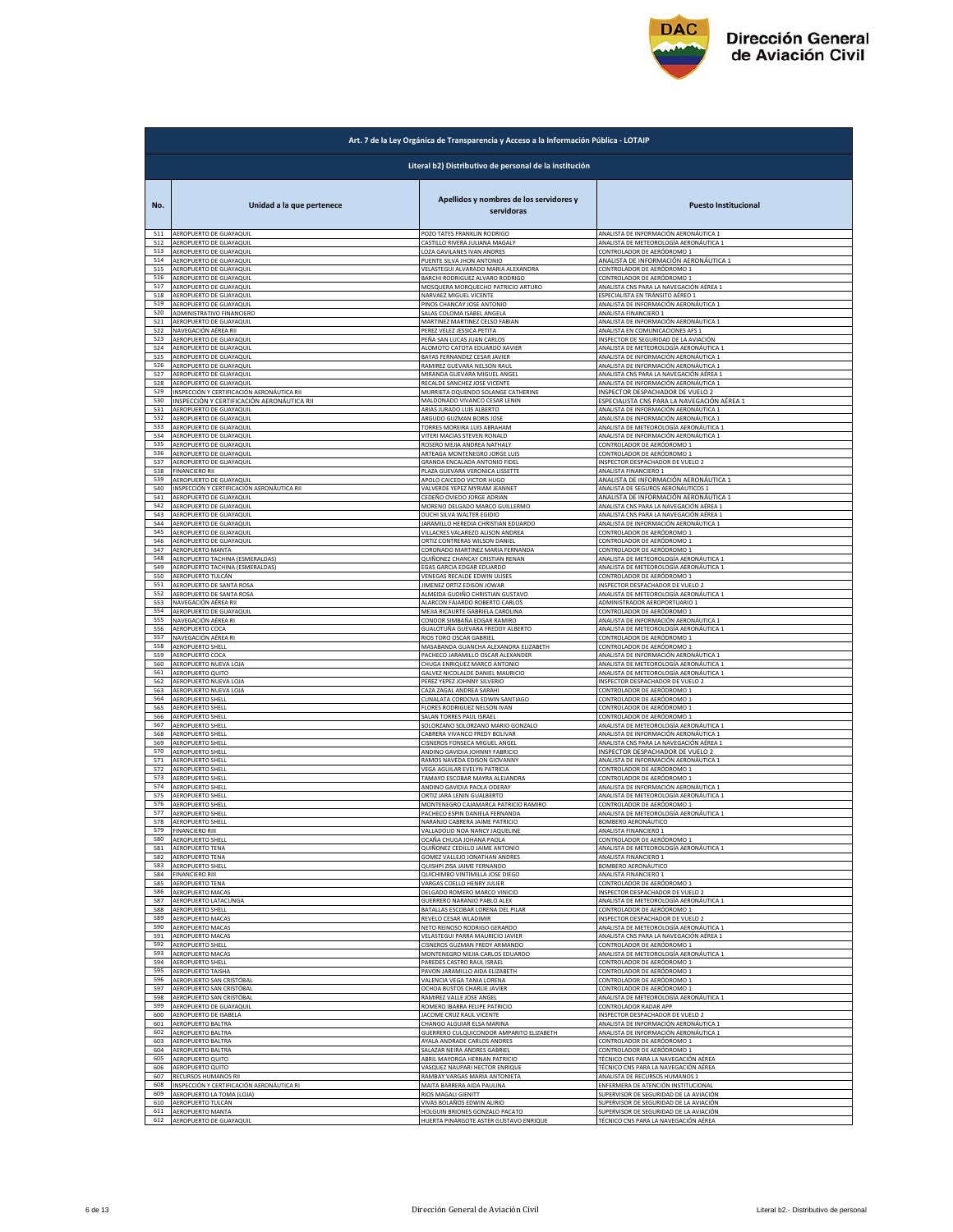

|            | Art. 7 de la Ley Orgánica de Transparencia y Acceso a la Información Pública - LOTAIP |                                                                                      |                                                                             |  |
|------------|---------------------------------------------------------------------------------------|--------------------------------------------------------------------------------------|-----------------------------------------------------------------------------|--|
|            | Literal b2) Distributivo de personal de la institución                                |                                                                                      |                                                                             |  |
| No.        | Unidad a la que pertenece                                                             | Apellidos y nombres de los servidores y<br>servidoras<br>POZO TATES FRANKLIN RODRIGO | <b>Puesto Institucional</b>                                                 |  |
| 511        | AEROPUERTO DE GUAYAQUIL                                                               | CASTILLO RIVERA JULIANA MAGALY                                                       | ANALISTA DE INFORMACIÓN AERONÁUTICA 1                                       |  |
| 512        | AEROPUERTO DE GUAYAQUIL                                                               |                                                                                      | ANALISTA DE METEOROLOGÍA AERONÁUTICA 1                                      |  |
| 513        | AEROPUERTO DE GUAYAQUIL                                                               | LOZA GAVILANES IVAN ANDRES                                                           | CONTROLADOR DE AERÓDROMO 1                                                  |  |
| 514        | AEROPUERTO DE GUAYAQUIL                                                               | PUENTE SILVA JHON ANTONIO                                                            | ANALISTA DE INFORMACIÓN AERONÁUTICA 1                                       |  |
| 515        | AEROPUERTO DE GUAYAQUIL                                                               | VELASTEGUI ALVARADO MARIA ALEXANDRA                                                  | CONTROLADOR DE AERÓDROMO 1                                                  |  |
| 516        | AEROPUERTO DE GUAYAQUIL                                                               | BARCHI RODRIGUEZ ALVARO RODRIGO                                                      | CONTROLADOR DE AERÓDROMO 1                                                  |  |
| 517        | AEROPUERTO DE GUAYAQUII                                                               | MOSQUERA MORQUECHO PATRICIO ARTURO                                                   | ANALISTA CNS PARA LA NAVEGACIÓN AÉREA 1                                     |  |
| 518        | AEROPUERTO DE GUAYAQUIL                                                               | NARVAEZ MIGUEL VICENTE                                                               | ESPECIALISTA EN TRÁNSITO AÉREO 1                                            |  |
| 519        | AEROPUERTO DE GUAYAQUIL                                                               | PINOS CHANCAY JOSE ANTONIO                                                           | ANALISTA DE INFORMACIÓN AERONÁUTICA 1                                       |  |
| 520        | ADMINISTRATIVO FINANCIERO                                                             | SALAS COLOMA ISABEL ANGELA                                                           | ANALISTA FINANCIERO 1                                                       |  |
| 521        | AEROPUERTO DE GUAYAQUIL                                                               | MARTINEZ MARTINEZ CELSO FABIAN                                                       | ANALISTA DE INFORMACIÓN AERONÁUTICA 1                                       |  |
| 522<br>523 | NAVEGACIÓN AÉREA RII                                                                  | PEREZ VELEZ JESSICA PETITA                                                           | ANALISTA EN COMUNICACIONES AFS 1                                            |  |
| 524        | AEROPUERTO DE GUAYAQUIL                                                               | PEÑA SAN LUCAS JUAN CARLOS                                                           | INSPECTOR DE SEGURIDAD DE LA AVIACIÓN                                       |  |
|            | AEROPUERTO DE GUAYAQUIL                                                               | ALOMOTO CATOTA EDUARDO XAVIER                                                        | ANALISTA DE METEOROLOGÍA AERONÁUTICA :                                      |  |
| 525        | AEROPUERTO DE GUAYAQUIL                                                               | BAYAS FERNANDEZ CESAR JAVIER                                                         | ANALISTA DE INFORMACIÓN AERONÁUTICA 1                                       |  |
| 526        | AEROPUERTO DE GUAYAQUIL                                                               | RAMIREZ GUEVARA NELSON RAUL                                                          | ANALISTA DE INFORMACIÓN AERONÁUTICA 1                                       |  |
| 527        | AEROPUERTO DE GUAYAQUIL                                                               | MIRANDA GUEVARA MIGUEL ANGEL                                                         | ANALISTA CNS PARA LA NAVEGACIÓN AÉREA 1                                     |  |
| 528        | AEROPUERTO DE GUAYAQUIL                                                               | RECALDE SANCHEZ JOSE VICENTE                                                         | ANALISTA DE INFORMACIÓN AERONÁUTICA 1                                       |  |
| 529        | INSPECCIÓN Y CERTIFICACIÓN AERONÁUTICA RII                                            | MURRIETA OQUENDO SOLANGE CATHERINE                                                   | INSPECTOR DESPACHADOR DE VUELO 2                                            |  |
| 530        | INSPECCIÓN Y CERTIFICACIÓN AERONÁUTICA RII                                            | MALDONADO VIVANCO CESAR LENIN                                                        | <u>ESPECIALISTA CNS PARA LA NAVEGACIÓN AÉREA 1</u>                          |  |
| 531        | AEROPUERTO DE GUAYAQUIL                                                               | ARIAS JURADO LUIS ALBERTO                                                            | ANALISTA DE INFORMACIÓN AERONÁUTICA 1                                       |  |
| 532        | AEROPUERTO DE GUAYAQUIL                                                               | ARGUDO GUZMAN BORIS JOSE                                                             | ANALISTA DE INFORMACIÓN AERONÁUTICA 1                                       |  |
| 533        | AEROPUERTO DE GUAYAQUIL                                                               | TORRES MOREIRA LUIS ABRAHAM                                                          | ANALISTA DE METEOROLOGÍA AERONÁUTICA 1                                      |  |
| 534        | AEROPUERTO DE GUAYAQUIL                                                               | VITERI MACIAS STEVEN RONALD                                                          | ANALISTA DE INFORMACIÓN AERONÁUTICA 1                                       |  |
| 535        | AEROPUERTO DE GUAYAQUIL                                                               | ROSERO MEJIA ANDREA NATHALY                                                          | CONTROLADOR DE AERÓDROMO 1                                                  |  |
| 536        | AEROPUERTO DE GUAYAQUIL                                                               | ARTEAGA MONTENEGRO JORGE LUIS                                                        | CONTROLADOR DE AERÓDROMO 1                                                  |  |
| 537        | AEROPUERTO DE GUAYAQUIL                                                               | <b>GRANDA ENCALADA ANTONIO FIDEL</b>                                                 | INSPECTOR DESPACHADOR DE VUELO 2                                            |  |
| 538        | <b>FINANCIERO RII</b>                                                                 | PLAZA GUEVARA VERONICA LISSETTE                                                      | ANALISTA FINANCIERO 1                                                       |  |
| 539<br>540 | AEROPUERTO DE GUAYAQUIL                                                               | APOLO CAICEDO VICTOR HUGO<br>VALVERDE YEPEZ MYRIAM JEANNET                           | ANALISTA DE INFORMACIÓN AERONÁUTICA 1                                       |  |
| 541        | INSPECCIÓN Y CERTIFICACIÓN AERONÁUTICA RII<br>AEROPUERTO DE GUAYAQUII                 | CEDEÑO OVIEDO JORGE ADRIAN                                                           | ANALISTA DE SEGUROS AERONÁUTICOS 1<br>ANALISTA DE INFORMACIÓN AERONÁUTICA 1 |  |
| 542        | AEROPUERTO DE GUAYAQUIL                                                               | MORENO DELGADO MARCO GUILLERMO                                                       | ANALISTA CNS PARA LA NAVEGACIÓN AÉREA 1                                     |  |
| 543        | AEROPUERTO DE GUAYAQUIL                                                               | DUCHI SILVA WALTER EGIDIO                                                            | ANALISTA CNS PARA LA NAVEGACIÓN AÉREA 1                                     |  |
| 544        | AEROPUERTO DE GUAYAQUIL                                                               | JARAMILLO HEREDIA CHRISTIAN EDUARDO                                                  | ANALISTA DE INFORMACIÓN AERONÁUTICA 1                                       |  |
| 545        | AEROPUERTO DE GUAYAQUIL                                                               | VILLACRES VALAREZO ALISON ANDREA                                                     | CONTROLADOR DE AERÓDROMO 1                                                  |  |
| 546        | AEROPUERTO DE GUAYAQUIL                                                               | ORTIZ CONTRERAS WILSON DANIEL                                                        | CONTROLADOR DE AERÓDROMO 1                                                  |  |
| 547        | AEROPUERTO MANTA                                                                      | CORONADO MARTINEZ MARIA FERNANDA                                                     | CONTROLADOR DE AERÓDROMO 1                                                  |  |
| 548        | AEROPUERTO TACHINA (ESMERALDAS)                                                       | QUIÑONEZ CHANCAY CRISTIAN RENAN                                                      | ANALISTA DE METEOROLOGÍA AERONÁUTICA 1                                      |  |
| 549        | <b>AEROPUERTO TACHINA (ESMERALDAS)</b>                                                | EGAS GARCIA EDGAR EDUARDO                                                            | ANALISTA DE METEOROLOGÍA AERONÁUTICA 1                                      |  |
| 550        | AEROPUERTO TULCÁN                                                                     | VENEGAS RECALDE EDWIN ULISES                                                         | CONTROLADOR DE AERÓDROMO 1                                                  |  |
| 551        | AEROPUERTO DE SANTA ROSA                                                              | JIMENEZ ORTIZ EDISON JOWAR                                                           | INSPECTOR DESPACHADOR DE VUELO 2                                            |  |
| 552        | AEROPUERTO DE SANTA ROSA                                                              | ALMEIDA GUDIÑO CHRISTIAN GUSTAVO                                                     | ANALISTA DE METEOROLOGÍA AERONÁUTICA 1                                      |  |
| 553        | NAVEGACIÓN AÉREA RIL                                                                  | ALARCON FAJARDO ROBERTO CARLOS                                                       | ADMINISTRADOR AEROPORTUARIO 1                                               |  |
| 554        | AEROPUERTO DE GUAYAQUIL                                                               | MEJIA RICAURTE GABRIELA CAROLINA                                                     | CONTROLADOR DE AERÓDROMO 1                                                  |  |
| 555        | NAVEGACIÓN AÉREA RI                                                                   | CONDOR SIMBAÑA EDGAR RAMIRO                                                          | ANALISTA DE INFORMACIÓN AERONÁUTICA 1                                       |  |
| 556        | AEROPUERTO COCA                                                                       | GUALOTUÑA GUEVARA FREDDY ALBERTO                                                     | ANALISTA DE METEOROLOGÍA AERONÁUTICA 1                                      |  |
| 557        | NAVEGACIÓN AÉREA RI                                                                   | RIOS TORO OSCAR GABRIEL                                                              | CONTROLADOR DE AERÓDROMO 1                                                  |  |
| 558        | <b>AEROPUERTO SHELI</b>                                                               | MASABANDA GUANCHA ALEXANDRA ELIZABETH                                                | CONTROLADOR DE AERÓDROMO 1                                                  |  |
| 559        | AEROPUERTO COCA                                                                       | PACHECO JARAMILLO OSCAR ALEXANDER                                                    | ANALISTA DE INFORMACIÓN AERONÁUTICA 1                                       |  |
| 560        | AEROPUERTO NUEVA LOJA                                                                 | CHUGA ENRIQUEZ MARCO ANTONIO                                                         | ANALISTA DE METEOROLOGÍA AERONÁUTICA 1                                      |  |
| 561        | AEROPUERTO QUITO                                                                      | GALVEZ NICOLALDE DANIEL MAURICIO                                                     | ANALISTA DE METEOROLOGÍA AERONÁUTICA 1                                      |  |
| 562        | AEROPUERTO NUEVA LOJA                                                                 | PEREZ YEPEZ JOHNNY SILVERIO                                                          | INSPECTOR DESPACHADOR DE VUELO 2                                            |  |
| 563        | AEROPUERTO NUEVA LOJA                                                                 | CAZA ZAGAL ANDREA SARAHI                                                             | CONTROLADOR DE AERÓDROMO 1                                                  |  |
| 564        | AEROPUERTO SHELL                                                                      | CUNALATA CORDOVA EDWIN SANTIAGO                                                      | CONTROLADOR DE AERÓDROMO 1                                                  |  |
| 565        | AEROPUERTO SHELL                                                                      | FLORES RODRIGUEZ NELSON IVAN                                                         | CONTROLADOR DE AERÓDROMO 1                                                  |  |
| 566        | AEROPUERTO SHELL                                                                      | SALAN TORRES PAUL ISRAEL                                                             | CONTROLADOR DE AERÓDROMO 1                                                  |  |
| 567        | AEROPUERTO SHELL                                                                      | SOLORZANO SOLORZANO MARIO GONZALO                                                    | ANALISTA DE METEOROLOGÍA AERONÁUTICA 1                                      |  |
| 568        | <b>AEROPUERTO SHELL</b>                                                               | CABRERA VIVANCO FREDY BOLIVAR                                                        | ANALISTA DE INFORMACIÓN AERONÁUTICA 1                                       |  |
| 569        | AEROPUERTO SHELL                                                                      | CISNEROS FONSECA MIGUEL ANGEL                                                        | ANALISTA CNS PARA LA NAVEGACIÓN AÉREA 1                                     |  |
| 570        | <b>AEROPUERTO SHELL</b>                                                               | ANDINO GAVIDIA JOHNNY FABRICIO                                                       | INSPECTOR DESPACHADOR DE VUELO 2                                            |  |
| 571        | AEROPUERTO SHELL                                                                      | RAMOS NAVEDA EDISON GIOVANNY                                                         | ANALISTA DE INFORMACIÓN AERONÁUTICA 1                                       |  |
| 572        | AEROPUERTO SHELL                                                                      | VEGA AGUILAR EVELYN PATRICIA                                                         | CONTROLADOR DE AERÓDROMO 1                                                  |  |
| 573        | AEROPUERTO SHELL                                                                      | TAMAYO ESCOBAR MAYRA ALEJANDRA                                                       | CONTROLADOR DE AERÓDROMO 1                                                  |  |
| 574        | <b>AEROPUERTO SHELI</b>                                                               | ANDINO GAVIDIA PAOLA ODERAY                                                          | ANALISTA DE INFORMACIÓN AERONÁUTICA :                                       |  |
| 575        | <b>AEROPUERTO SHELL</b>                                                               | ORTIZ JARA LENIN GUALBERTO                                                           | ANALISTA DE METEOROLOGÍA AERONÁLITICA 1                                     |  |
| 576        | AEROPUERTO SHELL                                                                      | MONTENEGRO CAJAMARCA PATRICIO RAMIRO                                                 | CONTROLADOR DE AERÓDROMO 1                                                  |  |
| 577        | <b>AEROPUERTO SHELL</b>                                                               | PACHECO ESPIN DANIELA FERNANDA                                                       | ANALISTA DE METEOROLOGÍA AERONÁUTICA 1                                      |  |
| 578        | AFROPUERTO SHELL                                                                      | NARANJO CABRERA JAIME PATRICIO                                                       | BOMBERO AERONÁUTICO                                                         |  |
| 579        | <b>FINANCIERO RIII</b>                                                                | VALLADOLID NOA NANCY JAQUELINE                                                       | ANALISTA FINANCIERO 1                                                       |  |
| 580        | AEROPUERTO SHELL                                                                      | OCAÑA CHUGA JOHANA PAOLA                                                             | CONTROLADOR DE AERÓDROMO 1                                                  |  |
| 581        | AEROPUERTO TENA                                                                       | QUIÑONEZ CEDILLO JAIME ANTONIO                                                       | ANALISTA DE METEOROLOGÍA AERONÁUTICA 1                                      |  |
| 582        | AEROPUERTO TENA                                                                       | GOMEZ VALLEJO JONATHAN ANDRES                                                        | ANALISTA FINANCIERO 1                                                       |  |
| 583        | AEROPUERTO SHELL                                                                      | QUISHPI ZISA JAIME FERNANDO                                                          | <b>BOMBERO AERONÁUTICO</b>                                                  |  |
| 584        | <b>FINANCIERO RIII</b>                                                                | QUICHIMBO VINTIMILLA JOSE DIEGO                                                      | ANALISTA FINANCIERO 1                                                       |  |
| 585        | AEROPUERTO TENA                                                                       | VARGAS COELLO HENRY JULIER                                                           | CONTROLADOR DE AERÓDROMO 1                                                  |  |
| 586        | AEROPUERTO MACAS                                                                      | DELGADO ROMERO MARCO VINICIO                                                         | INSPECTOR DESPACHADOR DE VUELO 2                                            |  |
| 587        | AEROPUERTO LATACUNGA                                                                  | GUERRERO NARANJO PABLO ALEX                                                          | ANALISTA DE METEOROLOGÍA AERONÁUTICA 1                                      |  |
| 588        | AEROPUERTO SHELL                                                                      | BATALLAS ESCOBAR LORENA DEL PILAR                                                    | CONTROLADOR DE AERÓDROMO 1                                                  |  |
| 589<br>590 | AEROPUERTO MACAS                                                                      | REVELO CESAR WLADIMIR                                                                | INSPECTOR DESPACHADOR DE VUELO 2                                            |  |
| 591        | AEROPUERTO MACAS                                                                      | NETO REINOSO RODRIGO GERARDO                                                         | ANALISTA DE METEOROLOGÍA AERONÁUTICA 1                                      |  |
|            | <b>AEROPUERTO MACAS</b>                                                               | VELASTEGUI PARRA MAURICIO JAVIER                                                     | ANALISTA CNS PARA LA NAVEGACIÓN AÉREA 1                                     |  |
| 592        | AEROPUERTO SHELL                                                                      | CISNEROS GUZMAN FREDY ARMANDO                                                        | CONTROLADOR DE AERÓDROMO 1                                                  |  |
| 593        | AEROPUERTO MACAS                                                                      | MONTENEGRO MEJIA CARLOS EDUARDO                                                      | ANALISTA DE METEOROLOGÍA AERONÁUTICA 1                                      |  |
| 594        | AEROPUERTO SHELL                                                                      | PAREDES CASTRO RAUL ISRAEL                                                           | CONTROLADOR DE AERÓDROMO 1                                                  |  |
| 595        | AEROPUERTO TAISHA                                                                     | PAVON JARAMILLO AIDA ELIZABETH                                                       | CONTROLADOR DE AERÓDROMO 1                                                  |  |
| 596        | AEROPUERTO SAN CRISTÓBAL                                                              | VALENCIA VEGA TANIA LORENA                                                           | CONTROLADOR DE AERÓDROMO 1                                                  |  |
| 597        | AEROPUERTO SAN CRISTÓBAL                                                              | OCHOA BUSTOS CHARLIE JAVIER                                                          | CONTROLADOR DE AERÓDROMO 1                                                  |  |
| 598        | AEROPUERTO SAN CRISTÓBAL                                                              | RAMIREZ VALLE JOSE ANGEL                                                             | ANALISTA DE METEOROLOGÍA AERONÁUTICA 1                                      |  |
| 599        | AEROPUERTO DE GUAYAQUIL                                                               | ROMERO IBARRA FELIPE PATRICIO                                                        | CONTROLADOR RADAR APP                                                       |  |
| 600        | AEROPUERTO DE ISABELA                                                                 | JACOME CRUZ RAUL VICENTE                                                             | INSPECTOR DESPACHADOR DE VUELO 2                                            |  |
| 601        | AEROPUERTO BALTRA                                                                     | CHANGO ALGUIAR ELSA MARINA                                                           | ANALISTA DE INFORMACIÓN AERONÁUTICA 1                                       |  |
| 602        | AEROPUERTO BALTRA                                                                     | GUERRERO CULQUICONDOR AMPARITO ELIZABETH                                             | ANALISTA DE INFORMACIÓN AERONÁUTICA 1                                       |  |
| 603        | AEROPUERTO BALTRA                                                                     | AYALA ANDRADE CARLOS ANDRES                                                          | CONTROLADOR DE AERÓDROMO 1                                                  |  |
| 604        | AEROPUERTO BALTRA                                                                     | SALAZAR NEIRA ANDRES GABRIEL                                                         | CONTROLADOR DE AERÓDROMO 1                                                  |  |
| 605        | AEROPUERTO QUITO                                                                      | ABRIL MAYORGA HERNAN PATRICIO                                                        | TÉCNICO CNS PARA LA NAVEGACIÓN AÉREA                                        |  |
| 606        | AEROPUERTO QUITO                                                                      | VASQUEZ NAUPARI HECTOR ENRIQUE                                                       | TÉCNICO CNS PARA LA NAVEGACIÓN AÉREA                                        |  |
| 607        | RECURSOS HUMANOS RII                                                                  | RAMBAY VARGAS MARIA ANTONIETA                                                        | ANALISTA DE RECURSOS HUMANOS 1                                              |  |
| 608        | INSPECCIÓN Y CERTIFICACIÓN AERONÁUTICA RI                                             | MAITA BARRERA AIDA PAULINA                                                           | ENFERMERA DE ATENCIÓN INSTITUCIONAL                                         |  |
| 609        | AEROPUERTO LA TOMA (LOJA)                                                             | RIOS MAGALI GIENITT                                                                  | SUPERVISOR DE SEGURIDAD DE LA AVIACIÓN                                      |  |
| 610        | AEROPUERTO TULCÁN                                                                     | VIVAS BOLAÑOS EDWIN ALIRIO                                                           | SUPERVISOR DE SEGURIDAD DE LA AVIACIÓN                                      |  |
| 611        | AEROPUERTO MANTA                                                                      | HOLGUIN BRIONES GONZALO PACATO                                                       | SUPERVISOR DE SEGURIDAD DE LA AVIACIÓN                                      |  |
|            | 612 AEROPUERTO DE GUAYAQUIL                                                           | HUERTA PINARGOTE ASTER GUSTAVO ENRIQUE                                               | TÉCNICO CNS PARA LA NAVEGACIÓN AÉREA                                        |  |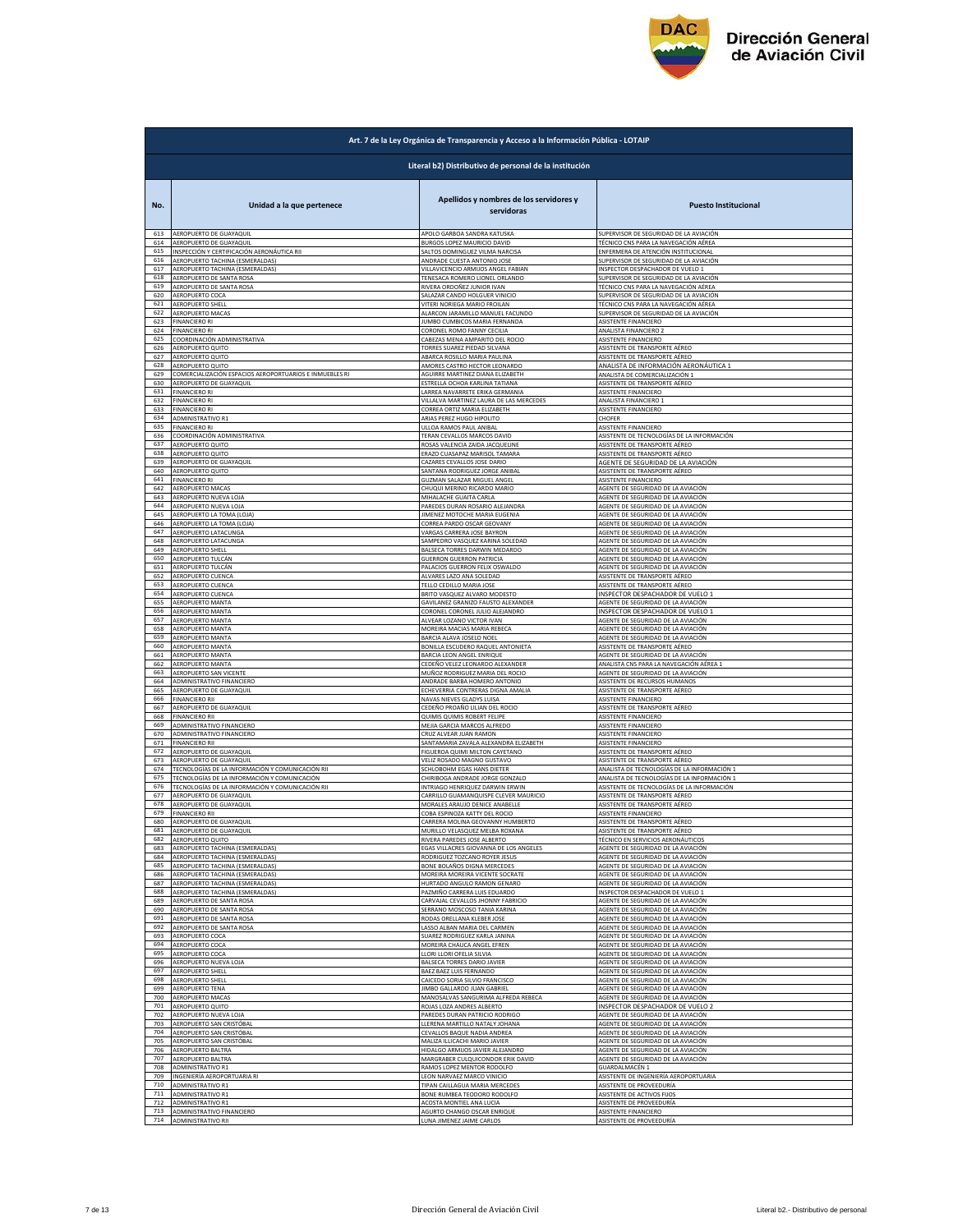

|            | Art. 7 de la Ley Orgánica de Transparencia y Acceso a la Información Pública - LOTAIP |                                                       |                                                                            |  |
|------------|---------------------------------------------------------------------------------------|-------------------------------------------------------|----------------------------------------------------------------------------|--|
|            | Literal b2) Distributivo de personal de la institución                                |                                                       |                                                                            |  |
| No.        | Unidad a la que pertenece                                                             | Apellidos y nombres de los servidores y<br>servidoras | <b>Puesto Institucional</b>                                                |  |
| 613        | AEROPUERTO DE GUAYAQUIL                                                               | APOLO GARBOA SANDRA KATUSKA                           | SUPERVISOR DE SEGURIDAD DE LA AVIACIÓN                                     |  |
| 614        | AEROPUERTO DE GUAYAQUIL                                                               | <b>BURGOS LOPEZ MAURICIO DAVID</b>                    | TÉCNICO CNS PARA LA NAVEGACIÓN AÉREA                                       |  |
| 615        | INSPECCIÓN Y CERTIFICACIÓN AERONÁUTICA RII                                            | SALTOS DOMINGUEZ VILMA NARCISA                        | ENFERMERA DE ATENCIÓN INSTITUCIONAL                                        |  |
| 616        | AEROPUERTO TACHINA (ESMERALDAS)                                                       | ANDRADE CUESTA ANTONIO JOSE                           |                                                                            |  |
| 617        | AEROPUERTO TACHINA (ESMERALDAS)                                                       | VILLAVICENCIO ARMIJOS ANGEL FABIAN                    | SUPERVISOR DE SEGURIDAD DE LA AVIACIÓN<br>INSPECTOR DESPACHADOR DE VUELO 1 |  |
| 618        | AEROPUERTO DE SANTA ROSA                                                              | TENESACA ROMERO LIONEL ORLANDO                        | SUPERVISOR DE SEGURIDAD DE LA AVIACIÓN                                     |  |
| 619        | AEROPUERTO DE SANTA ROSA                                                              | RIVERA ORDOÑEZ JUNIOR IVAN                            | TÉCNICO CNS PARA LA NAVEGACIÓN AÉREA                                       |  |
| 620        | AEROPUERTO COCA                                                                       | SALAZAR CANDO HOLGUER VINICIO                         | SUPERVISOR DE SEGURIDAD DE LA AVIACIÓN                                     |  |
| 621        | <b>AEROPUERTO SHELI</b>                                                               | VITERI NORIEGA MARIO FROILAN                          | TÉCNICO CNS PARA LA NAVEGACIÓN AÉREA                                       |  |
| 622        | AEROPUERTO MACAS                                                                      | ALARCON JARAMILLO MANUEL FACUNDO                      | SUPERVISOR DE SEGURIDAD DE LA AVIACIÓN                                     |  |
| 623        | <b>FINANCIERO RI</b>                                                                  | <b>JUMBO CUMBICOS MARIA FERNANDA</b>                  | ASISTENTE FINANCIERO                                                       |  |
| 624        | <b>FINANCIERO RI</b>                                                                  | CORONEL ROMO FANNY CECILIA                            | ANALISTA FINANCIERO 2                                                      |  |
| 625        | COORDINACIÓN ADMINISTRATIVA                                                           | CABEZAS MENA AMPARITO DEL ROCIO                       | ASISTENTE FINANCIERO                                                       |  |
| 626        | AEROPUERTO QUITO                                                                      | TORRES SUAREZ PIEDAD SILVANA                          | ASISTENTE DE TRANSPORTE AÉREO                                              |  |
| 627        | AEROPUERTO QUITO                                                                      | ABARCA ROSILLO MARIA PAULINA                          | ASISTENTE DE TRANSPORTE AÉREO                                              |  |
| 628        | AEROPUERTO QUITO                                                                      | AMORES CASTRO HECTOR LEONARDO                         | ANALISTA DE INFORMACIÓN AERONÁUTICA 1                                      |  |
| 629        | COMERCIALIZACIÓN ESPACIOS AEROPORTUARIOS E INMUEBLES RI                               | AGUIRRE MARTINEZ DIANA ELIZABETH                      | ANALISTA DE COMERCIALIZACIÓN 1                                             |  |
| 630        | AEROPUERTO DE GUAYAQUIL                                                               | ESTRELLA OCHOA KARLINA TATIANA                        | ASISTENTE DE TRANSPORTE AÉREO                                              |  |
| 631        | <b>FINANCIERO RI</b>                                                                  | LARREA NAVARRETE ERIKA GERMANIA                       | ASISTENTE FINANCIERO                                                       |  |
| 632        | <b>FINANCIERO RI</b>                                                                  | VILLALVA MARTINEZ LAURA DE LAS MERCEDES               | ANALISTA FINANCIERO 1                                                      |  |
| 633        | <b>FINANCIERO RI</b>                                                                  | CORREA ORTIZ MARIA ELIZABETH                          | ASISTENTE FINANCIERO                                                       |  |
| 634        | ADMINISTRATIVO R1                                                                     | ARIAS PEREZ HUGO HIPOLITO                             | CHOFER                                                                     |  |
| 635        | FINANCIERO RI                                                                         | JLLOA RAMOS PAUL ANIBAL                               | ASISTENTE FINANCIERO                                                       |  |
| 636        | COORDINACIÓN ADMINISTRATIVA                                                           | TERAN CEVALLOS MARCOS DAVID                           | ASISTENTE DE TECNOLOGÍAS DE LA INFORMACIÓN                                 |  |
| 637        | AEROPUERTO QUITO                                                                      | ROSAS VALENCIA ZAIDA JACQUELINI                       | ASISTENTE DE TRANSPORTE AÉREO                                              |  |
| 638        | AEROPUERTO QUITO                                                                      | ERAZO CUASAPAZ MARISOL TAMARA                         | ASISTENTE DE TRANSPORTE AÉREO                                              |  |
| 639        | AEROPUERTO DE GUAYAQUIL                                                               | CAZARES CEVALLOS JOSE DARIO                           | AGENTE DE SEGURIDAD DE LA AVIACIÓN                                         |  |
| 640        | AEROPUERTO QUITO                                                                      | SANTANA RODRIGUEZ JORGE ANIBAL                        | ASISTENTE DE TRANSPORTE AÉREO                                              |  |
| 641        | <b>FINANCIERO RI</b>                                                                  | GUZMAN SALAZAR MIGUEL ANGEL                           | ASISTENTE FINANCIERO                                                       |  |
| 642        | AEROPUERTO MACAS                                                                      | CHUQUI MERINO RICARDO MARIO                           | AGENTE DE SEGURIDAD DE LA AVIACIÓN                                         |  |
| 643        | AEROPUERTO NUEVA LOJA                                                                 | MIHALACHE GUAITA CARLA                                | AGENTE DE SEGURIDAD DE LA AVIACIÓN                                         |  |
| 644        | AEROPUERTO NUEVA LOJA                                                                 | PAREDES DURAN ROSARIO ALEJANDRA                       | AGENTE DE SEGURIDAD DE LA AVIACIÓN                                         |  |
| 645        | AEROPUERTO LA TOMA (LOJA                                                              | JIMENEZ MOTOCHE MARIA EUGENIA                         | AGENTE DE SEGURIDAD DE LA AVIACIÓN                                         |  |
| 646        | AEROPUERTO LA TOMA (LOJA)                                                             | CORREA PARDO OSCAR GEOVANY                            | AGENTE DE SEGURIDAD DE LA AVIACIÓN                                         |  |
| 647        | AEROPUERTO LATACUNGA                                                                  | VARGAS CARRERA JOSE BAYRON                            | AGENTE DE SEGURIDAD DE LA AVIACIÓN                                         |  |
| 648        | AEROPUERTO LATACUNGA                                                                  | SAMPEDRO VASQUEZ KARINA SOLEDAD                       | AGENTE DE SEGURIDAD DE LA AVIACIÓN                                         |  |
| 649        | AEROPUERTO SHELL                                                                      | BALSECA TORRES DARWIN MEDARDO                         | AGENTE DE SEGURIDAD DE LA AVIACIÓN                                         |  |
| 650        | AEROPUERTO TULCÁN                                                                     | <b>GUERRON GUERRON PATRICIA</b>                       |                                                                            |  |
| 651        | AEROPUERTO TULCÁN                                                                     | PALACIOS GUERRON FELIX OSWALDO                        | AGENTE DE SEGURIDAD DE LA AVIACIÓN<br>AGENTE DE SEGURIDAD DE LA AVIACIÓN   |  |
| 652        | AEROPUERTO CUENCA                                                                     | ALVARES LAZO ANA SOLEDAD                              | ASISTENTE DE TRANSPORTE AÉREO                                              |  |
| 653        | AEROPUERTO CUENCA                                                                     | TELLO CEDILLO MARIA JOSE                              | ASISTENTE DE TRANSPORTE AÉREO                                              |  |
| 654        | AEROPUERTO CUENCA                                                                     | BRITO VASQUEZ ALVARO MODESTO                          | INSPECTOR DESPACHADOR DE VUELO 1                                           |  |
| 655        | AEROPUERTO MANTA                                                                      | GAVILANEZ GRANIZO FAUSTO ALEXANDER                    | AGENTE DE SEGURIDAD DE LA AVIACIÓN                                         |  |
| 656        | AEROPUERTO MANTA                                                                      | CORONEL CORONEL JULIO ALEJANDRO                       | INSPECTOR DESPACHADOR DE VUELO 1                                           |  |
| 657        | AEROPUERTO MANTA                                                                      | ALVEAR LOZANO VICTOR IVAN                             | AGENTE DE SEGURIDAD DE LA AVIACIÓN                                         |  |
| 658        | AEROPUERTO MANTA                                                                      | MOREIRA MACIAS MARIA REBECA                           | AGENTE DE SEGURIDAD DE LA AVIACIÓN                                         |  |
| 659        | <b>AEROPUERTO MANTA</b>                                                               | BARCIA ALAVA JOSELO NOEL                              | AGENTE DE SEGURIDAD DE LA AVIACIÓN                                         |  |
| 660        | AEROPUERTO MANTA                                                                      | BONILLA ESCUDERO RAQUEL ANTONIETA                     | ASISTENTE DE TRANSPORTE AÉREO                                              |  |
| 661<br>662 | AEROPUERTO MANTA                                                                      | BARCIA LEON ANGEL ENRIQUE                             | AGENTE DE SEGURIDAD DE LA AVIACIÓN                                         |  |
| 663        | AEROPUERTO MANTA                                                                      | CEDEÑO VELEZ LEONARDO ALEXANDER                       | ANALISTA CNS PARA LA NAVEGACIÓN AÉREA 1                                    |  |
|            | <b>AEROPUERTO SAN VICENTI</b>                                                         | MUÑOZ RODRIGUEZ MARIA DEL ROCIO                       | AGENTE DE SEGURIDAD DE LA AVIACIÓN                                         |  |
| 664        | ADMINISTRATIVO FINANCIERO                                                             | ANDRADE BARBA HOMERO ANTONIO                          | ASISTENTE DE RECURSOS HUMANOS                                              |  |
| 665        | AEROPUERTO DE GUAYAQUIL                                                               | ECHEVERRIA CONTRERAS DIGNA AMALIA                     | ASISTENTE DE TRANSPORTE AÉREO                                              |  |
| 666        | <b>FINANCIERO RII</b>                                                                 | NAVAS NIEVES GLADYS LUISA                             | ASISTENTE FINANCIERO                                                       |  |
| 667        | AEROPUERTO DE GUAYAQUIL                                                               | CEDEÑO PROAÑO LILIAN DEL ROCIO                        | ASISTENTE DE TRANSPORTE AÉREO                                              |  |
| 668        | <b>FINANCIERO RII</b>                                                                 | QUIMIS QUIMIS ROBERT FELIPE                           | ASISTENTE FINANCIERO                                                       |  |
| 669        | ADMINISTRATIVO FINANCIERO                                                             | MEJIA GARCIA MARCOS ALFREDO                           | ASISTENTE FINANCIERO                                                       |  |
| 670        | ADMINISTRATIVO FINANCIERO                                                             | CRUZ ALVEAR JUAN RAMON                                | ASISTENTE FINANCIERO                                                       |  |
| 671        | <b>FINANCIERO RII</b>                                                                 | SANTAMARIA ZAVALA ALEXANDRA ELIZABETH                 | ASISTENTE FINANCIERO                                                       |  |
| 672        | AEROPUERTO DE GUAYAQUIL                                                               | <b>FIGUEROA QUIMI MILTON CAYETANO</b>                 | ASISTENTE DE TRANSPORTE AÉREO                                              |  |
| 673        | AEROPUERTO DE GUAYAQUIL                                                               | VELIZ ROSADO MAGNO GUSTAVO                            | ASISTENTE DE TRANSPORTE AÉREO                                              |  |
| 674        | TECNOLOGÍAS DE LA INFORMACIÓN Y COMUNICACIÓN RII                                      | SCHLOBOHM EGAS HANS DIETER                            | ANALISTA DE TECNOLOGÍAS DE LA INFORMACIÓN 1                                |  |
| 675        | TECNOLOGÍAS DE LA INFORMACIÓN Y COMUNICACIÓN                                          | CHIRIBOGA ANDRADE JORGE GONZALO                       | ANALISTA DE TECNOLOGÍAS DE LA INFORMACIÓN 1                                |  |
| 676        | TECNOLOGÍAS DE LA INFORMACIÓN Y COMUNICACIÓN RII                                      | NTRIAGO HENRIQUEZ DARWIN ERWIN                        | ASISTENTE DE TECNOLOGÍAS DE LA INFORMACIÓN                                 |  |
| 677        | AEROPUERTO DE GUAYAQUIL                                                               | CARRILLO GUAMANQUISPE CLEVER MAURICIO                 | ASISTENTE DE TRANSPORTE AÉREO                                              |  |
| 678        | AEROPUERTO DE GUAYAQUIL                                                               | MORALES ARAUJO DENICE ANABELLE                        | ASISTENTE DE TRANSPORTE AÉREO                                              |  |
| 679        | FINANCIERO RII                                                                        | COBA ESPINOZA KATTY DEL ROCIO                         | ASISTENTE FINANCIERO                                                       |  |
| 680        | AEROPUERTO DE GUAYAQUIL                                                               | CARRERA MOLINA GEOVANNY HUMBERTO                      | ASISTENTE DE TRANSPORTE AÉREO                                              |  |
| 682        | 681 AEROPUERTO DE GUAYAQUIL                                                           | MURILLO VELASQUEZ MELBA ROXANA                        | ASISTENTE DE TRANSPORTE AÉREO                                              |  |
|            | AEROPUERTO QUITO                                                                      | RIVERA PAREDES JOSE ALBERTO                           | TÉCNICO EN SERVICIOS AERONÁUTICOS                                          |  |
| 683        | AEROPUERTO TACHINA (ESMERALDAS)                                                       | EGAS VILLACRES GIOVANNA DE LOS ANGELES                | AGENTE DE SEGURIDAD DE LA AVIACIÓN                                         |  |
| 684        | AEROPUERTO TACHINA (ESMERALDAS)                                                       | RODRIGUEZ TOZCANO ROYER JESUS                         | AGENTE DE SEGURIDAD DE LA AVIACIÓN                                         |  |
| 685        | AEROPUERTO TACHINA (ESMERALDAS)                                                       | BONE BOLAÑOS DIGNA MERCEDES                           | AGENTE DE SEGURIDAD DE LA AVIACIÓN                                         |  |
| 686        | AEROPUERTO TACHINA (ESMERALDAS)                                                       | MOREIRA MOREIRA VICENTE SOCRATE                       | AGENTE DE SEGURIDAD DE LA AVIACIÓN                                         |  |
| 687        | AEROPUERTO TACHINA (ESMERALDAS)                                                       | HURTADO ANGULO RAMON GENARO                           | AGENTE DE SEGURIDAD DE LA AVIACIÓN                                         |  |
| 688        | AEROPUERTO TACHINA (ESMERALDAS)                                                       | PAZMIÑO CARRERA LUIS EDUARDO                          | INSPECTOR DESPACHADOR DE VUELO 1                                           |  |
| 689        | AEROPUERTO DE SANTA ROSA                                                              | CARVAJAL CEVALLOS JHONNY FABRICIO                     | AGENTE DE SEGURIDAD DE LA AVIACIÓN                                         |  |
| 690        | AEROPUERTO DE SANTA ROSA                                                              | SERRANO MOSCOSO TANIA KARINA                          | AGENTE DE SEGURIDAD DE LA AVIACIÓN                                         |  |
| 691        | AEROPUERTO DE SANTA ROSA                                                              | RODAS ORELLANA KLEBER JOSE                            | AGENTE DE SEGURIDAD DE LA AVIACIÓN                                         |  |
| 692        | AEROPUERTO DE SANTA ROSA<br>AEROPUERTO COCA                                           | LASSO ALBAN MARIA DEL CARMEN                          | AGENTE DE SEGURIDAD DE LA AVIACIÓN                                         |  |
| 693        | AEROPUERTO COCA                                                                       | SUAREZ RODRIGUEZ KARLA JANINA                         | AGENTE DE SEGURIDAD DE LA AVIACIÓN                                         |  |
| 694        |                                                                                       | MOREIRA CHAUCA ANGEL EFREN                            | AGENTE DE SEGURIDAD DE LA AVIACIÓN                                         |  |
| 695        | AEROPUERTO COCA                                                                       | LLORI LLORI OFELIA SILVIA                             | AGENTE DE SEGURIDAD DE LA AVIACIÓN                                         |  |
| 696        | AEROPUERTO NUEVA LOJA                                                                 | BALSECA TORRES DARIO JAVIER                           | AGENTE DE SEGURIDAD DE LA AVIACIÓN                                         |  |
| 697        | AEROPUERTO SHELL                                                                      | BAEZ BAEZ LUIS FERNANDO                               | AGENTE DE SEGURIDAD DE LA AVIACIÓN                                         |  |
| 698        | AEROPUERTO SHELL                                                                      | CAICEDO SORIA SILVIO FRANCISCO                        | AGENTE DE SEGURIDAD DE LA AVIACIÓN                                         |  |
| 699        | AEROPUERTO TENA                                                                       | JIMBO GALLARDO JUAN GABRIEL                           | AGENTE DE SEGURIDAD DE LA AVIACIÓN                                         |  |
| 700        | AEROPUERTO MACAS                                                                      | MANOSALVAS SANGURIMA ALFREDA REBECA                   | AGENTE DE SEGURIDAD DE LA AVIACIÓN                                         |  |
| 701        | AEROPUERTO QUITO                                                                      | ROJAS LOZA ANDRES ALBERTO                             | INSPECTOR DESPACHADOR DE VUELO 2                                           |  |
| 702        | AEROPUERTO NUEVA LOJA                                                                 | PAREDES DURAN PATRICIO RODRIGO                        | AGENTE DE SEGURIDAD DE LA AVIACIÓN                                         |  |
| 703        | AEROPUERTO SAN CRISTÓBAL                                                              | LLERENA MARTILLO NATALY JOHANA                        | AGENTE DE SEGURIDAD DE LA AVIACIÓN                                         |  |
| 704        | AEROPUERTO SAN CRISTÓBAL                                                              | CEVALLOS BAQUE NADIA ANDREA                           | AGENTE DE SEGURIDAD DE LA AVIACIÓN                                         |  |
| 705        | AEROPUERTO SAN CRISTÓBAL                                                              | MALIZA ILLICACHI MARIO JAVIER                         | AGENTE DE SEGURIDAD DE LA AVIACIÓN                                         |  |
| 706        | AEROPUERTO BALTRA                                                                     | HIDALGO ARMIJOS JAVIER ALEJANDRO                      | AGENTE DE SEGURIDAD DE LA AVIACIÓN                                         |  |
| 707        | AEROPUERTO BALTRA                                                                     | MARGRABER CULQUICONDOR ERIK DAVID                     | AGENTE DE SEGURIDAD DE LA AVIACIÓN                                         |  |
| 708        | ADMINISTRATIVO R1                                                                     | RAMOS LOPEZ MENTOR RODOLFO                            | GUARDALMACÉN 1                                                             |  |
| 709        | INGENIERÍA AEROPORTUARIA RI                                                           | LEON NARVAEZ MARCO VINICIO                            | ASISTENTE DE INGENIERÍA AEROPORTUARIA                                      |  |
| 710        | ADMINISTRATIVO R1                                                                     | <b>TIPAN CAILLAGUA MARIA MERCEDES</b>                 | ASISTENTE DE PROVEEDURÍA                                                   |  |
| 711        | ADMINISTRATIVO R1                                                                     | BONE RUMBEA TEODORO RODOLFO                           | ASISTENTE DE ACTIVOS FIJOS                                                 |  |
| 712        | ADMINISTRATIVO R1                                                                     | ACOSTA MONTIEL ANA LUCIA                              | ASISTENTE DE PROVEEDURÍA                                                   |  |
| 713        | ADMINISTRATIVO FINANCIERO                                                             | <b>AGURTO CHANGO OSCAR ENRIQUE</b>                    | ASISTENTE FINANCIERO                                                       |  |
| 714        | ADMINISTRATIVO RII                                                                    | LUNA JIMENEZ JAIME CARLOS                             | ASISTENTE DE PROVEEDURÍA                                                   |  |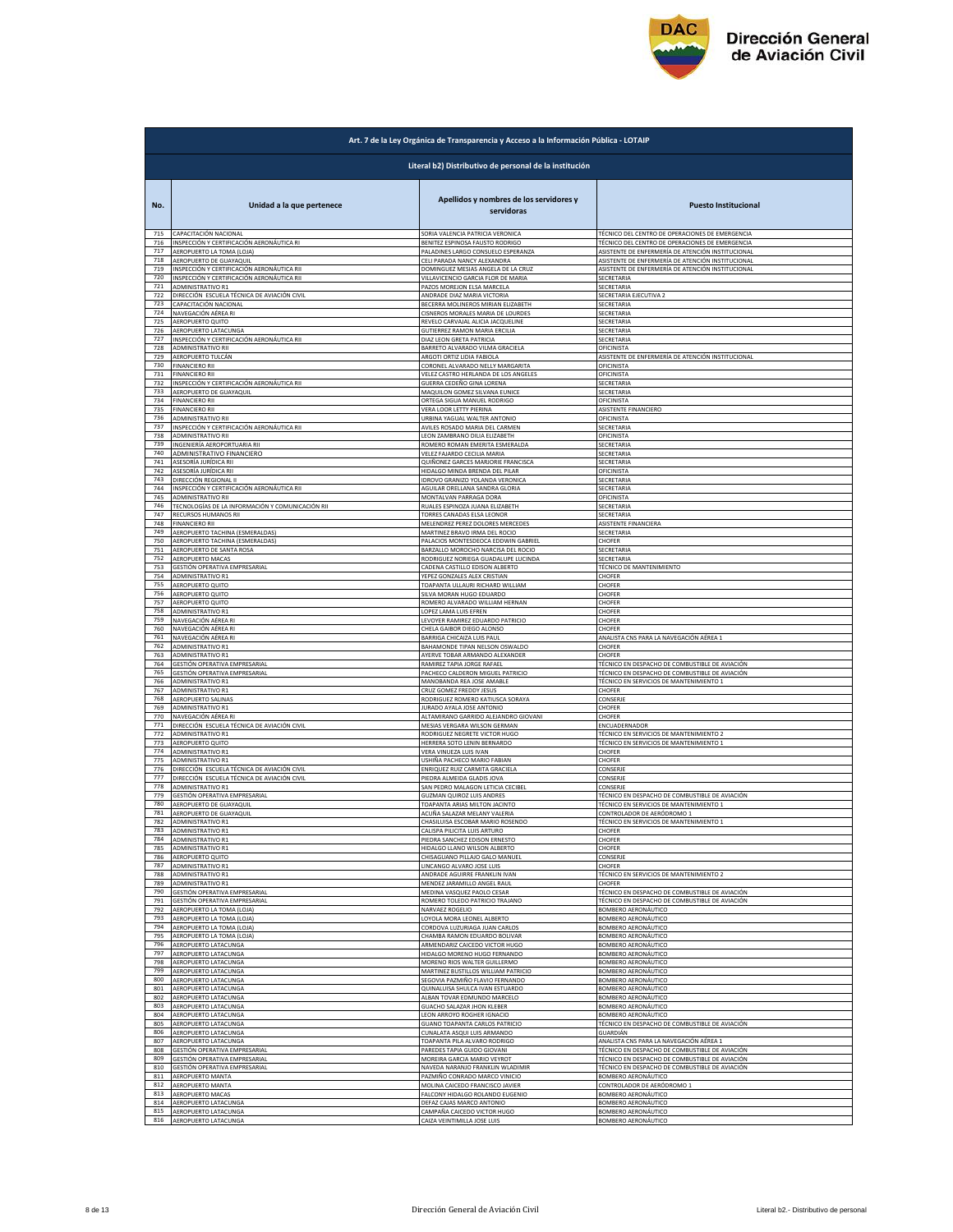

|            | Art. 7 de la Ley Orgánica de Transparencia y Acceso a la Información Pública - LOTAIP |                                                               |                                                          |  |
|------------|---------------------------------------------------------------------------------------|---------------------------------------------------------------|----------------------------------------------------------|--|
|            | Literal b2) Distributivo de personal de la institución                                |                                                               |                                                          |  |
| No.        | Unidad a la que pertenece                                                             | Apellidos y nombres de los servidores y<br>servidoras         | <b>Puesto Institucional</b>                              |  |
| 715        | CAPACITACIÓN NACIONAL                                                                 | SORIA VALENCIA PATRICIA VERONICA                              | TÉCNICO DEL CENTRO DE OPERACIONES DE EMERGENCIA          |  |
| 716        | INSPECCIÓN Y CERTIFICACIÓN AERONÁUTICA RI                                             | BENITEZ ESPINOSA FAUSTO RODRIGO                               | TÉCNICO DEL CENTRO DE OPERACIONES DE EMERGENCIA          |  |
| 717        | AEROPUERTO LA TOMA (LOJA)                                                             | PALADINES LARGO CONSUELO ESPERANZA                            | ASISTENTE DE ENFERMERÍA DE ATENCIÓN INSTITUCIONAL        |  |
| 718        | AEROPUERTO DE GUAYAQUIL                                                               | CELI PARADA NANCY ALEXANDR                                    | ASISTENTE DE ENFERMERÍA DE ATENCIÓN INSTITUCIONAL        |  |
| 719        | INSPECCIÓN Y CERTIFICACIÓN AERONÁUTICA RII                                            | DOMINGUEZ MESIAS ANGELA DE LA CRUZ                            | ASISTENTE DE ENFERMERÍA DE ATENCIÓN INSTITUCIONAL        |  |
| 720        | INSPECCIÓN Y CERTIFICACIÓN AERONÁUTICA RII                                            | VILLAVICENCIO GARCIA FLOR DE MARIA                            | <b>SECRETARIA</b>                                        |  |
| 721        | ADMINISTRATIVO R1                                                                     | PAZOS MOREJON ELSA MARCELA                                    | SECRETARIA                                               |  |
| 722        | DIRECCIÓN ESCUELA TÉCNICA DE AVIACIÓN CIVIL                                           | ANDRADE DIAZ MARIA VICTORIA                                   | SECRETARIA EJECUTIVA 2                                   |  |
| 723        | CAPACITACIÓN NACIONAL                                                                 | BECERRA MOLINEROS MIRIAN ELIZABETH                            | SECRETARIA                                               |  |
| 724        | NAVEGACIÓN AÉREA RI                                                                   | CISNEROS MORALES MARIA DE LOURDES                             | SECRETARIA                                               |  |
| 725        | AEROPUERTO QUITO                                                                      | REVELO CARVAJAL ALICIA JACQUELINE                             | SECRETARIA                                               |  |
| 726        | AEROPUERTO LATACUNGA                                                                  | GUTIERREZ RAMON MARIA ERCILIA                                 | SECRETARIA                                               |  |
| 727        | INSPECCIÓN Y CERTIFICACIÓN AERONÁUTICA RII                                            | DIAZ LEON GRETA PATRICIA                                      | <b>SECRETARIA</b>                                        |  |
| 728        | ADMINISTRATIVO RII                                                                    | BARRETO ALVARADO VILMA GRACIELA                               | <b>OFICINISTA</b>                                        |  |
| 729        | AEROPUERTO TULCÁN                                                                     | ARGOTI ORTIZ LIDIA FABIOLA                                    | ASISTENTE DE ENFERMERÍA DE ATENCIÓN INSTITUCIONAL        |  |
| 730        | <b>FINANCIERO RII</b>                                                                 | CORONEL ALVARADO NELLY MARGARITA                              | OFICINISTA                                               |  |
| 731        | <b>FINANCIERO RII</b>                                                                 | VELEZ CASTRO HERLANDA DE LOS ANGELES                          | OFICINISTA                                               |  |
| 732        | INSPECCIÓN Y CERTIFICACIÓN AERONÁUTICA RII                                            | GUERRA CEDEÑO GINA LORENA                                     | SECRETARIA                                               |  |
| 733        | AEROPUERTO DE GUAYAQUIL                                                               | MAQUILON GOMEZ SILVANA EUNICE                                 | SECRETARIA                                               |  |
| 734        | FINANCIERO RI                                                                         | ORTEGA SIGUA MANUEL RODRIGO                                   | OFICINISTA                                               |  |
| 735        | <b>FINANCIERO RI</b>                                                                  | <b>VERA LOOR LETTY PIERINA</b>                                | ASISTENTE FINANCIERO                                     |  |
| 736        | <b>ADMINISTRATIVO RII</b><br>INSPECCIÓN Y CERTIFICACIÓN AERONÁUTICA RII               | URBINA YAGUAL WALTER ANTONIO                                  | <b>OFICINISTA</b>                                        |  |
| 737        | ADMINISTRATIVO RII                                                                    | AVILES ROSADO MARIA DEL CARMEN                                | SECRETARIA                                               |  |
| 738        |                                                                                       | LEON ZAMBRANO DILIA ELIZABETH                                 | OFICINISTA                                               |  |
| 739        | INGENIERÍA AEROPORTUARIA RII                                                          | ROMERO ROMAN EMERITA ESMERALDA                                | SECRETARIA                                               |  |
| 740        | ADMINISTRATIVO FINANCIERO                                                             | VELEZ FAJARDO CECILIA MARIA                                   | SECRETARIA                                               |  |
| 741        | ASESORÍA JURÍDICA RII                                                                 | QUIÑONEZ GARCES MARJORIE FRANCISCA                            | SECRETARIA                                               |  |
| 742        | ASESORÍA JURÍDICA RII                                                                 | HIDALGO MINDA BRENDA DEL PILAR                                | OFICINISTA                                               |  |
| 743        | DIRECCIÓN REGIONAL II                                                                 | IDROVO GRANIZO YOLANDA VERONICA                               | SECRETARIA                                               |  |
| 744        | INSPECCIÓN Y CERTIFICACIÓN AERONÁUTICA RII                                            | AGUILAR ORELLANA SANDRA GLORIA                                | <b>SECRETARIA</b>                                        |  |
| 745        | <b>ADMINISTRATIVO RII</b>                                                             | MONTALVAN PARRAGA DORA                                        | <b>OFICINISTA</b>                                        |  |
| 746        | TECNOLOGÍAS DE LA INFORMACIÓN Y COMUNICACIÓN RII                                      | RUALES ESPINOZA JUANA ELIZABETH                               | SECRETARIA                                               |  |
| 747        | RECURSOS HUMANOS RII                                                                  | TORRES CANADAS ELSA LEONOR                                    | SECRETARIA                                               |  |
| 748        | <b>FINANCIERO RII</b>                                                                 | MELENDREZ PEREZ DOLORES MERCEDES                              | ASISTENTE FINANCIERA                                     |  |
| 749        | AEROPUERTO TACHINA (ESMERALDAS)                                                       | MARTINEZ BRAVO IRMA DEL ROCIO                                 | SECRETARIA                                               |  |
| 750        | AEROPUERTO TACHINA (ESMERALDAS)                                                       | PALACIOS MONTESDEOCA EDDWIN GABRIEL                           | CHOFER                                                   |  |
| 751        | AEROPUERTO DE SANTA ROSA                                                              | BARZALLO MOROCHO NARCISA DEL ROCIO                            | SECRETARI                                                |  |
| 752        | <b>AEROPUERTO MACAS</b>                                                               | RODRIGUEZ NORIEGA GUADALUPE LUCINDA                           | SECRETARIA                                               |  |
| 753        | GESTIÓN OPERATIVA EMPRESARIAL                                                         | CADENA CASTILLO EDISON ALBERTO                                | <b>TÉCNICO DE MANTENIMIENTO</b>                          |  |
| 754        | ADMINISTRATIVO R1                                                                     | YEPEZ GONZALES ALEX CRISTIAN                                  | CHOFER                                                   |  |
| 755        | AEROPUERTO QUITO                                                                      | TOAPANTA ULLAURI RICHARD WILLIAM                              | CHOFER                                                   |  |
| 756        | AEROPUERTO QUITO                                                                      | SILVA MORAN HUGO EDUARDO                                      | CHOFER                                                   |  |
| 757        | AEROPUERTO QUITO                                                                      | ROMERO ALVARADO WILLIAM HERNAN                                | CHOFER                                                   |  |
| 758        | ADMINISTRATIVO R1                                                                     | OPEZ LAMA LUIS EFREN                                          | CHOFER                                                   |  |
| 759        | NAVEGACIÓN AÉREA RI                                                                   | LEVOYER RAMIREZ EDUARDO PATRICIO                              | CHOFER                                                   |  |
| 760        | NAVEGACIÓN AÉREA RI                                                                   | CHELA GAIBOR DIEGO ALONSO                                     | CHOFER                                                   |  |
| 761        | NAVEGACIÓN AÉREA RI                                                                   | BARRIGA CHICAIZA LUIS PAUL                                    | ANALISTA CNS PARA LA NAVEGACIÓN AÉREA 1                  |  |
| 762        | ADMINISTRATIVO R1                                                                     | BAHAMONDE TIPAN NELSON OSWALDO                                | CHOFER                                                   |  |
| 763        | ADMINISTRATIVO R1                                                                     | AYERVE TOBAR ARMANDO ALEXANDER                                | CHOFER                                                   |  |
| 764        | GESTIÓN OPERATIVA EMPRESARIAL                                                         | RAMIREZ TAPIA JORGE RAFAEL                                    | TÉCNICO EN DESPACHO DE COMBUSTIBLE DE AVIACIÓN           |  |
| 765        | GESTIÓN OPERATIVA EMPRESARIAL                                                         | PACHECO CALDERON MIGUEL PATRICIO                              | TÉCNICO EN DESPACHO DE COMBUSTIBLE DE AVIACIÓN           |  |
| 766        | ADMINISTRATIVO R1                                                                     | MANOBANDA REA JOSE AMABLE                                     | TÉCNICO EN SERVICIOS DE MANTENIMIENTO 1                  |  |
| 767        | ADMINISTRATIVO R1                                                                     | CRUZ GOMEZ FREDDY JESUS                                       | CHOFER                                                   |  |
| 768        | AEROPUERTO SALINA!                                                                    | RODRIGUEZ ROMERO KATIUSCA SORAYA                              | CONSERJE                                                 |  |
| 769        | <b>ADMINISTRATIVO R1</b>                                                              | JURADO AYALA JOSE ANTONIO                                     | CHOFER                                                   |  |
| 770<br>771 | NAVEGACIÓN AÉREA RI<br>DIRECCIÓN ESCUELA TÉCNICA DE AVIACIÓN CIVIL                    | ALTAMIRANO GARRIDO ALEJANDRO GIOVANI                          | CHOFER                                                   |  |
| 772        | ADMINISTRATIVO R1                                                                     | MESIAS VERGARA WILSON GERMAN<br>RODRIGUEZ NEGRETE VICTOR HUGO | ENCUADERNADOR<br>TÉCNICO EN SERVICIOS DE MANTENIMIENTO 2 |  |
| 773        | AEROPUERTO QUITO                                                                      | HERRERA SOTO LENIN BERNARDO                                   | TÉCNICO EN SERVICIOS DE MANTENIMIENTO 1                  |  |
| 774        | ADMINISTRATIVO R1                                                                     | VERA VINUEZA LUIS IVAN                                        | CHOFER                                                   |  |
| 775        | ADMINISTRATIVO R1                                                                     | JSHIÑA PACHECO MARIO FABIAN                                   | CHOFER                                                   |  |
| 776        | DIRECCIÓN ESCUELA TÉCNICA DE AVIACIÓN CIVIL                                           | ENRIQUEZ RUIZ CARMITA GRACIELA                                | CONSERJE                                                 |  |
| 777        | DIRECCIÓN ESCUELA TÉCNICA DE AVIACIÓN CIVIL                                           | PIEDRA ALMEIDA GLADIS JOVA                                    | CONSERJE                                                 |  |
| 778        | <b>ADMINISTRATIVO R1</b>                                                              | SAN PEDRO MALAGON LETICIA CECIBEL                             | CONSERJE                                                 |  |
| 779        | GESTIÓN OPERATIVA EMPRESARIAL                                                         | <b>GUZMAN QUIROZ LUIS ANDRES</b>                              | TÉCNICO EN DESPACHO DE COMBUSTIBLE DE AVIACIÓN           |  |
| 780        | AEROPUERTO DE GUAYAQUIL                                                               | TOAPANTA ARIAS MILTON JACINTO                                 | TÉCNICO EN SERVICIOS DE MANTENIMIENTO 1                  |  |
| 781        | AEROPUERTO DE GUAYAQUIL                                                               | ACUÑA SALAZAR MELANY VALERIA                                  | CONTROLADOR DE AERÓDROMO 1                               |  |
| 782        | <b>ADMINISTRATIVO R1</b>                                                              | CHASILUISA ESCOBAR MARIO ROSENDO                              | TÉCNICO EN SERVICIOS DE MANTENIMIENTO 1                  |  |
| 783        | ADMINISTRATIVO R1                                                                     | CALISPA PILICITA LUIS ARTURO                                  | CHOFER                                                   |  |
| 784        | <b>ADMINISTRATIVO R1</b>                                                              | PIEDRA SANCHEZ EDISON ERNESTO                                 | CHOFER                                                   |  |
| 785        | ADMINISTRATIVO R1                                                                     | HIDALGO LLANO WILSON ALBERTO                                  | CHOFER                                                   |  |
| 786        | AEROPUERTO QUITO                                                                      | CHISAGUANO PILLAJO GALO MANUEL                                | CONSERJE                                                 |  |
| 787        | <b>ADMINISTRATIVO R1</b>                                                              | LINCANGO ALVARO JOSE LUIS                                     | CHOFER                                                   |  |
| 788        | ADMINISTRATIVO R1                                                                     | ANDRADE AGUIRRE FRANKLIN IVAN                                 | TÉCNICO EN SERVICIOS DE MANTENIMIENTO 2                  |  |
| 789        | ADMINISTRATIVO R1                                                                     | MENDEZ JARAMILLO ANGEL RAUL                                   | <b>CHOFER</b>                                            |  |
| 790        | GESTIÓN OPERATIVA EMPRESARIAL                                                         | MEDINA VASQUEZ PAOLO CESAR                                    | TÉCNICO EN DESPACHO DE COMBUSTIBLE DE AVIACIÓN           |  |
| 791        | GESTIÓN OPERATIVA EMPRESARIAL                                                         | ROMERO TOLEDO PATRICIO TRAJANO                                | TÉCNICO EN DESPACHO DE COMBUSTIBLE DE AVIACIÓN           |  |
| 792        | AEROPUERTO LA TOMA (LOJA)                                                             | NARVAEZ ROGELIO                                               | BOMBERO AERONÁUTICO                                      |  |
| 793<br>794 | AEROPUERTO LA TOMA (LOJA)                                                             | LOYOLA MORA LEONEL ALBERTO                                    | BOMBERO AERONÁUTICO                                      |  |
| 795        | AEROPUERTO LA TOMA (LOJA)                                                             | CORDOVA LUZURIAGA JUAN CARLOS                                 | <b>BOMBERO AERONÁUTICO</b>                               |  |
|            | AEROPUERTO LA TOMA (LOJA)                                                             | CHAMBA RAMON EDUARDO BOLIVAR                                  | <b>BOMBERO AERONÁUTICO</b>                               |  |
| 796        | AEROPUERTO LATACUNGA                                                                  | ARMENDARIZ CAICEDO VICTOR HUGO                                | BOMBERO AERONÁUTICO                                      |  |
| 797        | AEROPUERTO LATACUNGA                                                                  | HIDALGO MORENO HUGO FERNANDO                                  | BOMBERO AERONÁUTICO                                      |  |
| 798        | AEROPUERTO LATACUNGA                                                                  | MORENO RIOS WALTER GUILLERMO                                  | <b>BOMBERO AERONÁUTICO</b>                               |  |
| 799        | AEROPUERTO LATACUNGA                                                                  | MARTINEZ BUSTILLOS WILLIAM PATRICIO                           | BOMBERO AERONÁUTICO                                      |  |
| 800        | AEROPUERTO LATACUNGA                                                                  | <b>SEGOVIA PAZMIÑO FLAVIO FERNANDO</b>                        | BOMBERO AERONÁUTICO                                      |  |
| 801        | AEROPUERTO LATACUNGA                                                                  | QUINALUISA SHULCA IVAN ESTUARDO                               | BOMBERO AERONÁUTICO                                      |  |
| 802        |                                                                                       | ALBAN TOVAR EDMUNDO MARCELO                                   | BOMBERO AERONÁUTICO                                      |  |
| 803        | AEROPUERTO LATACUNGA<br>AEROPUERTO LATACUNGA                                          | <b>GUACHO SALAZAR JHON KLEBER</b>                             | BOMBERO AERONÁUTICO                                      |  |
| 804        | AEROPUERTO LATACUNGA                                                                  | LEON ARROYO ROGHER IGNACIO                                    | BOMBERO AERONÁUTICO                                      |  |
| 805        | AEROPUERTO LATACUNGA                                                                  | <b>GUANO TOAPANTA CARLOS PATRICIO</b>                         | TÉCNICO EN DESPACHO DE COMBUSTIBLE DE AVIACIÓN           |  |
| 806        | AEROPUERTO LATACUNGA                                                                  | CUNALATA ASQUI LUIS ARMANDO                                   | <b>GUARDIÁN</b>                                          |  |
| 807        | AEROPUERTO LATACUNGA                                                                  | TOAPANTA PILA ALVARO RODRIGO                                  | ANALISTA CNS PARA LA NAVEGACIÓN AÉREA 1                  |  |
| 808        | GESTIÓN OPERATIVA EMPRESARIAL                                                         | PAREDES TAPIA GUIDO GIOVANI                                   | TÉCNICO EN DESPACHO DE COMBUSTIBLE DE AVIACIÓN           |  |
| 809        | GESTIÓN OPERATIVA EMPRESARIAL                                                         | MOREIRA GARCIA MARIO VEYROT                                   | TÉCNICO EN DESPACHO DE COMBUSTIBLE DE AVIACIÓN           |  |
| 810        | GESTIÓN OPERATIVA EMPRESARIAL                                                         | NAVEDA NARANJO FRANKLIN WLADIMIR                              | TÉCNICO EN DESPACHO DE COMBUSTIBLE DE AVIACIÓN           |  |
| 811        | AEROPUERTO MANTA                                                                      | PAZMIÑO CONRADO MARCO VINICIO                                 | BOMBERO AERONÁUTICO                                      |  |
| 812        | AEROPUERTO MANTA                                                                      | MOLINA CAICEDO FRANCISCO JAVIER                               | CONTROLADOR DE AERÓDROMO 1                               |  |
| 813        | AEROPUERTO MACAS                                                                      | FALCONY HIDALGO ROLANDO EUGENIO                               | BOMBERO AERONÁUTICO                                      |  |
| 814        | AEROPUERTO LATACUNGA                                                                  | DEFAZ CAJAS MARCO ANTONIO                                     | BOMBERO AERONÁUTICO                                      |  |
| 815        | AEROPUERTO LATACUNGA                                                                  | CAMPAÑA CAICEDO VICTOR HUGO                                   | BOMBERO AERONÁUTICO                                      |  |
| 816        | AEROPUERTO LATACUNGA                                                                  | CAIZA VEINTIMILLA JOSE LUIS                                   | BOMBERO AERONÁUTICO                                      |  |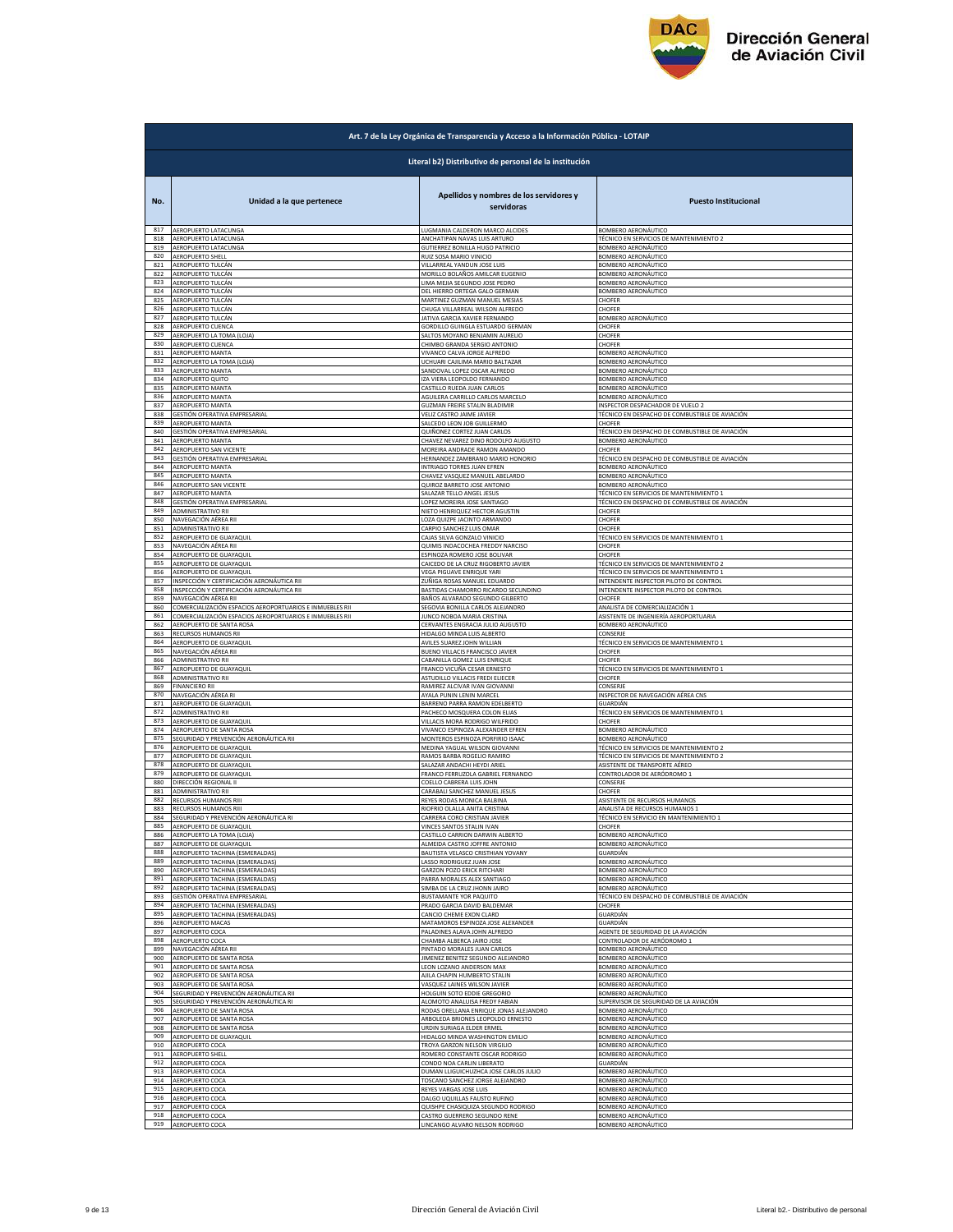

| Art. 7 de la Ley Orgánica de Transparencia y Acceso a la Información Pública - LOTAIP |                                                                    |                                                       |                                                |  |
|---------------------------------------------------------------------------------------|--------------------------------------------------------------------|-------------------------------------------------------|------------------------------------------------|--|
|                                                                                       | Literal b2) Distributivo de personal de la institución             |                                                       |                                                |  |
| No.                                                                                   | Unidad a la que pertenece                                          | Apellidos y nombres de los servidores y<br>servidoras | <b>Puesto Institucional</b>                    |  |
| 817                                                                                   | AEROPUERTO LATACUNGA                                               | LUGMANIA CALDERON MARCO ALCIDES                       | BOMBERO AERONÁUTICO                            |  |
| 818                                                                                   | AEROPUERTO LATACUNGA                                               | ANCHATIPAN NAVAS LUIS ARTURO                          | TÉCNICO EN SERVICIOS DE MANTENIMIENTO 2        |  |
| 819<br>820                                                                            | AEROPUERTO LATACUNGA                                               | <b>GUTIERREZ BONILLA HUGO PATRICIO</b>                | BOMBERO AERONÁUTICO                            |  |
| 821                                                                                   | AEROPUERTO SHELL                                                   | RUIZ SOSA MARIO VINICIO                               | BOMBERO AERONÁUTICO                            |  |
|                                                                                       | AEROPUERTO TULCÁN                                                  | VILLARREAL YANDUN JOSE LUIS                           | BOMBERO AERONÁUTICO                            |  |
| 822                                                                                   | AEROPUERTO TULCÁN                                                  | MORILLO BOLAÑOS AMILCAR EUGENIO                       | BOMBERO AERONÁUTICO                            |  |
| 823                                                                                   | AEROPUERTO TULCÁN                                                  | LIMA MEJIA SEGUNDO JOSE PEDRO                         | BOMBERO AERONÁUTICO                            |  |
| 824                                                                                   | AEROPUERTO TULCÁN                                                  | DEL HIERRO ORTEGA GALO GERMAN                         | BOMBERO AERONÁUTICO                            |  |
| 825                                                                                   | AEROPUERTO TULCÁN                                                  | MARTINEZ GUZMAN MANUEL MESIAS                         | CHOFER                                         |  |
| 826                                                                                   | AEROPUERTO TULCÁN                                                  | CHUGA VILLARREAL WILSON ALFREDO                       | CHOFER                                         |  |
| 827                                                                                   | AEROPUERTO TULCÁN                                                  | JATIVA GARCIA XAVIER FERNANDO                         | BOMBERO AERONÁUTICO                            |  |
| 828                                                                                   | AEROPUERTO CUENCA                                                  | GORDILLO GUINGLA ESTUARDO GERMAN                      | CHOFER                                         |  |
| 829                                                                                   | AEROPUERTO LA TOMA (LOJA)                                          | SALTOS MOYANO BENJAMIN AURELIO                        | CHOFER                                         |  |
| 830                                                                                   | AEROPUERTO CUENCA                                                  | CHIMBO GRANDA SERGIO ANTONIO                          | CHOFER                                         |  |
| 831                                                                                   | AEROPUERTO MANTA                                                   | VIVANCO CALVA JORGE ALFREDO                           | <b>BOMBERO AERONÁUTICO</b>                     |  |
| 832                                                                                   | AEROPUERTO LA TOMA (LOJA)                                          | UCHUARI CAJILIMA MARIO BALTAZAR                       | BOMBERO AERONÁUTICO                            |  |
| 833                                                                                   | AEROPUERTO MANTA                                                   | SANDOVAL LOPEZ OSCAR ALFREDO                          | BOMBERO AERONÁUTICO                            |  |
| 834                                                                                   | AEROPUERTO QUITO                                                   | IZA VIERA LEOPOLDO FERNANDO                           | BOMBERO AERONÁUTICO                            |  |
| 835                                                                                   | AEROPUERTO MANTA                                                   | CASTILLO RUEDA JUAN CARLOS                            | BOMBERO AERONÁUTICO                            |  |
| 836                                                                                   | <b>AEROPUERTO MANTA</b>                                            | AGUILERA CARRILLO CARLOS MARCELO                      | <b>BOMBERO AERONÁUTICO</b>                     |  |
| 837                                                                                   | AEROPUERTO MANTA                                                   | <b>GUZMAN FREIRE STALIN BLADIMIR</b>                  | INSPECTOR DESPACHADOR DE VUELO 2               |  |
| 838                                                                                   | GESTIÓN OPERATIVA EMPRESARIAL                                      | VELIZ CASTRO JAIME JAVIER                             | TÉCNICO EN DESPACHO DE COMBUSTIBLE DE AVIACIÓN |  |
| 839                                                                                   | AEROPUERTO MANTA                                                   | SALCEDO LEON JOB GUILLERMO                            | CHOFER                                         |  |
| 840                                                                                   | GESTIÓN OPERATIVA EMPRESARIAL                                      | QUIÑONEZ CORTEZ JUAN CARLOS                           | TÉCNICO EN DESPACHO DE COMBUSTIBLE DE AVIACIÓN |  |
| 841                                                                                   | AEROPUERTO MANTA                                                   | CHAVEZ NEVAREZ DINO RODOLFO AUGUSTO                   | BOMBERO AERONÁUTICO                            |  |
| 842                                                                                   | AEROPUERTO SAN VICENTE                                             | MOREIRA ANDRADE RAMON AMANDO                          | CHOFER                                         |  |
| 843                                                                                   | GESTIÓN OPERATIVA EMPRESARIAL                                      | HERNANDEZ ZAMBRANO MARIO HONORIO                      | TÉCNICO EN DESPACHO DE COMBUSTIBLE DE AVIACIÓN |  |
| 844                                                                                   | <b>AEROPUERTO MANTA</b>                                            | INTRIAGO TORRES JUAN EFREN                            | BOMBERO AERONÁUTICO                            |  |
| 845                                                                                   | AEROPUERTO MANTA                                                   | CHAVEZ VASQUEZ MANUEL ABELARDO                        | BOMBERO AERONÁUTICO                            |  |
| 846                                                                                   | AEROPUERTO SAN VICENTE                                             | QUIROZ BARRETO JOSE ANTONIO                           | BOMBERO AERONÁUTICO                            |  |
| 847                                                                                   | AEROPUERTO MANTA                                                   | SALAZAR TELLO ANGEL JESUS                             | TÉCNICO EN SERVICIOS DE MANTENIMIENTO 1        |  |
| 848                                                                                   | <b>GESTIÓN OPERATIVA EMPRESARIAL</b>                               | LOPEZ MOREIRA JOSE SANTIAGO                           | TÉCNICO EN DESPACHO DE COMBUSTIBLE DE AVIACIÓN |  |
| 849                                                                                   | ADMINISTRATIVO RII                                                 | NIETO HENRIQUEZ HECTOR AGUSTIN                        | CHOFER                                         |  |
| 850                                                                                   | NAVEGACIÓN AÉREA RII                                               | LOZA QUIZPE JACINTO ARMANDO                           | CHOFER                                         |  |
| 851                                                                                   | ADMINISTRATIVO RII                                                 | CARPIO SANCHEZ LUIS OMAR                              | CHOFER                                         |  |
| 852                                                                                   | AEROPUERTO DE GUAYAQUIL                                            | CAJAS SILVA GONZALO VINICIO                           | TÉCNICO EN SERVICIOS DE MANTENIMIENTO 1        |  |
| 853                                                                                   | NAVEGACIÓN AÉREA RII                                               | QUIMIS INDACOCHEA FREDDY NARCISO                      | CHOFER                                         |  |
| 854                                                                                   | AEROPUERTO DE GUAYAQUIL                                            | ESPINOZA ROMERO JOSE BOLIVAR                          | CHOFER                                         |  |
| 855                                                                                   | AEROPUERTO DE GUAYAQUIL                                            | CAICEDO DE LA CRUZ RIGOBERTO JAVIER                   | TÉCNICO EN SERVICIOS DE MANTENIMIENTO 2        |  |
| 856                                                                                   | AEROPUERTO DE GUAYAQUIL                                            | VEGA PIGUAVE ENRIQUE YARI                             | TÉCNICO EN SERVICIOS DE MANTENIMIENTO 1        |  |
| 857                                                                                   | INSPECCIÓN Y CERTIFICACIÓN AERONÁUTICA RII                         | ZUÑIGA ROSAS MANUEL EDUARDO                           | INTENDENTE INSPECTOR PILOTO DE CONTROL         |  |
| 858                                                                                   | INSPECCIÓN Y CERTIFICACIÓN AERONÁUTICA RII                         | BASTIDAS CHAMORRO RICARDO SECUNDINO                   | INTENDENTE INSPECTOR PILOTO DE CONTROL         |  |
| 859                                                                                   | NAVEGACIÓN AÉREA RII                                               | BAÑOS ALVARADO SEGUNDO GILBERTO                       | CHOFER                                         |  |
| 860                                                                                   | COMERCIALIZACIÓN ESPACIOS AEROPORTUARIOS E INMUEBLES RII           | SEGOVIA BONILLA CARLOS ALEJANDRO                      | ANALISTA DE COMERCIALIZACIÓN 1                 |  |
| 861                                                                                   | COMERCIALIZACIÓN ESPACIOS AEROPORTUARIOS E INMUEBLES RII           | JUNCO NOBOA MARIA CRISTINA                            | ASISTENTE DE INGENIERÍA AEROPORTUARIA          |  |
| 862                                                                                   | AEROPUERTO DE SANTA ROSA                                           | CERVANTES ENGRACIA JULIO AUGUSTO                      | BOMBERO AERONÁUTICO                            |  |
| 863                                                                                   | RECURSOS HUMANOS RII                                               | HIDALGO MINDA LUIS ALBERTO                            | CONSERJE                                       |  |
| 864                                                                                   | AEROPUERTO DE GUAYAQUIL                                            | AVILES SUAREZ JOHN WILLIAN                            | TÉCNICO EN SERVICIOS DE MANTENIMIENTO 1        |  |
| 865                                                                                   | NAVEGACIÓN AÉREA RII                                               | BUENO VILLACIS FRANCISCO JAVIER                       | CHOFER                                         |  |
| 866                                                                                   | ADMINISTRATIVO RII                                                 | CABANILLA GOMEZ LUIS ENRIQUE                          | <b>CHOFER</b>                                  |  |
| 867                                                                                   | AEROPUERTO DE GUAYAQUIL                                            | FRANCO VICUÑA CESAR ERNESTO                           | TÉCNICO EN SERVICIOS DE MANTENIMIENTO 1        |  |
| 868                                                                                   | ADMINISTRATIVO RII                                                 | ASTUDILLO VILLACIS FREDI ELIECEF                      | CHOFER                                         |  |
| 869                                                                                   | <b>FINANCIERO RII</b>                                              | RAMIREZ ALCIVAR IVAN GIOVANNI                         | CONSERJE                                       |  |
| 870                                                                                   | NAVEGACIÓN AÉREA RI                                                | AYALA PUNIN LENIN MARCEL                              | INSPECTOR DE NAVEGACIÓN AÉREA CNS              |  |
| 871                                                                                   | AEROPUERTO DE GUAYAQUIL                                            | BARRENO PARRA RAMON EDELBERTO                         | <b>GUARDIÁN</b>                                |  |
| 872                                                                                   | ADMINISTRATIVO RII                                                 | PACHECO MOSQUERA COLON ELIAS                          | TÉCNICO EN SERVICIOS DE MANTENIMIENTO 1        |  |
| 873                                                                                   | AEROPUERTO DE GUAYAQUIL                                            | VILLACIS MORA RODRIGO WILFRIDO                        | CHOFER                                         |  |
| 874                                                                                   | AEROPUERTO DE SANTA ROSA                                           | VIVANCO ESPINOZA ALEXANDER EFREN                      | BOMBERO AERONÁUTICO                            |  |
| 875                                                                                   | SEGURIDAD Y PREVENCIÓN AERONÁUTICA RII                             | MONTEROS ESPINOZA PORFIRIO ISAAO                      | BOMBERO AERONÁUTICO                            |  |
| 876                                                                                   | AEROPUERTO DE GUAYAQUIL                                            | MEDINA YAGUAL WILSON GIOVANNI                         | TÉCNICO EN SERVICIOS DE MANTENIMIENTO 2        |  |
| 877                                                                                   | AEROPUERTO DE GUAYAQUIL                                            | RAMOS BARBA ROGELIO RAMIRO                            | TÉCNICO EN SERVICIOS DE MANTENIMIENTO 2        |  |
| 878                                                                                   | AFROPUERTO DE GUAYAOUIL                                            | SALAZAR ANDACHI HEYDI ARIEL                           | ASISTENTE DE TRANSPORTE AÉREO                  |  |
| 879                                                                                   | AEROPUERTO DE GUAYAQUIL                                            | FRANCO FERRUZOLA GABRIEL FERNANDO                     | CONTROLADOR DE AERÓDROMO 1                     |  |
| 880                                                                                   | DIRECCIÓN REGIONAL II                                              | COELLO CABRERA LUIS JOHN                              | CONSERJE                                       |  |
| 881                                                                                   | ADMINISTRATIVO RII                                                 | CARABALI SANCHEZ MANUEL JESUS                         | CHOFER                                         |  |
| 882                                                                                   | RECURSOS HUMANOS RIII                                              | REYES RODAS MONICA BALBINA                            | ASISTENTE DE RECURSOS HUMANOS                  |  |
| 883                                                                                   | RECURSOS HUMANOS RIII                                              | RIOFRIO OLALLA ANITA CRISTINA                         | ANALISTA DE RECURSOS HUMANOS 1                 |  |
| 885                                                                                   | AEROPUERTO DE GUAYAQUI                                             | VINCES SANTOS STALIN IVAN                             | CHOFFE                                         |  |
| 886                                                                                   | AEROPUERTO LA TOMA (LOJA)                                          | CASTILLO CARRION DARWIN ALBERTO                       | BOMBERO AERONÁUTICO                            |  |
| 887                                                                                   | AEROPUERTO DE GUAYAQUIL                                            | ALMEIDA CASTRO JOFFRE ANTONIO                         | BOMBERO AERONÁUTICO                            |  |
| 888                                                                                   | AEROPUERTO TACHINA (ESMERALDAS)                                    | BAUTISTA VELASCO CRISTHIAN YOVANY                     | GUARDIÁN<br>BOMBERO AERONÁUTICO                |  |
| 889                                                                                   | AEROPUERTO TACHINA (ESMERALDAS)                                    | LASSO RODRIGUEZ JUAN JOSE                             | BOMBERO AERONÁUTICO                            |  |
| 890                                                                                   | AEROPUERTO TACHINA (ESMERALDAS)                                    | GARZON POZO ERICK RITCHARI                            |                                                |  |
| 891                                                                                   | AEROPUERTO TACHINA (ESMERALDAS)                                    | PARRA MORALES ALEX SANTIAGO                           | BOMBERO AERONÁUTICO                            |  |
| 892                                                                                   | AEROPUERTO TACHINA (ESMERALDAS)                                    | SIMBA DE LA CRUZ JHONN JAIRO                          | BOMBERO AERONÁUTICO                            |  |
| 893                                                                                   | GESTIÓN OPERATIVA EMPRESARIAL                                      | BUSTAMANTE YOR PAQUITO                                | TÉCNICO EN DESPACHO DE COMBUSTIBLE DE AVIACIÓN |  |
| 894                                                                                   |                                                                    | PRADO GARCIA DAVID BALDEMAR                           | CHOFER                                         |  |
| 895                                                                                   | AEROPUERTO TACHINA (ESMERALDAS)<br>AEROPUERTO TACHINA (ESMERALDAS) | CANCIO CHEME EXON CLARD                               | GUARDIÁN                                       |  |
| 896                                                                                   | AEROPUERTO MACAS                                                   | MATAMOROS ESPINOZA JOSE ALEXANDER                     | GUARDIÁN                                       |  |
| 897                                                                                   | AEROPUERTO COCA                                                    | PALADINES ALAVA JOHN ALFREDO                          | AGENTE DE SEGURIDAD DE LA AVIACIÓN             |  |
| 898                                                                                   | AEROPUERTO COCA                                                    | CHAMBA ALBERCA JAIRO JOSE                             | CONTROLADOR DE AERÓDROMO 1                     |  |
| 899                                                                                   | NAVEGACIÓN AÉREA RII                                               | PINTADO MORALES JUAN CARLOS                           | BOMBERO AERONÁUTICO                            |  |
| 900                                                                                   | AEROPUERTO DE SANTA ROSA                                           | IIMENEZ BENITEZ SEGUNDO ALEJANDRO                     | <b>BOMBERO AERONÁUTICO</b>                     |  |
| 901                                                                                   | AEROPUERTO DE SANTA ROSA                                           | LEON LOZANO ANDERSON MAX                              | BOMBERO AERONÁUTICO                            |  |
| 902                                                                                   | AEROPUERTO DE SANTA ROSA                                           | AJILA CHAPIN HUMBERTO STALIN                          | BOMBERO AERONÁUTICO                            |  |
| 903                                                                                   | AEROPUERTO DE SANTA ROSA                                           | VASQUEZ LAINES WILSON JAVIER                          | BOMBERO AERONÁUTICO                            |  |
| 904                                                                                   | SEGURIDAD Y PREVENCIÓN AERONÁUTICA RII                             | HOLGUIN SOTO EDDIE GREGORIO                           | BOMBERO AERONÁUTICO                            |  |
| 905                                                                                   | SEGURIDAD Y PREVENCIÓN AERONÁUTICA RI                              | ALOMOTO ANALUISA FREDY FABIAN                         | SUPERVISOR DE SEGURIDAD DE LA AVIACIÓN         |  |
| 906                                                                                   | AEROPUERTO DE SANTA ROSA                                           | RODAS ORELLANA ENRIQUE JONAS ALEJANDRO                | <b>BOMBERO AFRONÁLITICO</b>                    |  |
| 907                                                                                   | AEROPUERTO DE SANTA ROSA                                           | ARBOLEDA BRIONES LEOPOLDO ERNESTO                     | BOMBERO AERONÁUTICO                            |  |
| 908                                                                                   | AEROPUERTO DE SANTA ROSA                                           | URDIN SURIAGA ELDER ERMEL                             | BOMBERO AERONÁUTICO                            |  |
| 909                                                                                   | AEROPUERTO DE GUAYAQUIL                                            | HIDALGO MINDA WASHINGTON EMILIO                       | BOMBERO AERONÁUTICO                            |  |
| 910                                                                                   | AEROPUERTO COCA                                                    | TROYA GARZON NELSON VIRGILIO                          | BOMBERO AERONÁUTICO                            |  |
| 911                                                                                   | AEROPUERTO SHELL                                                   | ROMERO CONSTANTE OSCAR RODRIGO                        | BOMBERO AERONÁUTICO                            |  |
| 912                                                                                   | AEROPUERTO COCA                                                    | CONDO NOA CARLIN LIBERATO                             | GUARDIÁN                                       |  |
| 913                                                                                   | AEROPUERTO COCA                                                    | DUMAN LLIGUICHUZHCA JOSE CARLOS JULIO                 | BOMBERO AERONÁUTICO                            |  |
| 914                                                                                   | AEROPUERTO COCA                                                    | TOSCANO SANCHEZ JORGE ALEJANDRO                       | <b>BOMBERO AERONÁUTICO</b>                     |  |
| 915                                                                                   | AEROPUERTO COCA                                                    | REYES VARGAS JOSE LUIS                                | BOMBERO AERONÁUTICO                            |  |
| 916                                                                                   | AEROPUERTO COCA                                                    | DALGO UQUILLAS FAUSTO RUFINO                          | BOMBERO AERONÁUTICO                            |  |
| 917<br>918                                                                            | AEROPUERTO COCA                                                    | QUISHPE CHASIQUIZA SEGUNDO RODRIGO                    | BOMBERO AERONÁUTICO                            |  |
| 919                                                                                   | AEROPUERTO COCA                                                    | CASTRO GUERRERO SEGUNDO RENE                          | <b>BOMBERO AERONÁUTICO</b>                     |  |
|                                                                                       | AEROPUERTO COCA                                                    | LINCANGO ALVARO NELSON RODRIGO                        | BOMBERO AERONÁUTICO                            |  |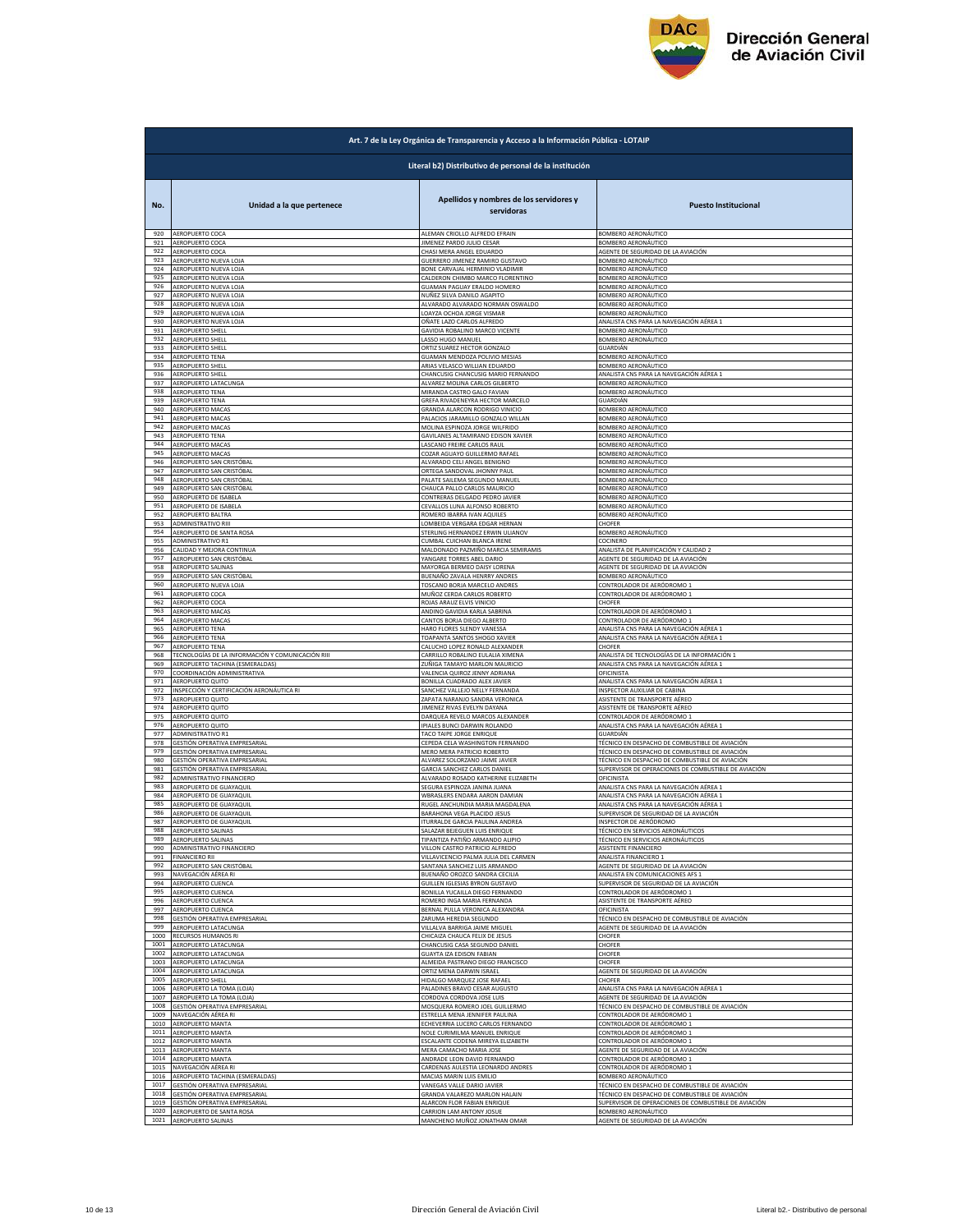

|              | Art. 7 de la Ley Orgánica de Transparencia y Acceso a la Información Pública - LOTAIP |                                                               |                                                          |  |
|--------------|---------------------------------------------------------------------------------------|---------------------------------------------------------------|----------------------------------------------------------|--|
|              | Literal b2) Distributivo de personal de la institución                                |                                                               |                                                          |  |
| No.          | Unidad a la que pertenece                                                             | Apellidos y nombres de los servidores y<br>servidoras         | <b>Puesto Institucional</b>                              |  |
| 920          | AEROPUERTO COCA                                                                       | ALEMAN CRIOLLO ALFREDO EFRAIN                                 | BOMBERO AERONÁUTICO                                      |  |
| 921          | AEROPUERTO COCA                                                                       | JIMENEZ PARDO JULIO CESAR                                     | BOMBERO AERONÁUTICO                                      |  |
| 922          | AEROPUERTO COCA                                                                       | CHASI MERA ANGEL EDUARDO                                      | AGENTE DE SEGURIDAD DE LA AVIACIÓN                       |  |
| 923          | AEROPUERTO NUEVA LOJA                                                                 | GUERRERO JIMENEZ RAMIRO GUSTAVO                               |                                                          |  |
| 924          | AEROPUERTO NUEVA LOJA                                                                 | BONE CARVAJAL HERMINIO VLADIMIR                               | BOMBERO AERONÁUTICO<br>BOMBERO AERONÁUTICO               |  |
| 925          | AEROPUERTO NUEVA LOJA                                                                 | CALDERON CHIMBO MARCO FLORENTINO                              | BOMBERO AERONÁUTICO                                      |  |
| 926          | AEROPUERTO NUEVA LOJA                                                                 | GUAMAN PAGUAY ERALDO HOMERO                                   | BOMBERO AERONÁUTICO                                      |  |
| 927          | AEROPUERTO NUEVA LOJA                                                                 | NUÑEZ SILVA DANILO AGAPITO                                    | <b>BOMBERO AERONÁUTICO</b>                               |  |
| 928          | AFROPUERTO NUEVA LOJA                                                                 | ALVARADO ALVARADO NORMAN OSWALDO                              | BOMBERO AERONÁUTICO                                      |  |
| 929          | AEROPUERTO NUEVA LOJA                                                                 | LOAYZA OCHOA JORGE VISMAR                                     | BOMBERO AERONÁUTICO                                      |  |
| 930          | AEROPUERTO NUEVA LOJA                                                                 | OÑATE LAZO CARLOS ALFREDO                                     | ANALISTA CNS PARA LA NAVEGACIÓN AÉREA 1                  |  |
| 931          | AEROPUERTO SHELL                                                                      | GAVIDIA ROBALINO MARCO VICENTE                                | BOMBERO AERONÁUTICO                                      |  |
| 932          | AEROPUERTO SHELL                                                                      | LASSO HUGO MANUEL                                             | BOMBERO AERONÁUTICO                                      |  |
| 933          | AEROPUERTO SHELL                                                                      | ORTIZ SUAREZ HECTOR GONZALO                                   | <b>SUARDIÁN</b>                                          |  |
| 934          | AEROPUERTO TENA                                                                       | GUAMAN MENDOZA POLIVIO MESIAS                                 | BOMBERO AERONÁUTICO                                      |  |
| 935          | <b>AEROPUERTO SHELL</b>                                                               | ARIAS VELASCO WILLIAN EDUARDO                                 | BOMBERO AERONÁUTICO                                      |  |
| 936          | <b>AEROPUERTO SHELL</b>                                                               | CHANCUSIG CHANCUSIG MARIO FERNANDO                            | ANALISTA CNS PARA LA NAVEGACIÓN AÉREA 1                  |  |
| 937          | AEROPUERTO LATACUNGA                                                                  | ALVAREZ MOLINA CARLOS GILBERTO                                | BOMBERO AERONÁUTICO                                      |  |
| 938          | <b>AEROPUERTO TENA</b>                                                                | MIRANDA CASTRO GALO FAVIAN                                    | BOMBERO AERONÁUTICO                                      |  |
| 939          | <b>AEROPUERTO TENA</b>                                                                | GREFA RIVADENEYRA HECTOR MARCELO                              | GUARDIÁN                                                 |  |
| 940          | AEROPUERTO MACAS                                                                      | GRANDA ALARCON RODRIGO VINICIO                                | BOMBERO AERONÁUTICO                                      |  |
| 941          | AEROPUERTO MACAS                                                                      | PALACIOS JARAMILLO GONZALO WILLAN                             | BOMBERO AERONÁUTICO                                      |  |
| 942          | AEROPUERTO MACAS                                                                      | MOLINA ESPINOZA JORGE WILFRIDO                                | BOMBERO AERONÁUTICO                                      |  |
| 943          | AEROPUERTO TENA                                                                       | GAVILANES ALTAMIRANO EDISON XAVIER                            | BOMBERO AERONÁUTICO                                      |  |
| 944          | AEROPUERTO MACAS                                                                      | LASCANO FREIRE CARLOS RAUI                                    | BOMBERO AERONÁUTICO                                      |  |
| 945          | AFROPUERTO MACAS                                                                      | COZAR AGUAYO GUILLERMO RAFAEL                                 | BOMBERO AERONÁUTICO                                      |  |
| 946          | AEROPUERTO SAN CRISTÓBAL                                                              | ALVARADO CELI ANGEL BENIGNO                                   | BOMBERO AERONÁUTICO                                      |  |
| 947          | AEROPUERTO SAN CRISTÓBAL                                                              | ORTEGA SANDOVAL JHONNY PAUL                                   | BOMBERO AERONÁUTICO                                      |  |
| 948          | AEROPUERTO SAN CRISTÓBAL                                                              | PALATE SAILEMA SEGUNDO MANUEL                                 | BOMBERO AERONÁUTICO                                      |  |
| 949          | AEROPUERTO SAN CRISTÓBAL                                                              | CHAUCA PALLO CARLOS MAURICIO                                  | BOMBERO AERONÁUTICO                                      |  |
| 950          | AEROPUERTO DE ISABELA                                                                 | CONTRERAS DELGADO PEDRO JAVIER                                | <b>3OMBERO AERONÁUTICO</b>                               |  |
| 951          | AEROPUERTO DE ISABELA                                                                 | CEVALLOS LUNA ALFONSO ROBERTO                                 | BOMBERO AERONÁUTICO                                      |  |
| 952          | AEROPUERTO BALTRA                                                                     | ROMERO IBARRA IVAN AQUILES                                    | BOMBERO AERONÁUTICO                                      |  |
| 953          | ADMINISTRATIVO RIII                                                                   | LOMBEIDA VERGARA EDGAR HERNAN                                 | CHOFER                                                   |  |
| 954          | AEROPUERTO DE SANTA ROSA                                                              | STERLING HERNANDEZ ERWIN ULIANOV                              | BOMBERO AERONÁUTICO                                      |  |
| 955          | ADMINISTRATIVO R1                                                                     | CUMBAL CUICHAN BLANCA IRENE                                   | COCINERO                                                 |  |
| 956          | CALIDAD Y MEJORA CONTINUA                                                             | MALDONADO PAZMIÑO MARCIA SEMIRAMIS                            | ANALISTA DE PLANIFICACIÓN Y CALIDAD 2                    |  |
| 957          | AEROPUERTO SAN CRISTÓBAL                                                              | YANGARE TORRES ABEL DARIO                                     | AGENTE DE SEGURIDAD DE LA AVIACIÓN                       |  |
| 958          | AEROPUERTO SALINAS                                                                    | MAYORGA BERMEO DAISY LORENA                                   | AGENTE DE SEGURIDAD DE LA AVIACIÓN                       |  |
| 959          | AEROPUERTO SAN CRISTÓBAL                                                              | BUENAÑO ZAVALA HENRRY ANDRES                                  | BOMBERO AERONÁUTICO                                      |  |
| 960          | AEROPUERTO NUEVA LOJA                                                                 | TOSCANO BORJA MARCELO ANDRES                                  | <u>CONTROLADOR DE AERÓDROMO 1</u>                        |  |
| 961          | AEROPUERTO COCA                                                                       | MUÑOZ CERDA CARLOS ROBERTO                                    | CONTROLADOR DE AERÓDROMO 1                               |  |
| 962          | AEROPUERTO COCA                                                                       | ROJAS ARAUZ ELVIS VINICIO                                     | CHOFER                                                   |  |
| 963          | AEROPUERTO MACAS                                                                      | ANDINO GAVIDIA KARLA SABRINA                                  | CONTROLADOR DE AERÓDROMO 1                               |  |
| 964          | AEROPUERTO MACAS                                                                      | CANTOS BORJA DIEGO ALBERTO                                    | CONTROLADOR DE AERÓDROMO 1                               |  |
| 965          | AEROPUERTO TENA                                                                       | HARO FLORES SLENDY VANESSA                                    | ANALISTA CNS PARA LA NAVEGACIÓN AÉREA 1                  |  |
| 966          | AEROPUERTO TENA                                                                       | TOAPANTA SANTOS SHOGO XAVIER                                  | ANALISTA CNS PARA LA NAVEGACIÓN AÉREA 1                  |  |
| 967          | AEROPUERTO TENA                                                                       | CALUCHO LOPEZ RONALD ALEXANDER                                | <b>HOFER</b>                                             |  |
| 968          | TECNOLOGÍAS DE LA INFORMACIÓN Y COMUNICACIÓN RIII                                     | CARRILLO ROBALINO EULALIA XIMENA                              | ANALISTA DE TECNOLOGÍAS DE LA INFORMACIÓN 1              |  |
| 969          | AEROPUERTO TACHINA (ESMERALDAS                                                        | ZUÑIGA TAMAYO MARLON MAURICIO                                 | ANALISTA CNS PARA LA NAVEGACIÓN AÉREA :                  |  |
| 970          | COORDINACIÓN ADMINISTRATIVA                                                           | VALENCIA QUIROZ JENNY ADRIANA                                 | OFICINISTA                                               |  |
| 971          | AEROPUERTO QUITO                                                                      | BONILLA CUADRADO ALEX JAVIER                                  | ANALISTA CNS PARA LA NAVEGACIÓN AÉREA 1                  |  |
| 972          | INSPECCIÓN Y CERTIFICACIÓN AERONÁUTICA RI                                             | SANCHEZ VALLEJO NELLY FERNANDA                                | INSPECTOR AUXILIAR DE CABINA                             |  |
| 973          | AEROPUERTO QUITO                                                                      | ZAPATA NARANJO SANDRA VERONICA                                | ASISTENTE DE TRANSPORTE AÉREO                            |  |
| 974<br>975   | AEROPUERTO QUITO                                                                      | JIMENEZ RIVAS EVELYN DAYANA                                   | ASISTENTE DE TRANSPORTE AÉREO                            |  |
| 976          | AEROPUERTO QUITO                                                                      | DARQUEA REVELO MARCOS ALEXANDER                               | CONTROLADOR DE AERÓDROMO 1                               |  |
|              | AEROPUERTO QUITO                                                                      | IPIALES BUNCI DARWIN ROLANDO                                  | ANALISTA CNS PARA LA NAVEGACIÓN AÉREA 1                  |  |
| 977          | <b>ADMINISTRATIVO R1</b>                                                              | TACO TAIPE JORGE ENRIQUE                                      | GUARDIÁN                                                 |  |
| 978          | GESTIÓN OPERATIVA EMPRESARIA                                                          | CEPEDA CELA WASHINGTON FERNANDO                               | TÉCNICO EN DESPACHO DE COMBUSTIBLE DE AVIACIÓN           |  |
| 979          | GESTIÓN OPERATIVA EMPRESARIAL                                                         | MERO MERA PATRICIO ROBERTO                                    | TÉCNICO EN DESPACHO DE COMBUSTIBLE DE AVIACIÓN           |  |
| 980          | GESTIÓN OPERATIVA EMPRESARIAL                                                         | ALVAREZ SOLORZANO JAIME JAVIER                                | TÉCNICO EN DESPACHO DE COMBUSTIBLE DE AVIACIÓN           |  |
| 981          | GESTIÓN OPERATIVA EMPRESARIAL                                                         | <b>GARCIA SANCHEZ CARLOS DANIEL</b>                           | SUPERVISOR DE OPERACIONES DE COMBUSTIBLE DE AVIACIÓN     |  |
| 982          |                                                                                       | ALVARADO ROSADO KATHERINE ELIZABETH                           | OFICINISTA                                               |  |
| 983          | ADMINISTRATIVO FINANCIERO<br>AEROPUERTO DE GUAYAQUIL                                  | SEGURA ESPINOZA JANINA JUANA                                  | ANALISTA CNS PARA LA NAVEGACIÓN AÉREA 1                  |  |
| 984          | AEROPUERTO DE GUAYAQUIL                                                               | WBRASLERS ENDARA AARON DAMIA!                                 | ANALISTA CNS PARA LA NAVEGACIÓN AÉREA :                  |  |
| 985          | AEROPUERTO DE GUAYAQUIL                                                               | RUGEL ANCHUNDIA MARIA MAGDALENA                               | ANALISTA CNS PARA LA NAVEGACIÓN AÉREA 1                  |  |
| 986          | AEROPUERTO DE GUAYAQUIL                                                               | BARAHONA VEGA PLACIDO JESUS                                   | SUPERVISOR DE SEGURIDAD DE LA AVIACIÓN                   |  |
| 987          | AFROPUERTO DE GUAYAOUIL                                                               | <b>ITURRALDE GARCIA PAULINA ANDREA</b>                        | INSPECTOR DE AERÓDROMO                                   |  |
| 989          | 988 AEROPUERTO SALINAS                                                                | SALAZAR BEJEGUEN LUIS ENRIQUE                                 | TÉCNICO EN SERVICIOS AERONÁUTICOS                        |  |
| 990          | AEROPUERTO SALINAS                                                                    | TIPANTIZA PATIÑO ARMANDO ALIPIO                               | TÉCNICO EN SERVICIOS AERONÁUTICOS                        |  |
|              | ADMINISTRATIVO FINANCIERO                                                             | VILLON CASTRO PATRICIO ALFREDO                                | ASISTENTE FINANCIERO                                     |  |
| 991          | FINANCIERO RII                                                                        | VILLAVICENCIO PALMA JULIA DEL CARMEN                          | ANALISTA FINANCIERO 1                                    |  |
| 992          | AEROPUERTO SAN CRISTÓBAL                                                              | SANTANA SANCHEZ LUIS ARMANDO                                  | AGENTE DE SEGURIDAD DE LA AVIACIÓN                       |  |
| 993          | NAVEGACIÓN AÉREA RI                                                                   | BUENAÑO OROZCO SANDRA CECILIA                                 | ANALISTA EN COMUNICACIONES AFS                           |  |
| 994          | AEROPUERTO CUENCA                                                                     | <b>GUILLEN IGLESIAS BYRON GUSTAVO</b>                         | SUPERVISOR DE SEGURIDAD DE LA AVIACIÓN                   |  |
| 995          | <b>AEROPUERTO CUENCA</b>                                                              | BONILLA YUCAILLA DIEGO FERNANDO                               | CONTROLADOR DE AERÓDROMO 1                               |  |
| 996          | AEROPUERTO CUENCA                                                                     | ROMERO INGA MARIA FERNANDA                                    | ASISTENTE DE TRANSPORTE AÉREO                            |  |
| 997          | AEROPUERTO CUENCA                                                                     | BERNAL PULLA VERONICA ALEXANDRA                               | OFICINISTA                                               |  |
| 998          | <b>GESTIÓN OPERATIVA EMPRESARIAL</b>                                                  | ZARUMA HEREDIA SEGUNDO                                        | TÉCNICO EN DESPACHO DE COMBUSTIBLE DE AVIACIÓN           |  |
| 999          | AEROPUERTO LATACUNGA                                                                  | VILLALVA BARRIGA JAIME MIGUEL                                 | AGENTE DE SEGURIDAD DE LA AVIACIÓN                       |  |
| 1000         | RECURSOS HUMANOS RI                                                                   | CHICAIZA CHAUCA FELIX DE JESUS                                | <b>HOFER</b>                                             |  |
| 1001         | AEROPUERTO LATACUNGA                                                                  | CHANCUSIG CASA SEGUNDO DANIEL                                 | CHOFER                                                   |  |
| 1002<br>1003 | AEROPUERTO LATACUNGA<br>AEROPUERTO LATACUNGA                                          | <b>GUAYTA IZA EDISON FABIAN</b>                               | <b>CHOFER</b>                                            |  |
|              | 1004 AEROPUERTO LATACUNGA                                                             | ALMEIDA PASTRANO DIEGO FRANCISCO<br>ORTIZ MENA DARWIN ISRAEL  | CHOFER<br>AGENTE DE SEGURIDAD DE LA AVIACIÓN             |  |
| 1005         | AEROPUERTO SHELL                                                                      | HIDALGO MARQUEZ JOSE RAFAEL                                   | CHOFER                                                   |  |
| 1006         | AEROPUERTO LA TOMA (LOJA)                                                             | PALADINES BRAVO CESAR AUGUSTO                                 | ANALISTA CNS PARA LA NAVEGACIÓN AÉREA 1                  |  |
| 1007         | AEROPUERTO LA TOMA (LOJA)                                                             | CORDOVA CORDOVA JOSE LUIS                                     | AGENTE DE SEGURIDAD DE LA AVIACIÓN                       |  |
| 1008         | GESTIÓN OPERATIVA EMPRESARIAL                                                         | MOSQUERA ROMERO JOEL GUILLERMO                                | TÉCNICO EN DESPACHO DE COMBUSTIBLE DE AVIACIÓN           |  |
| 1009         | NAVEGACIÓN AÉREA RI                                                                   | ESTRELLA MENA JENNIFER PAULINA                                | CONTROLADOR DE AERÓDROMO 1                               |  |
| 1010         | AEROPUERTO MANTA                                                                      | ECHEVERRIA LUCERO CARLOS FERNANDO                             | CONTROLADOR DE AERÓDROMO 1                               |  |
| 1011         | <b>AEROPUERTO MANTA</b>                                                               | NOLE CURIMILMA MANUEL ENRIQUE                                 | CONTROLADOR DE AERÓDROMO 1                               |  |
| 1012         | AEROPUERTO MANTA                                                                      | ESCALANTE CODENA MIREYA ELIZABETH                             | CONTROLADOR DE AERÓDROMO 1                               |  |
| 1013         | AEROPUERTO MANTA                                                                      | MERA CAMACHO MARIA JOSE                                       | AGENTE DE SEGURIDAD DE LA AVIACIÓN                       |  |
| 1014<br>1015 | AEROPUERTO MANTA                                                                      | ANDRADE LEON DAVID FERNANDO                                   | CONTROLADOR DE AERÓDROMO 1<br>CONTROLADOR DE AERÓDROMO 1 |  |
| 1016         | NAVEGACIÓN AÉREA RI<br>AEROPUERTO TACHINA (ESMERALDAS)                                | CARDENAS AULESTIA LEONARDO ANDRES<br>MACIAS MARIN LUIS EMILIO | BOMBERO AERONÁUTICO                                      |  |
| 1017         | SESTIÓN OPERATIVA EMPRESARIAL                                                         | VANEGAS VALLE DARIO JAVIER                                    | FÉCNICO EN DESPACHO DE COMBUSTIBLE DE AVIACIÓN           |  |
| 1018         | GESTIÓN OPERATIVA EMPRESARIAL                                                         | GRANDA VALAREZO MARLON HALAIN                                 | TÉCNICO EN DESPACHO DE COMBUSTIBLE DE AVIACIÓN           |  |
| 1019         | GESTIÓN OPERATIVA EMPRESARIAL                                                         | ALARCON FLOR FABIAN ENRIQUE                                   | SUPERVISOR DE OPERACIONES DE COMBUSTIBLE DE AVIACIÓN     |  |
| 1020         | AEROPUERTO DE SANTA ROSA                                                              | CARRION LAM ANTONY JOSUE                                      | BOMBERO AERONÁUTICO                                      |  |
|              | 1021 AEROPUERTO SALINAS                                                               | MANCHENO MUÑOZ JONATHAN OMAR                                  | AGENTE DE SEGURIDAD DE LA AVIACIÓN                       |  |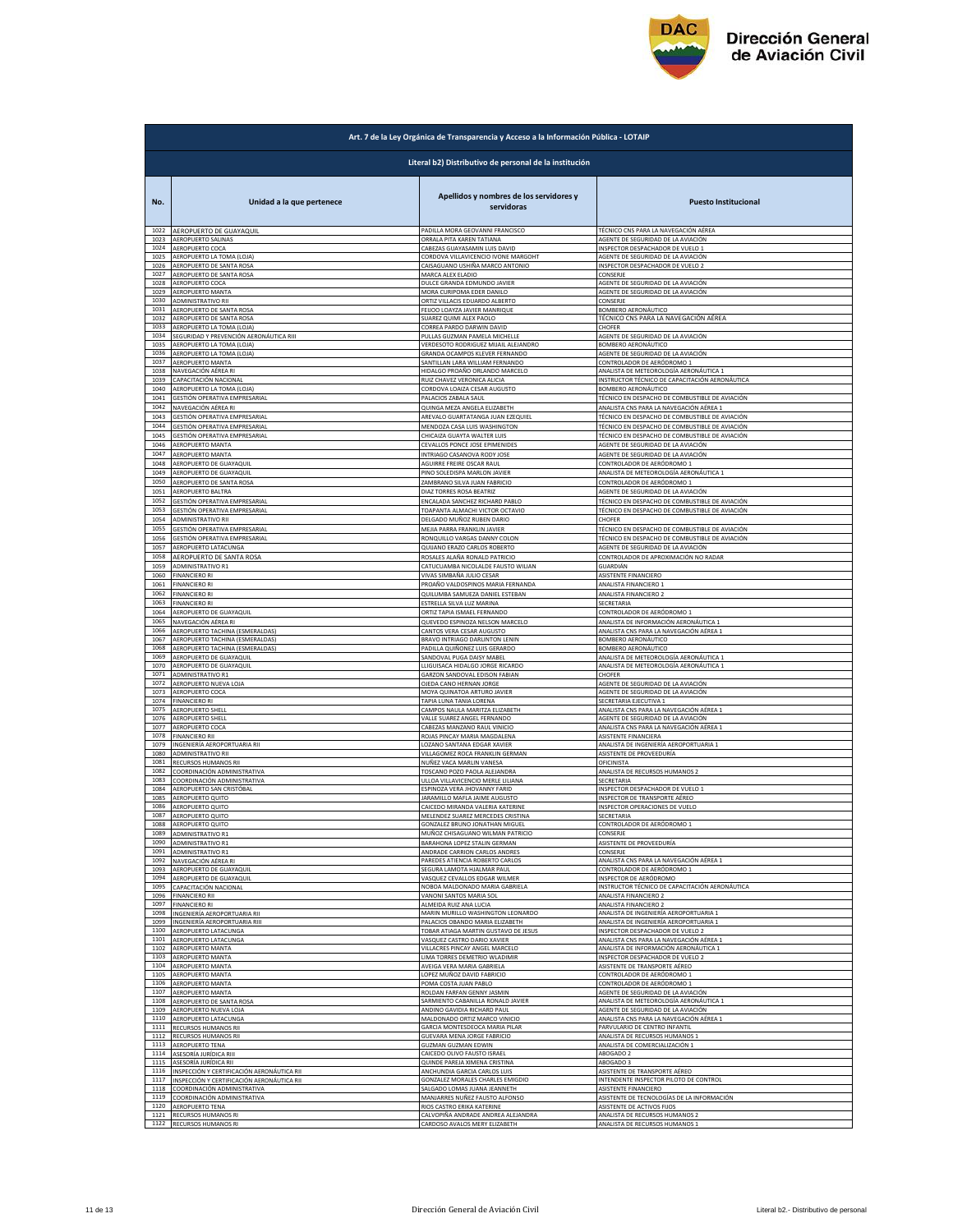

|              | Art. 7 de la Ley Orgánica de Transparencia y Acceso a la Información Pública - LOTAIP |                                                       |                                                |  |
|--------------|---------------------------------------------------------------------------------------|-------------------------------------------------------|------------------------------------------------|--|
|              | Literal b2) Distributivo de personal de la institución                                |                                                       |                                                |  |
| No.          | Unidad a la que pertenece                                                             | Apellidos y nombres de los servidores y<br>servidoras | <b>Puesto Institucional</b>                    |  |
| 1022         | AEROPUERTO DE GUAYAQUIL                                                               | PADILLA MORA GEOVANNI FRANCISCO                       | TÉCNICO CNS PARA LA NAVEGACIÓN AÉREA           |  |
| 1023         | <b>AEROPUERTO SALINAS</b>                                                             | ORRALA PITA KAREN TATIANA                             | AGENTE DE SEGURIDAD DE LA AVIACIÓN             |  |
| 1024         | AEROPUERTO COCA                                                                       | CABEZAS GUAYASAMIN LUIS DAVID                         | INSPECTOR DESPACHADOR DE VUELO 1               |  |
| 1025         | AEROPUERTO LA TOMA (LOJA)                                                             | CORDOVA VILLAVICENCIO IVONE MARGOHT                   | AGENTE DE SEGURIDAD DE LA AVIACIÓN             |  |
| 1026         | AEROPUERTO DE SANTA ROSA                                                              | CAISAGUANO USHIÑA MARCO ANTONIO                       | INSPECTOR DESPACHADOR DE VUELO 2               |  |
| 1027         | <b>AEROPUERTO DE SANTA ROSA</b>                                                       | MARCA ALEX ELADIO                                     | CONSERJE                                       |  |
| 1028         | AEROPUERTO COCA                                                                       | DULCE GRANDA EDMUNDO JAVIER                           | AGENTE DE SEGURIDAD DE LA AVIACIÓN             |  |
| 1029         | AEROPUERTO MANTA                                                                      | MORA CURIPOMA EDER DANILO                             | AGENTE DE SEGURIDAD DE LA AVIACIÓN             |  |
| 1030         | ADMINISTRATIVO RII                                                                    | ORTIZ VILLACIS EDUARDO ALBERTO                        | CONSERJE                                       |  |
| 1031         | AEROPUERTO DE SANTA ROSA                                                              | FEIJOO LOAYZA JAVIER MANRIQUE                         | BOMBERO AERONÁUTICO                            |  |
| 1032         | AEROPUERTO DE SANTA ROSA                                                              | SUAREZ QUIMI ALEX PAOLO                               | TÉCNICO CNS PARA LA NAVEGACIÓN AÉREA           |  |
| 1033         | AEROPUERTO LA TOMA (LOJA)                                                             | CORREA PARDO DARWIN DAVID                             | CHOFER                                         |  |
| 1034         | SEGURIDAD Y PREVENCIÓN AERONÁUTICA RIII                                               | PULLAS GUZMAN PAMELA MICHELLE                         | AGENTE DE SEGURIDAD DE LA AVIACIÓN             |  |
| 1035         | AEROPUERTO LA TOMA (LOJA)                                                             | VERDESOTO RODRIGUEZ MIJAIL ALEJANDRO                  | BOMBERO AERONÁUTICO                            |  |
| 1036         | AEROPUERTO LA TOMA (LOJA)                                                             | GRANDA OCAMPOS KLEVER FERNANDO                        | AGENTE DE SEGURIDAD DE LA AVIACIÓN             |  |
| 1037         | AEROPUERTO MANTA                                                                      | SANTILLAN LARA WILLIAM FERNANDO                       | CONTROLADOR DE AERÓDROMO 1                     |  |
| 1038         | NAVEGACIÓN AÉREA RI                                                                   | HIDALGO PROAÑO ORLANDO MARCELO                        | ANALISTA DE METEOROLOGÍA AERONÁUTICA :         |  |
| 1039         | CAPACITACIÓN NACIONAL                                                                 | RUIZ CHAVEZ VERONICA ALICIA                           | INSTRUCTOR TÉCNICO DE CAPACITACIÓN AERONÁUTICA |  |
| 1040         | AEROPUERTO LA TOMA (LOJA)                                                             | CORDOVA LOAIZA CESAR AUGUSTO                          | BOMBERO AERONÁUTICO                            |  |
| 1041         | GESTIÓN OPERATIVA EMPRESARIAL                                                         | PALACIOS ZABALA SAUL                                  | TÉCNICO EN DESPACHO DE COMBUSTIBLE DE AVIACIÓN |  |
| 1042         | NAVEGACIÓN AÉREA RI                                                                   | QUINGA MEZA ANGELA ELIZABETH                          | ANALISTA CNS PARA LA NAVEGACIÓN AÉREA 1        |  |
| 1043         | GESTIÓN OPERATIVA EMPRESARIAL                                                         | AREVALO GUARTATANGA JUAN EZEQUIEL                     | TÉCNICO EN DESPACHO DE COMBUSTIBLE DE AVIACIÓN |  |
| 1044         | GESTIÓN OPERATIVA EMPRESARIAL                                                         | MENDOZA CASA LUIS WASHINGTON                          | TÉCNICO EN DESPACHO DE COMBUSTIBLE DE AVIACIÓN |  |
| 1045         | GESTIÓN OPERATIVA EMPRESARIAL                                                         | CHICAIZA GUAYTA WALTER LUIS                           | TÉCNICO EN DESPACHO DE COMBUSTIBLE DE AVIACIÓN |  |
| 1046         | AEROPUERTO MANTA                                                                      | CEVALLOS PONCE JOSE EPIMENIDES                        | AGENTE DE SEGURIDAD DE LA AVIACIÓN             |  |
| 1047         | AEROPUERTO MANTA                                                                      | INTRIAGO CASANOVA RODY JOSE                           | AGENTE DE SEGURIDAD DE LA AVIACIÓN             |  |
| 1048         | AEROPUERTO DE GUAYAQUIL                                                               | AGUIRRE FREIRE OSCAR RAUL                             | CONTROLADOR DE AERÓDROMO 1                     |  |
| 1049         | AEROPUERTO DE GUAYAQUIL                                                               | PINO SOLEDISPA MARLON JAVIER                          | ANALISTA DE METEOROLOGÍA AERONÁUTICA 1         |  |
| 1050         | AEROPUERTO DE SANTA ROSA                                                              | ZAMBRANO SILVA JUAN FABRICIO                          | CONTROLADOR DE AERÓDROMO 1                     |  |
| 1051         | AEROPUERTO BALTRA                                                                     | DIAZ TORRES ROSA BEATRIZ                              | AGENTE DE SEGURIDAD DE LA AVIACIÓN             |  |
| 1052         | GESTIÓN OPERATIVA EMPRESARIAL                                                         | ENCALADA SANCHEZ RICHARD PABLO                        | TÉCNICO EN DESPACHO DE COMBUSTIBLE DE AVIACIÓN |  |
| 1053         | GESTIÓN OPERATIVA EMPRESARIAL                                                         | TOAPANTA ALMACHI VICTOR OCTAVIO                       | TÉCNICO EN DESPACHO DE COMBUSTIBLE DE AVIACIÓN |  |
| 1054         | ADMINISTRATIVO RII                                                                    | DELGADO MUÑOZ RUBEN DARIO                             | <b>CHOFER</b>                                  |  |
| 1055         | GESTIÓN OPERATIVA EMPRESARIAL                                                         | MEJIA PARRA FRANKLIN JAVIER                           | TÉCNICO EN DESPACHO DE COMBUSTIBLE DE AVIACIÓN |  |
| 1056         | GESTIÓN OPERATIVA EMPRESARIAL                                                         | RONQUILLO VARGAS DANNY COLON                          | TÉCNICO EN DESPACHO DE COMBUSTIBLE DE AVIACIÓN |  |
| 1057         | AEROPUERTO LATACUNGA                                                                  | QUIJANO ERAZO CARLOS ROBERTO                          | AGENTE DE SEGURIDAD DE LA AVIACIÓN             |  |
| 1058         | AEROPUERTO DE SANTA ROSA                                                              | ROSALES ALAÑA RONALD PATRICIO                         | CONTROLADOR DE APROXIMACIÓN NO RADAR           |  |
| 1059         | ADMINISTRATIVO R1                                                                     | CATUCUAMBA NICOLALDE FAUSTO WILIAN                    | GUARDIÁN                                       |  |
| 1060         | <b>FINANCIERO RI</b>                                                                  | VIVAS SIMBAÑA JULIO CESAR                             | ASISTENTE FINANCIERO                           |  |
| 1061         | <b>FINANCIERO RI</b>                                                                  | PROAÑO VALDOSPINOS MARIA FERNANDA                     | ANALISTA FINANCIERO 1                          |  |
| 1062         | <b>FINANCIERO RI</b>                                                                  | QUILUMBA SAMUEZA DANIEL ESTEBAN                       | ANALISTA FINANCIERO 2                          |  |
| 1063         | <b>FINANCIERO RI</b>                                                                  | ESTRELLA SILVA LUZ MARINA                             | SECRETARIA                                     |  |
| 1064         | AEROPUERTO DE GUAYAQUIL                                                               | ORTIZ TAPIA ISMAEL FERNANDO                           | CONTROLADOR DE AERÓDROMO 1                     |  |
| 1065         | NAVEGACIÓN AÉREA RI                                                                   | QUEVEDO ESPINOZA NELSON MARCELO                       | ANALISTA DE INFORMACIÓN AERONÁUTICA 1          |  |
| 1066         | AEROPUERTO TACHINA (ESMERALDAS)                                                       | CANTOS VERA CESAR AUGUSTO                             | ANALISTA CNS PARA LA NAVEGACIÓN AÉREA 1        |  |
| 1067         | AEROPUERTO TACHINA (ESMERALDAS)                                                       | BRAVO INTRIAGO DARLINTON LENIN                        | BOMBERO AERONÁUTICO                            |  |
| 1068         | AEROPUERTO TACHINA (ESMERALDAS)                                                       | PADILLA QUIÑONEZ LUIS GERARDO                         | BOMBERO AERONÁUTICO                            |  |
| 1069         | AEROPUERTO DE GUAYAQUII                                                               | SANDOVAL PUGA DAISY MABEL                             | ANALISTA DE METEOROLOGÍA AERONÁUTICA 1         |  |
| 1070         | AEROPUERTO DE GUAYAQUII                                                               | LLIGUISACA HIDALGO JORGE RICARDO                      | ANALISTA DE METEOROLOGÍA AERONÁUTICA 1         |  |
| 1071         | ADMINISTRATIVO R1                                                                     | GARZON SANDOVAL EDISON FABIAN                         | CHOFER                                         |  |
| 1072         | AEROPUERTO NUEVA LOJA                                                                 | OJEDA CANO HERNAN JORGE                               | AGENTE DE SEGURIDAD DE LA AVIACIÓN             |  |
| 1073         | AEROPUERTO COCA                                                                       | MOYA QUINATOA ARTURO JAVIER                           | AGENTE DE SEGURIDAD DE LA AVIACIÓN             |  |
| 1074         | <b>FINANCIERO RI</b>                                                                  | TAPIA LUNA TANIA LORENA                               | SECRETARIA EJECUTIVA 1                         |  |
| 1075         | AEROPUERTO SHELL                                                                      | CAMPOS NAULA MARITZA ELIZABETH                        | ANALISTA CNS PARA LA NAVEGACIÓN AÉREA 1        |  |
| 1076         | AEROPUERTO SHELL                                                                      | VALLE SUAREZ ANGEL FERNANDO                           | AGENTE DE SEGURIDAD DE LA AVIACIÓN             |  |
| 1077         | AEROPUERTO COCA                                                                       | CABEZAS MANZANO RAUL VINICIO                          | ANALISTA CNS PARA LA NAVEGACIÓN AÉREA 1        |  |
| 1078         | <b>FINANCIERO RII</b>                                                                 | ROJAS PINCAY MARIA MAGDALENA                          | ASISTENTE FINANCIERA                           |  |
| 1079         | INGENIERÍA AEROPORTUARIA RII                                                          | LOZANO SANTANA EDGAR XAVIER                           | ANALISTA DE INGENIERÍA AEROPORTUARIA 1         |  |
| 1080         | ADMINISTRATIVO RII                                                                    | VILLAGOMEZ ROCA FRANKLIN GERMAN                       | ASISTENTE DE PROVEEDURÍA                       |  |
| 1081         | RECURSOS HUMANOS RII                                                                  | NUÑEZ VACA MARLIN VANESA                              | OFICINISTA                                     |  |
| 1082         | COORDINACIÓN ADMINISTRATIVA                                                           | TOSCANO POZO PAOLA ALEJANDRA                          | ANALISTA DE RECURSOS HUMANOS 2                 |  |
| 1083         | COORDINACIÓN ADMINISTRATIVA                                                           | ULLOA VILLAVICENCIO MERLE LILIANA                     | SECRETARIA                                     |  |
| 1084         | AEROPUERTO SAN CRISTÓBAL                                                              | ESPINOZA VERA JHOVANNY FARID                          | INSPECTOR DESPACHADOR DE VUELO 1               |  |
| 1085         | AEROPUERTO QUITO                                                                      | <b>JARAMILLO MAFLA JAIME AUGUSTO</b>                  | INSPECTOR DE TRANSPORTE AÉREO                  |  |
| 1086         | AEROPUERTO QUITO                                                                      | CAICEDO MIRANDA VALERIA KATERINE                      | INSPECTOR OPERACIONES DE VUELO                 |  |
| 1087         | AEROPUERTO QUITO                                                                      | MELENDEZ SUAREZ MERCEDES CRISTINA                     | <b>SECRETARIA</b>                              |  |
| 1088         | AEROPUERTO QUITO                                                                      | GONZALEZ BRUNO JONATHAN MIGUEL                        | CONTROLADOR DE AERÓDROMO 1                     |  |
| 1089         | <b>ADMINISTRATIVO R1</b>                                                              | MUÑOZ CHISAGUANO WILMAN PATRICIO                      | CONSERJE                                       |  |
| 1090         | ADMINISTRATIVO R1                                                                     | BARAHONA LOPEZ STALIN GERMAN                          | ASISTENTE DE PROVEEDURÍA                       |  |
| 1091         | <b>ADMINISTRATIVO R1</b>                                                              | ANDRADE CARRION CARLOS ANDRES                         | CONSERJE                                       |  |
| 1092         | NAVEGACIÓN AÉREA RI                                                                   | PAREDES ATIENCIA ROBERTO CARLOS                       | ANALISTA CNS PARA LA NAVEGACIÓN AÉREA 1        |  |
| 1093<br>1094 | AEROPUERTO DE GUAYAQUIL                                                               | SEGURA LAMOTA HJALMAR PAUL                            | CONTROLADOR DE AERÓDROMO 1                     |  |
| 1095         | AEROPUERTO DE GUAYAQUIL                                                               | VASQUEZ CEVALLOS EDGAR WILMER                         | INSPECTOR DE AERÓDROMO                         |  |
|              | CAPACITACIÓN NACIONAL                                                                 | NOBOA MALDONADO MARIA GABRIELA                        | INSTRUCTOR TÉCNICO DE CAPACITACIÓN AERONÁUTICA |  |
| 1096         | <b>FINANCIERO RII</b>                                                                 | VANONI SANTOS MARIA SOL                               | ANALISTA FINANCIERO 2                          |  |
| 1097         | <b>FINANCIERO RI</b>                                                                  | ALMEIDA RUIZ ANA LUCIA                                | ANALISTA FINANCIERO 2                          |  |
| 1098<br>1099 | INGENIERÍA AEROPORTUARIA RII                                                          | MARIN MURILLO WASHINGTON LEONARDO                     | ANALISTA DE INGENIERÍA AEROPORTUARIA 1         |  |
| 1100         | INGENIERÍA AEROPORTUARIA RIII                                                         | PALACIOS OBANDO MARIA ELIZABETH                       | ANALISTA DE INGENIERÍA AEROPORTUARIA 1         |  |
|              | AEROPUERTO LATACUNGA                                                                  | TOBAR ATIAGA MARTIN GUSTAVO DE JESUS                  | INSPECTOR DESPACHADOR DE VUELO 2               |  |
| 1101         | AEROPUERTO LATACUNGA                                                                  | VASQUEZ CASTRO DARIO XAVIER                           | ANALISTA CNS PARA LA NAVEGACIÓN AÉREA 1        |  |
| 1102         | AEROPUERTO MANTA                                                                      | VILLACRES PINCAY ANGEL MARCELO                        | ANALISTA DE INFORMACIÓN AERONÁUTICA 1          |  |
| 1103         | <b>AEROPUERTO MANTA</b>                                                               | LIMA TORRES DEMETRIO WLADIMIR                         | INSPECTOR DESPACHADOR DE VUELO 2               |  |
| 1104         | AEROPUERTO MANTA                                                                      | AVEIGA VERA MARIA GABRIELA                            | ASISTENTE DE TRANSPORTE AÉREO                  |  |
| 1105         | AEROPUERTO MANTA                                                                      | LOPEZ MUÑOZ DAVID FABRICIO                            | CONTROLADOR DE AERÓDROMO 1                     |  |
| 1106         | <b>AEROPUERTO MANTA</b>                                                               | POMA COSTA JUAN PABLO                                 | CONTROLADOR DE AERÓDROMO 1                     |  |
| 1107         | <b>AEROPUERTO MANTA</b>                                                               | ROLDAN FARFAN GENNY JASMIN                            | AGENTE DE SEGURIDAD DE LA AVIACIÓN             |  |
| 1108         | AEROPUERTO DE SANTA ROSA                                                              | SARMIENTO CABANILLA RONALD JAVIER                     | ANALISTA DE METEOROLOGÍA AERONÁUTICA 1         |  |
| 1109         | AEROPUERTO NUEVA LOJA                                                                 | ANDINO GAVIDIA RICHARD PAUL                           | AGENTE DE SEGURIDAD DE LA AVIACIÓN             |  |
| 1110         | AEROPUERTO LATACUNGA                                                                  | MALDONADO ORTIZ MARCO VINICIO                         | ANALISTA CNS PARA LA NAVEGACIÓN AÉREA 1        |  |
| 1111         | RECURSOS HUMANOS RII                                                                  | GARCIA MONTESDEOCA MARIA PILAR                        | PARVULARIO DE CENTRO INFANTIL                  |  |
| 1112         | RECURSOS HUMANOS RII                                                                  | SUEVARA MENA JORGE FABRICIO                           | ANALISTA DE RECURSOS HUMANOS 1                 |  |
| 1113         | AEROPUERTO TENA                                                                       | GUZMAN GUZMAN EDWIN                                   | ANALISTA DE COMERCIALIZACIÓN 1                 |  |
| 1114         | ASESORÍA JURÍDICA RIII                                                                | CAICEDO OLIVO FAUSTO ISRAEL                           | ABOGADO 2                                      |  |
| 1115         | ASESORÍA JURÍDICA RII                                                                 | QUINDE PAREJA XIMENA CRISTINA                         | ABOGADO 3                                      |  |
| 1116         | INSPECCIÓN Y CERTIFICACIÓN AERONÁUTICA RII                                            | ANCHUNDIA GARCIA CARLOS LUIS                          | ASISTENTE DE TRANSPORTE AÉREO                  |  |
| 1117         | INSPECCIÓN Y CERTIFICACIÓN AERONÁUTICA RII                                            | GONZALEZ MORALES CHARLES EMIGDIO                      | INTENDENTE INSPECTOR PILOTO DE CONTROL         |  |
| 1118         | COORDINACIÓN ADMINISTRATIVA                                                           | SALGADO LOMAS JUANA JEANNETH                          | ASISTENTE FINANCIERO                           |  |
| 1119         | COORDINACIÓN ADMINISTRATIVA                                                           | MANJARRES NUÑEZ FAUSTO ALFONSO                        | ASISTENTE DE TECNOLOGÍAS DE LA INFORMACIÓN     |  |
| 1120         | AEROPUERTO TENA                                                                       | RIOS CASTRO ERIKA KATERINE                            | ASISTENTE DE ACTIVOS FIJOS                     |  |
| 1121         | RECURSOS HUMANOS RI                                                                   | CALVOPIÑA ANDRADE ANDREA ALEJANDRA                    | ANALISTA DE RECURSOS HUMANOS 2                 |  |
| 1122         | RECURSOS HUMANOS RI                                                                   | CARDOSO AVALOS MERY ELIZABETH                         | ANALISTA DE RECURSOS HUMANOS 1                 |  |
|              |                                                                                       |                                                       |                                                |  |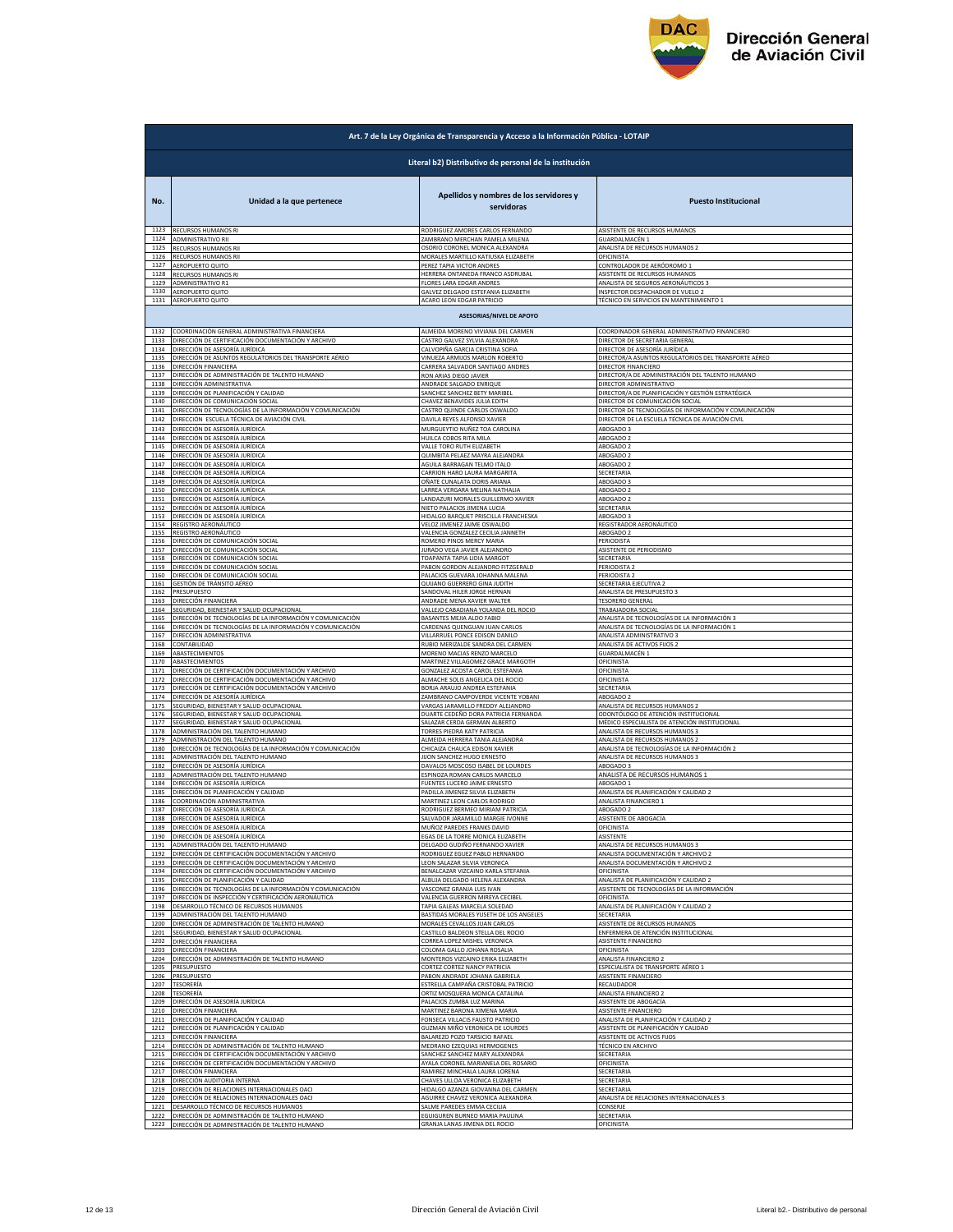

|              | Art. 7 de la Ley Orgánica de Transparencia y Acceso a la Información Pública - LOTAIP |                                                                      |                                                                               |  |
|--------------|---------------------------------------------------------------------------------------|----------------------------------------------------------------------|-------------------------------------------------------------------------------|--|
|              | Literal b2) Distributivo de personal de la institución                                |                                                                      |                                                                               |  |
| No.          | Unidad a la que pertenece                                                             | Apellidos y nombres de los servidores y<br>servidoras                | <b>Puesto Institucional</b>                                                   |  |
| 1123<br>1124 | RECURSOS HUMANOS RI                                                                   | RODRIGUEZ AMORES CARLOS FERNANDO                                     | ASISTENTE DE RECURSOS HUMANOS                                                 |  |
| 1125         | ADMINISTRATIVO RII                                                                    | ZAMBRANO MERCHAN PAMELA MILENA                                       | iUARDALMACÉN 1                                                                |  |
|              | RECURSOS HUMANOS RII                                                                  | OSORIO CORONEL MONICA ALEXANDRA                                      | ANALISTA DE RECURSOS HUMANOS 2                                                |  |
| 1126         | RECURSOS HUMANOS RII                                                                  | MORALES MARTILLO KATIUSKA ELIZABETH                                  | OFICINISTA                                                                    |  |
| 1127         | AEROPUERTO QUITC                                                                      | PEREZ TAPIA VICTOR ANDRES                                            | ONTROLADOR DE AERÓDROMO 1                                                     |  |
| 1128         | RECURSOS HUMANOS RI                                                                   | HERRERA ONTANEDA FRANCO ASDRUBAL                                     | ASISTENTE DE RECURSOS HUMANOS                                                 |  |
| 1129         | ADMINISTRATIVO R1                                                                     | FLORES LARA EDGAR ANDRES                                             | ANALISTA DE SEGUROS AERONÁUTICOS 3                                            |  |
| 1130         | AEROPUERTO QUITO<br>1131 AEROPUERTO QUITO                                             | GALVEZ DELGADO ESTEFANIA ELIZABETH                                   | INSPECTOR DESPACHADOR DE VUELO 2                                              |  |
|              |                                                                                       | ACARO LEON EDGAR PATRICIO<br><b>ASESORIAS/NIVEL DE APOYO</b>         | TÉCNICO EN SERVICIOS EN MANTENIMIENTO 1                                       |  |
| 1132         | COORDINACIÓN GENERAL ADMINISTRATIVA FINANCIERA                                        | ALMEIDA MORENO VIVIANA DEL CARMEN                                    | COORDINADOR GENERAL ADMINISTRATIVO FINANCIERO                                 |  |
| 1133         | DIRECCIÓN DE CERTIFICACIÓN DOCUMENTACIÓN Y ARCHIVO                                    | CASTRO GALVEZ SYLVIA ALEXANDRA                                       | DIRECTOR DE SECRETARIA GENERAL                                                |  |
| 1134         | DIRECCIÓN DE ASESORÍA JURÍDICA                                                        | CALVOPIÑA GARCIA CRISTINA SOFIA                                      | DIRECTOR DE ASESORÍA JURÍDICA                                                 |  |
| 1135         | DIRECCIÓN DE ASUNTOS REGULATORIOS DEL TRANSPORTE AÉREO                                | VINUEZA ARMIJOS MARLON ROBERTO                                       | DIRECTOR/A ASUNTOS REGULATORIOS DEL TRANSPORTE AÉREO                          |  |
| 1136         | DIRECCIÓN FINANCIERA                                                                  | CARRERA SALVADOR SANTIAGO ANDRES                                     | DIRECTOR FINANCIERO                                                           |  |
| 1137         | DIRECCIÓN DE ADMINISTRACIÓN DE TALENTO HUMANO                                         |                                                                      | DIRECTOR/A DE ADMINISTRACIÓN DEL TALENTO HUMANO                               |  |
| 1138         | DIRECCIÓN ADMINISTRATIVA                                                              | RON ARIAS DIEGO JAVIER<br>ANDRADE SALGADO ENRIQUE                    | DIRECTOR ADMINISTRATIVO                                                       |  |
| 1139         | DIRECCIÓN DE PLANIFICACIÓN Y CALIDAD                                                  | SANCHEZ SANCHEZ BETY MARIBEL                                         | DIRECTOR/A DE PLANIFICACIÓN Y GESTIÓN ESTRATÉGICA                             |  |
| 1140         | DIRECCIÓN DE COMUNICACIÓN SOCIAL                                                      | CHAVEZ BENAVIDES JULIA EDITH                                         | DIRECTOR DE COMUNICACIÓN SOCIAL                                               |  |
| 1141         | DIRECCIÓN DE TECNOLOGÍAS DE LA INFORMACIÓN Y COMUNICACIÓN                             | CASTRO QUINDE CARLOS OSWALDO                                         | DIRECTOR DE TECNOLOGÍAS DE INFORMACIÓN Y COMUNICACIÓN                         |  |
| 1142         | DIRECCIÓN ESCUELA TÉCNICA DE AVIACIÓN CIVIL                                           |                                                                      | DIRECTOR DE LA ESCUELA TÉCNICA DE AVIACIÓN CIVIL                              |  |
| 1143         | DIRECCIÓN DE ASESORÍA JURÍDICA                                                        | DAVILA REYES ALFONSO XAVIER<br>MURGUEYTIO NUÑEZ TOA CAROLINA         | ABOGADO 3                                                                     |  |
| 1144         | DIRECCIÓN DE ASESORÍA JURÍDICA                                                        | HUILCA COBOS RITA MILA                                               | ABOGADO 2                                                                     |  |
| 1145         | DIRECCIÓN DE ASESORÍA JURÍDICA                                                        | VALLE TORO RUTH ELIZABETH                                            | ABOGADO 2                                                                     |  |
| 1146         | DIRECCIÓN DE ASESORÍA JURÍDICA                                                        | QUIMBITA PELAEZ MAYRA ALEJANDRA                                      | ABOGADO 2                                                                     |  |
| 1147         | DIRECCIÓN DE ASESORÍA JURÍDICA                                                        | AGUILA BARRAGAN TELMO ITALO                                          | ABOGADO 2                                                                     |  |
| 1148         | DIRECCIÓN DE ASESORÍA JURÍDICA                                                        | CARRION HARO LAURA MARGARITA                                         | SECRETARIA                                                                    |  |
| 1149         | DIRECCIÓN DE ASESORÍA JURÍDICA                                                        | <u>DÑATE CUNALATA DORIS ARIANA</u>                                   | <b>BOGADO</b>                                                                 |  |
| 1150         | DIRECCIÓN DE ASESORÍA JURÍDICA                                                        | LARREA VERGARA MELINA NATHALIA                                       | ABOGADO 2                                                                     |  |
| 1151         | DIRECCIÓN DE ASESORÍA JURÍDICA<br>DIRECCIÓN DE ASESORÍA JURÍDICA                      | LANDAZURI MORALES GUILLERMO XAVIER                                   | ABOGADO 2                                                                     |  |
| 1152         | DIRECCIÓN DE ASESORÍA JURÍDICA                                                        | NIETO PALACIOS JIMENA LUCIA                                          | SECRETARIA                                                                    |  |
| 1153         |                                                                                       | HIDALGO BARQUET PRISCILLA FRANCHESKA                                 | ABOGADO 3                                                                     |  |
| 1154         | REGISTRO AERONÁUTICO                                                                  | VELOZ JIMENEZ JAIME OSWALDO                                          | REGISTRADOR AERONÁUTICO                                                       |  |
| 1155         | REGISTRO AERONÁUTICO                                                                  | <b>VALENCIA GONZALEZ CECILIA JANNETH</b>                             | ABOGADO 2                                                                     |  |
| 1156         | DIRECCIÓN DE COMUNICACIÓN SOCIAL                                                      | ROMERO PINOS MERCY MARIA                                             | PERIODISTA                                                                    |  |
| 1157         | DIRECCIÓN DE COMUNICACIÓN SOCIAL                                                      | JURADO VEGA JAVIER ALEJANDRO                                         | ASISTENTE DE PERIODISMO                                                       |  |
| 1158         | DIRECCIÓN DE COMUNICACIÓN SOCIAL                                                      | TOAPANTA TAPIA LIDIA MARGOT                                          | SECRETARIA                                                                    |  |
| 1159         | DIRECCIÓN DE COMUNICACIÓN SOCIAL                                                      | PABON GORDON ALEJANDRO FITZGERALD                                    | PERIODISTA 2                                                                  |  |
| 1160         | DIRECCIÓN DE COMUNICACIÓN SOCIAL                                                      | PALACIOS GUEVARA JOHANNA MALENA                                      | <b>ERIODISTA 2</b>                                                            |  |
| 1161         | <u>GESTIÓN DE TRÁNSITO AÉREO</u>                                                      | QUIJANO GUERRERO GINA JUDITH                                         | SECRETARIA EJECUTIVA 2                                                        |  |
| 1162         | PRESUPUESTO                                                                           | SANDOVAL HILER JORGE HERNAN                                          | ANALISTA DE PRESUPUESTO 3                                                     |  |
| 1163         | DIRECCIÓN FINANCIERA                                                                  | ANDRADE MENA XAVIER WALTER                                           | <b>TESORERO GENERAL</b>                                                       |  |
| 1164         | SEGURIDAD, BIENESTAR Y SALUD OCUPACIONAL                                              | VALLEJO CABADIANA YOLANDA DEL ROCIO                                  | TRABAJADORA SOCIAL                                                            |  |
| 1165         | DIRECCIÓN DE TECNOLOGÍAS DE LA INFORMACIÓN Y COMUNICACIÓN                             | BASANTES MEJIA ALDO FABIO                                            | ANALISTA DE TECNOLOGÍAS DE LA INFORMACIÓN 3                                   |  |
| 1166         | DIRECCIÓN DE TECNOLOGÍAS DE LA INFORMACIÓN Y COMUNICACIÓN                             | CARDENAS QUENGUAN JUAN CARLOS                                        | ANALISTA DE TECNOLOGÍAS DE LA INFORMACIÓN 1                                   |  |
| 1167         | DIRECCIÓN ADMINISTRATIVA                                                              | VILLARRUEL PONCE EDISON DANILO                                       | ANALISTA ADMINISTRATIVO 3                                                     |  |
| 1168         | CONTABILIDAD                                                                          | RUBIO MERIZALDE SANDRA DEL CARMEN                                    | ANALISTA DE ACTIVOS FIJOS 2                                                   |  |
| 1169         | <b>ABASTECIMIENTOS</b>                                                                | MORENO MACIAS RENZO MARCELO                                          | GUARDALMACÉN 1                                                                |  |
| 1170         | ABASTECIMIENTOS                                                                       | MARTINEZ VILLAGOMEZ GRACE MARGOTH                                    | <b>OFICINISTA</b>                                                             |  |
| 1171         | DIRECCIÓN DE CERTIFICACIÓN DOCUMENTACIÓN Y ARCHIVO                                    | GONZALEZ ACOSTA CAROL ESTEFANIA                                      | OFICINISTA                                                                    |  |
| 1172         | DIRECCIÓN DE CERTIFICACIÓN DOCUMENTACIÓN Y ARCHIVO                                    | ALMACHE SOLIS ANGELICA DEL ROCIO                                     | OFICINISTA                                                                    |  |
| 1173         | DIRECCIÓN DE CERTIFICACIÓN DOCUMENTACIÓN Y ARCHIVO                                    | BORJA ARAUJO ANDREA ESTEFANIA                                        | SECRETARIA                                                                    |  |
| 1174         | DIRECCIÓN DE ASESORÍA JURÍDICA                                                        | ZAMBRANO CAMPOVERDE VICENTE YOBANI                                   | <b>ABOGADO 2</b>                                                              |  |
| 1175<br>1176 | SEGURIDAD, BIENESTAR Y SALUD OCUPACIONAL                                              | VARGAS JARAMILLO FREDDY ALEJANDRO                                    | <b>INALISTA DE RECURSOS HUMANOS 2</b><br>ODONTÓLOGO DE ATENCIÓN INSTITUCIONAL |  |
| 1177         | SEGURIDAD, BIENESTAR Y SALUD OCUPACIONAL<br>SEGURIDAD, BIENESTAR Y SALUD OCUPACIONAL  | DUARTE CEDEÑO DORA PATRICIA FERNANDA<br>SALAZAR CERDA GERMAN ALBERTO | MÉDICO ESPECIALISTA DE ATENCIÓN INSTITUCIONAI                                 |  |
| 1178         | ADMINISTRACIÓN DEL TALENTO HUMANO                                                     | TORRES PIEDRA KATY PATRICIA                                          | ANALISTA DE RECURSOS HUMANOS 3                                                |  |
| 1179         | ADMINISTRACIÓN DEL TALENTO HUMANO                                                     | ALMEIDA HERRERA TANIA ALEJANDRA                                      | ANALISTA DE RECURSOS HUMANOS 2                                                |  |
| 1180         | DIRECCIÓN DE TECNOLOGÍAS DE LA INFORMACIÓN Y COMUNICACIÓN                             | CHICAIZA CHAUCA EDISON XAVIER                                        | ANALISTA DE TECNOLOGÍAS DE LA INFORMACIÓN 2                                   |  |
| 1181         | ADMINISTRACIÓN DEL TALENTO HUMANO                                                     | IJON SANCHEZ HUGO ERNESTO                                            | <b>INALISTA DE RECURSOS HUMANOS 3</b>                                         |  |
| 1182         | DIRECCIÓN DE ASESORÍA JURÍDICA                                                        | DAVALOS MOSCOSO ISABEL DE LOURDES                                    | ABOGADO 3                                                                     |  |
| 1183         | ADMINISTRACIÓN DEL TALENTO HUMANO                                                     | ESPINOZA ROMAN CARLOS MARCELO                                        | ANALISTA DE RECURSOS HUMANOS 1                                                |  |
| 1184         | DIRECCIÓN DE ASESORÍA IURÍDICA                                                        | FUENTES LUCERO JAIME ERNESTO                                         | AROGADO 1                                                                     |  |
| 1185         | DIRECCIÓN DE PLANIFICACIÓN Y CALIDAD                                                  | PADILLA JIMENEZ SILVIA ELIZABETH                                     | ANALISTA DE PLANIFICACIÓN Y CALIDAD 2                                         |  |
| 1186         | COORDINACIÓN ADMINISTRATIVA                                                           | MARTINEZ LEON CARLOS RODRIGO                                         | ANALISTA FINANCIERO 1                                                         |  |
| 1187         | DIRECCIÓN DE ASESORÍA JURÍDICA                                                        | RODRIGUEZ BERMEO MIRIAM PATRICIA                                     | ABOGADO 2                                                                     |  |
| 1188         | DIRECCIÓN DE ASESORÍA JURÍDICA                                                        | SALVADOR JARAMILLO MARGIE IVONNE                                     | ASISTENTE DE ABOGACÍA                                                         |  |
| 1189         | DIRECCIÓN DE ASESORÍA JURÍDICA                                                        | MUÑOZ PAREDES FRANKS DAVID                                           | OFICINISTA                                                                    |  |
| 1190         | DIRECCIÓN DE ASESORÍA JURÍDICA                                                        | EGAS DE LA TORRE MONICA ELIZABETH                                    | ASISTENTE                                                                     |  |
| 1191         | ADMINISTRACIÓN DEL TALENTO HUMANO                                                     | DELGADO GUDIÑO FERNANDO XAVIER                                       | ANALISTA DE RECURSOS HUMANOS 3                                                |  |
| 1192         | DIRECCIÓN DE CERTIFICACIÓN DOCUMENTACIÓN Y ARCHIVO                                    | RODRIGUEZ EGUEZ PABLO HERNANDO                                       | ANALISTA DOCUMENTACIÓN Y ARCHIVO 2                                            |  |
| 1193         | DIRECCIÓN DE CERTIFICACIÓN DOCUMENTACIÓN Y ARCHIVO                                    | EON SALAZAR SILVIA VERONICA                                          | ANALISTA DOCUMENTACIÓN Y ARCHIVO 2                                            |  |
| 1194         | DIRECCIÓN DE CERTIFICACIÓN DOCUMENTACIÓN Y ARCHIVO                                    | BENALCAZAR VIZCAINO KARLA STEFANIA                                   | <b><i><u>DFICINISTA</u></i></b>                                               |  |
| 1195         | DIRECCIÓN DE PLANIFICACIÓN Y CALIDAD                                                  | ALBUJA DELGADO HELENA ALEXANDRA                                      | ANALISTA DE PLANIFICACIÓN Y CALIDAD 2                                         |  |
| 1196         | DIRECCIÓN DE TECNOLOGÍAS DE LA INFORMACIÓN Y COMUNICACIÓN                             | VASCONEZ GRANJA LUIS IVAN                                            | ASISTENTE DE TECNOLOGÍAS DE LA INFORMACIÓN                                    |  |
| 1197         | DIRECCIÓN DE INSPECCIÓN Y CERTIFICACIÓN AERONÁUTICA                                   | VALENCIA GUERRON MIREYA CECIBEL                                      | OFICINISTA                                                                    |  |
| 1198         | DESARROLLO TÉCNICO DE RECURSOS HUMANOS                                                | TAPIA GALEAS MARCELA SOLEDAD                                         | ANALISTA DE PLANIFICACIÓN Y CALIDAD 2                                         |  |
| 1199         | ADMINISTRACIÓN DEL TALENTO HUMANO                                                     | BASTIDAS MORALES YUSETH DE LOS ANGELES                               | <b>SECRETARIA</b>                                                             |  |
| 1200         | DIRECCIÓN DE ADMINISTRACIÓN DE TALENTO HUMANO                                         | MORALES CEVALLOS JUAN CARLOS                                         | ASISTENTE DE RECURSOS HUMANOS                                                 |  |
| 1201         | SEGURIDAD, BIENESTAR Y SALUD OCUPACIONAL                                              | CASTILLO BALDEON STELLA DEL ROCIO                                    | ENFERMERA DE ATENCIÓN INSTITUCIONAL                                           |  |
| 1202         | DIRECCIÓN FINANCIERA                                                                  | CORREA LOPEZ MISHEL VERONICA                                         | ASISTENTE FINANCIERO                                                          |  |
| 1203         | DIRECCIÓN FINANCIERA                                                                  | COLOMA GALLO JOHANA ROSALIA                                          | OFICINISTA                                                                    |  |
| 1204         | DIRECCIÓN DE ADMINISTRACIÓN DE TALENTO HUMANO<br>PRESUPLIESTO                         | MONTEROS VIZCAINO ERIKA ELIZABETH                                    | ANALISTA FINANCIERO 2                                                         |  |
| 1205         | PRESUPUESTO                                                                           | CORTEZ CORTEZ NANCY PATRICIA                                         | ESPECIALISTA DE TRANSPORTE AÉREO 1                                            |  |
| 1206         |                                                                                       | PABON ANDRADE JOHANA GABRIEL                                         | ASISTENTE FINANCIERO                                                          |  |
| 1207         | <b>TESORERÍA</b>                                                                      | ESTRELLA CAMPAÑA CRISTOBAL PATRICIO                                  | RECAUDADOR                                                                    |  |
| 1208         | TESORERÍA                                                                             | ORTIZ MOSQUERA MONICA CATALINA                                       | ANALISTA FINANCIERO 2                                                         |  |
| 1209         | DIRECCIÓN DE ASESORÍA JURÍDICA                                                        | PALACIOS ZUMBA LUZ MARINA<br>MARTINEZ BARONA XIMENA MARIA            | ASISTENTE DE ABOGACÍA                                                         |  |
| 1210         | DIRECCIÓN FINANCIERA                                                                  | FONSECA VILLACIS FAUSTO PATRICIO                                     | ASISTENTE FINANCIERO                                                          |  |
| 1211         | DIRECCIÓN DE PLANIFICACIÓN Y CALIDAD                                                  |                                                                      | ANALISTA DE PLANIFICACIÓN Y CALIDAD 2                                         |  |
| 1212         | DIRECCIÓN DE PLANIFICACIÓN Y CALIDAD                                                  | GUZMAN MIÑO VERONICA DE LOURDES                                      | ASISTENTE DE PLANIFICACIÓN Y CALIDAD                                          |  |
| 1213         | DIRECCIÓN FINANCIERA                                                                  | BALAREZO POZO TARSICIO RAFAEL                                        | <b>SISTENTE DE ACTIVOS FIJOS</b>                                              |  |
| 1214         | DIRECCIÓN DE ADMINISTRACIÓN DE TALENTO HUMANO                                         | MEDRANO EZEQUIAS HERMOGENES                                          | TÉCNICO EN ARCHIVO<br>SECRETARIA                                              |  |
| 1215         | DIRECCIÓN DE CERTIFICACIÓN DOCUMENTACIÓN Y ARCHIVO                                    | SANCHEZ SANCHEZ MARY ALEXANDRA                                       | OFICINISTA                                                                    |  |
| 1216         | DIRECCIÓN DE CERTIFICACIÓN DOCUMENTACIÓN Y ARCHIVO                                    | AYALA CORONEL MARIANELA DEL ROSARIO                                  |                                                                               |  |
| 1217         | DIRECCIÓN FINANCIERA                                                                  | RAMIREZ MINCHALA LAURA LORENA                                        | SECRETARIA                                                                    |  |
| 1218         | DIRECCIÓN AUDITORIA INTERNA                                                           | CHAVES ULLOA VERONICA ELIZABETH                                      | SECRETARIA                                                                    |  |
| 1219         | DIRECCIÓN DE RELACIONES INTERNACIONALES OACI                                          | HIDALGO AZANZA GIOVANNA DEL CARMEN                                   | SECRETARIA<br>NALISTA DE RELACIONES INTERNACIONALES 3                         |  |
| 1220         | DIRECCIÓN DE RELACIONES INTERNACIONALES OACI                                          | AGUIRRE CHAVEZ VERONICA ALEXANDRA                                    | <b>CONSERJE</b>                                                               |  |
| 1221         | DESARROLLO TÉCNICO DE RECURSOS HUMANOS                                                | SALME PAREDES EMMA CECILIA                                           |                                                                               |  |
| 1222         | DIRECCIÓN DE ADMINISTRACIÓN DE TALENTO HUMANO                                         | EGUIGUREN BURNEO MARIA PAULINA                                       | SECRETARIA                                                                    |  |
| 1223         | DIRECCIÓN DE ADMINISTRACIÓN DE TALENTO HUMANO                                         | GRANJA LANAS JIMENA DEL ROCIO                                        | OFICINISTA                                                                    |  |